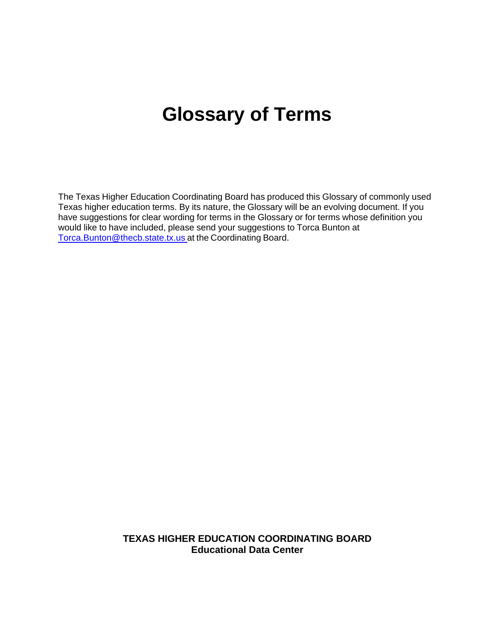# **Glossary of Terms**

The Texas Higher Education Coordinating Board has produced this Glossary of commonly used Texas higher education terms. By its nature, the Glossary will be an evolving document. If you have suggestions for clear wording for terms in the Glossary or for terms whose definition you would like to have included, please send your suggestions to Torca Bunton at Torca.Bunton@thecb.state.tx.us at the Coordinating Board.

> **TEXAS HIGHER EDUCATION COORDINATING BOARD Educational Data Center**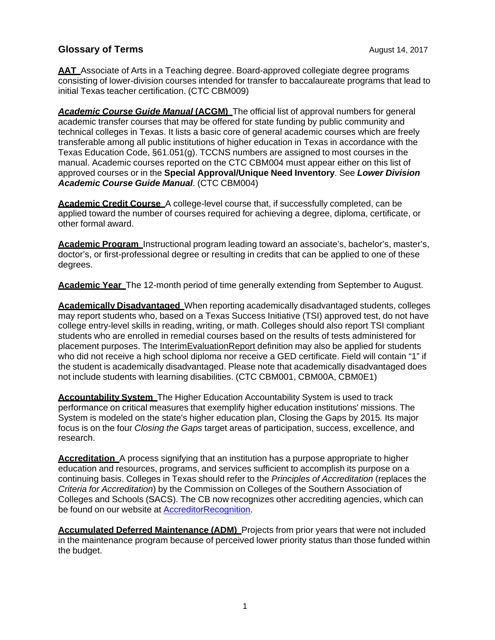**AAT** Associate of Arts in a Teaching degree. Board-approved collegiate degree programs consisting of lower-division courses intended for transfer to baccalaureate programs that lead to initial Texas teacher certification. (CTC CBM009)

**Academic Course Guide Manual (ACGM)** The official list of approval numbers for general academic transfer courses that may be offered for state funding by public community and technical colleges in Texas. It lists a basic core of general academic courses which are freely transferable among all public institutions of higher education in Texas in accordance with the Texas Education Code, §61.051(g). TCCNS numbers are assigned to most courses in the manual. Academic courses reported on the CTC CBM004 must appear either on this list of approved courses or in the **Special Approval/Unique Need Inventory**. See *Lower Division Academic Course Guide Manual*. (CTC CBM004)

**Academic Credit Course** A college-level course that, if successfully completed, can be applied toward the number of courses required for achieving a degree, diploma, certificate, or other formal award.

**Academic Program** Instructional program leading toward an associate's, bachelor's, master's, doctor's, or first-professional degree or resulting in credits that can be applied to one of these degrees.

**Academic Year** The 12-month period of time generally extending from September to August.

**Academically Disadvantaged** When reporting academically disadvantaged students, colleges may report students who, based on a Texas Success Initiative (TSI) approved test, do not have college entry-level skills in reading, writing, or math. Colleges should also report TSI compliant students who are enrolled in remedial courses based on the results of tests administered for placement purposes. The InterimEvaluationReport definition may also be applied for students who did not receive a high school diploma nor receive a GED certificate. Field will contain "1" if the student is academically disadvantaged. Please note that academically disadvantaged does not include students with learning disabilities. (CTC CBM001, CBM00A, CBM0E1)

**Accountability System** The Higher Education Accountability System is used to track performance on critical measures that exemplify higher education institutions' missions. The System is modeled on the state's higher education plan, Closing the Gaps by 2015*.* Its major focus is on the four *Closing the Gaps* target areas of participation, success, excellence, and research.

**Accreditation** A process signifying that an institution has a purpose appropriate to higher education and resources, programs, and services sufficient to accomplish its purpose on a continuing basis. Colleges in Texas should refer to the *Principles of Accreditation* (replaces the *Criteria for Accreditation*) by the Commission on Colleges of the Southern Association of Colleges and Schools (SACS). The CB now recognizes other accrediting agencies, which can be found on our website at AccreditorRecognition.

**Accumulated Deferred Maintenance (ADM)** Projects from prior years that were not included in the maintenance program because of perceived lower priority status than those funded within the budget.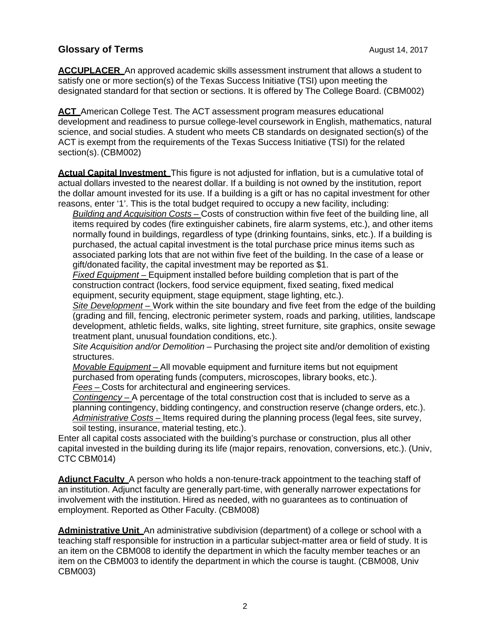**ACCUPLACER** An approved academic skills assessment instrument that allows a student to satisfy one or more section(s) of the Texas Success Initiative (TSI) upon meeting the designated standard for that section or sections. It is offered by The College Board. (CBM002)

**ACT** American College Test. The ACT assessment program measures educational development and readiness to pursue college-level coursework in English, mathematics, natural science, and social studies. A student who meets CB standards on designated section(s) of the ACT is exempt from the requirements of the Texas Success Initiative (TSI) for the related section(s). (CBM002)

**Actual Capital Investment** This figure is not adjusted for inflation, but is a cumulative total of actual dollars invested to the nearest dollar. If a building is not owned by the institution, report the dollar amount invested for its use. If a building is a gift or has no capital investment for other reasons, enter '1'. This is the total budget required to occupy a new facility, including:

*Building and Acquisition Costs –* Costs of construction within five feet of the building line, all items required by codes (fire extinguisher cabinets, fire alarm systems, etc.), and other items normally found in buildings, regardless of type (drinking fountains, sinks, etc.). If a building is purchased, the actual capital investment is the total purchase price minus items such as associated parking lots that are not within five feet of the building. In the case of a lease or gift/donated facility, the capital investment may be reported as \$1.

*Fixed Equipment –* Equipment installed before building completion that is part of the construction contract (lockers, food service equipment, fixed seating, fixed medical equipment, security equipment, stage equipment, stage lighting, etc.).

*Site Development –* Work within the site boundary and five feet from the edge of the building (grading and fill, fencing, electronic perimeter system, roads and parking, utilities, landscape development, athletic fields, walks, site lighting, street furniture, site graphics, onsite sewage treatment plant, unusual foundation conditions, etc.).

*Site Acquisition and/or Demolition –* Purchasing the project site and/or demolition of existing structures.

*Movable Equipment –* All movable equipment and furniture items but not equipment purchased from operating funds (computers, microscopes, library books, etc.). *Fees –* Costs for architectural and engineering services.

*Contingency –* A percentage of the total construction cost that is included to serve as a planning contingency, bidding contingency, and construction reserve (change orders, etc.). Administrative Costs – Items required during the planning process (legal fees, site survey, soil testing, insurance, material testing, etc.).

Enter all capital costs associated with the building's purchase or construction, plus all other capital invested in the building during its life (major repairs, renovation, conversions, etc.). (Univ, CTC CBM014)

Adiunct Faculty A person who holds a non-tenure-track appointment to the teaching staff of an institution. Adjunct faculty are generally part-time, with generally narrower expectations for involvement with the institution. Hired as needed, with no guarantees as to continuation of employment. Reported as Other Faculty. (CBM008)

**Administrative Unit** An administrative subdivision (department) of a college or school with a teaching staff responsible for instruction in a particular subject-matter area or field of study. It is an item on the CBM008 to identify the department in which the faculty member teaches or an item on the CBM003 to identify the department in which the course is taught. (CBM008, Univ CBM003)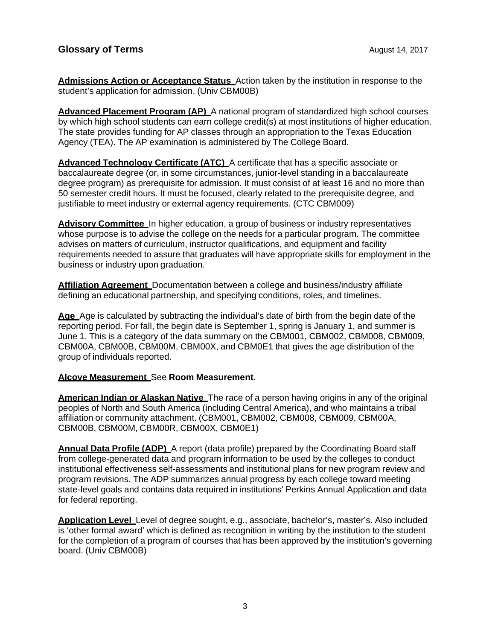**Admissions Action or Acceptance Status** Action taken by the institution in response to the student's application for admission. (Univ CBM00B)

**Advanced Placement Program (AP)** A national program of standardized high school courses by which high school students can earn college credit(s) at most institutions of higher education. The state provides funding for AP classes through an appropriation to the Texas Education Agency (TEA). The AP examination is administered by The College Board.

**Advanced Technology Certificate (ATC)** A certificate that has a specific associate or baccalaureate degree (or, in some circumstances, junior-level standing in a baccalaureate degree program) as prerequisite for admission. It must consist of at least 16 and no more than 50 semester credit hours. It must be focused, clearly related to the prerequisite degree, and justifiable to meet industry or external agency requirements. (CTC CBM009)

**Advisory Committee** In higher education, a group of business or industry representatives whose purpose is to advise the college on the needs for a particular program. The committee advises on matters of curriculum, instructor qualifications, and equipment and facility requirements needed to assure that graduates will have appropriate skills for employment in the business or industry upon graduation.

**Affiliation Agreement** Documentation between a college and business/industry affiliate defining an educational partnership, and specifying conditions, roles, and timelines.

**Age** Age is calculated by subtracting the individual's date of birth from the begin date of the reporting period. For fall, the begin date is September 1, spring is January 1, and summer is June 1. This is a category of the data summary on the CBM001, CBM002, CBM008, CBM009, CBM00A, CBM00B, CBM00M, CBM00X, and CBM0E1 that gives the age distribution of the group of individuals reported.

#### **Alcove Measurement** See **Room Measurement**.

**American Indian or Alaskan Native** The race of a person having origins in any of the original peoples of North and South America (including Central America), and who maintains a tribal affiliation or community attachment. (CBM001, CBM002, CBM008, CBM009, CBM00A, CBM00B, CBM00M, CBM00R, CBM00X, CBM0E1)

**Annual Data Profile (ADP)** A report (data profile) prepared by the Coordinating Board staff from college-generated data and program information to be used by the colleges to conduct institutional effectiveness self-assessments and institutional plans for new program review and program revisions. The ADP summarizes annual progress by each college toward meeting state-level goals and contains data required in institutions' Perkins Annual Application and data for federal reporting.

**Application Level** Level of degree sought, e.g., associate, bachelor's, master's. Also included is 'other formal award' which is defined as recognition in writing by the institution to the student for the completion of a program of courses that has been approved by the institution's governing board. (Univ CBM00B)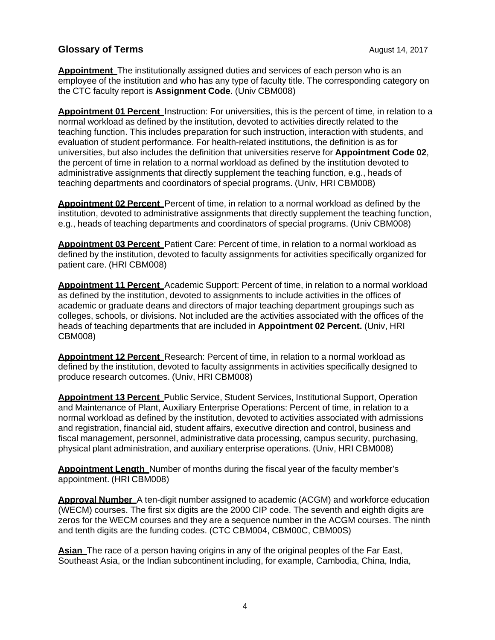**Appointment** The institutionally assigned duties and services of each person who is an employee of the institution and who has any type of faculty title. The corresponding category on the CTC faculty report is **Assignment Code**. (Univ CBM008)

**Appointment 01 Percent** Instruction: For universities, this is the percent of time, in relation to a normal workload as defined by the institution, devoted to activities directly related to the teaching function. This includes preparation for such instruction, interaction with students, and evaluation of student performance. For health-related institutions, the definition is as for universities, but also includes the definition that universities reserve for **Appointment Code 02**, the percent of time in relation to a normal workload as defined by the institution devoted to administrative assignments that directly supplement the teaching function, e.g., heads of teaching departments and coordinators of special programs. (Univ, HRI CBM008)

**Appointment 02 Percent** Percent of time, in relation to a normal workload as defined by the institution, devoted to administrative assignments that directly supplement the teaching function, e.g., heads of teaching departments and coordinators of special programs. (Univ CBM008)

**Appointment 03 Percent** Patient Care: Percent of time, in relation to a normal workload as defined by the institution, devoted to faculty assignments for activities specifically organized for patient care. (HRI CBM008)

**Appointment 11 Percent** Academic Support: Percent of time, in relation to a normal workload as defined by the institution, devoted to assignments to include activities in the offices of academic or graduate deans and directors of major teaching department groupings such as colleges, schools, or divisions. Not included are the activities associated with the offices of the heads of teaching departments that are included in **Appointment 02 Percent.** (Univ, HRI CBM008)

**Appointment 12 Percent** Research: Percent of time, in relation to a normal workload as defined by the institution, devoted to faculty assignments in activities specifically designed to produce research outcomes. (Univ, HRI CBM008)

**Appointment 13 Percent** Public Service, Student Services, Institutional Support, Operation and Maintenance of Plant, Auxiliary Enterprise Operations: Percent of time, in relation to a normal workload as defined by the institution, devoted to activities associated with admissions and registration, financial aid, student affairs, executive direction and control, business and fiscal management, personnel, administrative data processing, campus security, purchasing, physical plant administration, and auxiliary enterprise operations. (Univ, HRI CBM008)

**Appointment Length** Number of months during the fiscal year of the faculty member's appointment. (HRI CBM008)

**Approval Number** A ten-digit number assigned to academic (ACGM) and workforce education (WECM) courses. The first six digits are the 2000 CIP code. The seventh and eighth digits are zeros for the WECM courses and they are a sequence number in the ACGM courses. The ninth and tenth digits are the funding codes. (CTC CBM004, CBM00C, CBM00S)

**Asian** The race of a person having origins in any of the original peoples of the Far East, Southeast Asia, or the Indian subcontinent including, for example, Cambodia, China, India,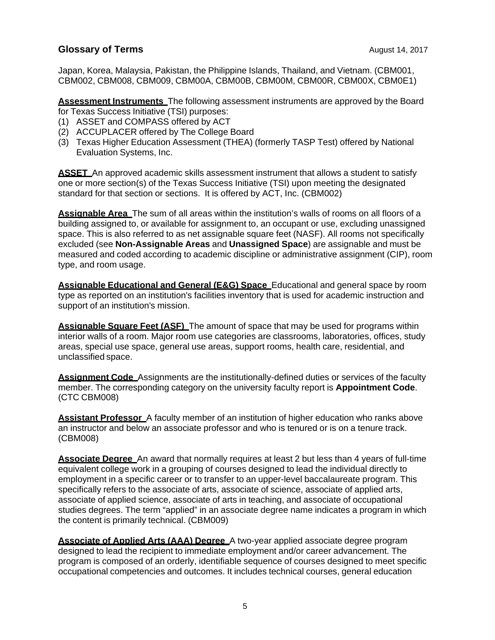Japan, Korea, Malaysia, Pakistan, the Philippine Islands, Thailand, and Vietnam. (CBM001, CBM002, CBM008, CBM009, CBM00A, CBM00B, CBM00M, CBM00R, CBM00X, CBM0E1)

**Assessment Instruments** The following assessment instruments are approved by the Board for Texas Success Initiative (TSI) purposes:

- (1) ASSET and COMPASS offered by ACT
- (2) ACCUPLACER offered by The College Board
- (3) Texas Higher Education Assessment (THEA) (formerly TASP Test) offered by National Evaluation Systems, Inc.

**ASSET** An approved academic skills assessment instrument that allows a student to satisfy one or more section(s) of the Texas Success Initiative (TSI) upon meeting the designated standard for that section or sections. It is offered by ACT, Inc. (CBM002)

**Assignable Area** The sum of all areas within the institution's walls of rooms on all floors of a building assigned to, or available for assignment to, an occupant or use, excluding unassigned space. This is also referred to as net assignable square feet (NASF). All rooms not specifically excluded (see **Non-Assignable Areas** and **Unassigned Space**) are assignable and must be measured and coded according to academic discipline or administrative assignment (CIP), room type, and room usage.

**Assignable Educational and General (E&G) Space** Educational and general space by room type as reported on an institution's facilities inventory that is used for academic instruction and support of an institution's mission.

**Assignable Square Feet (ASF)** The amount of space that may be used for programs within interior walls of a room. Major room use categories are classrooms, laboratories, offices, study areas, special use space, general use areas, support rooms, health care, residential, and unclassified space.

**Assignment Code** Assignments are the institutionally-defined duties or services of the faculty member. The corresponding category on the university faculty report is **Appointment Code**. (CTC CBM008)

**Assistant Professor** A faculty member of an institution of higher education who ranks above an instructor and below an associate professor and who is tenured or is on a tenure track. (CBM008)

**Associate Degree** An award that normally requires at least 2 but less than 4 years of full-time equivalent college work in a grouping of courses designed to lead the individual directly to employment in a specific career or to transfer to an upper-level baccalaureate program. This specifically refers to the associate of arts, associate of science, associate of applied arts, associate of applied science, associate of arts in teaching, and associate of occupational studies degrees. The term "applied" in an associate degree name indicates a program in which the content is primarily technical. (CBM009)

**Associate of Applied Arts (AAA) Degree** A two-year applied associate degree program designed to lead the recipient to immediate employment and/or career advancement. The program is composed of an orderly, identifiable sequence of courses designed to meet specific occupational competencies and outcomes. It includes technical courses, general education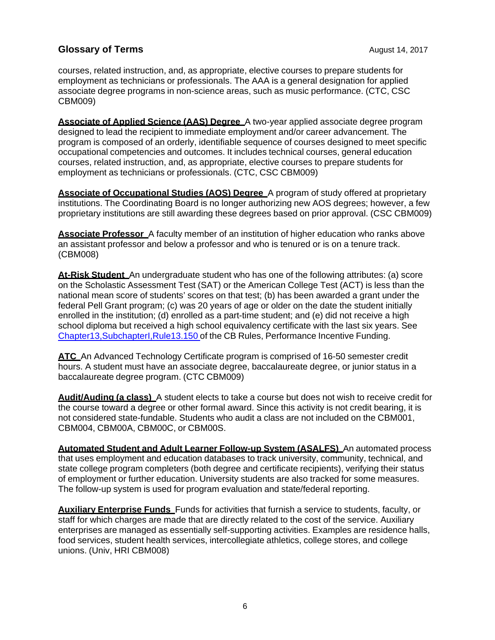courses, related instruction, and, as appropriate, elective courses to prepare students for employment as technicians or professionals. The AAA is a general designation for applied associate degree programs in non-science areas, such as music performance. (CTC, CSC CBM009)

**Associate of Applied Science (AAS) Degree** A two-year applied associate degree program designed to lead the recipient to immediate employment and/or career advancement. The program is composed of an orderly, identifiable sequence of courses designed to meet specific occupational competencies and outcomes. It includes technical courses, general education courses, related instruction, and, as appropriate, elective courses to prepare students for employment as technicians or professionals. (CTC, CSC CBM009)

**Associate of Occupational Studies (AOS) Degree** A program of study offered at proprietary institutions. The Coordinating Board is no longer authorizing new AOS degrees; however, a few proprietary institutions are still awarding these degrees based on prior approval. (CSC CBM009)

**Associate Professor** A faculty member of an institution of higher education who ranks above an assistant professor and below a professor and who is tenured or is on a tenure track. (CBM008)

**At-Risk Student** An undergraduate student who has one of the following attributes: (a) score on the Scholastic Assessment Test (SAT) or the American College Test (ACT) is less than the national mean score of students' scores on that test; (b) has been awarded a grant under the federal Pell Grant program; (c) was 20 years of age or older on the date the student initially enrolled in the institution; (d) enrolled as a part-time student; and (e) did not receive a high school diploma but received a high school equivalency certificate with the last six years. See Chapter13,SubchapterI,Rule13.150 of the CB Rules, Performance Incentive Funding.

**ATC** An Advanced Technology Certificate program is comprised of 16-50 semester credit hours. A student must have an associate degree, baccalaureate degree, or junior status in a baccalaureate degree program. (CTC CBM009)

**Audit/Auding (a class)** A student elects to take a course but does not wish to receive credit for the course toward a degree or other formal award. Since this activity is not credit bearing, it is not considered state-fundable. Students who audit a class are not included on the CBM001, CBM004, CBM00A, CBM00C, or CBM00S.

**Automated Student and Adult Learner Follow-up System (ASALFS)** An automated process that uses employment and education databases to track university, community, technical, and state college program completers (both degree and certificate recipients), verifying their status of employment or further education. University students are also tracked for some measures. The follow-up system is used for program evaluation and state/federal reporting.

**Auxiliary Enterprise Funds** Funds for activities that furnish a service to students, faculty, or staff for which charges are made that are directly related to the cost of the service. Auxiliary enterprises are managed as essentially self-supporting activities. Examples are residence halls, food services, student health services, intercollegiate athletics, college stores, and college unions. (Univ, HRI CBM008)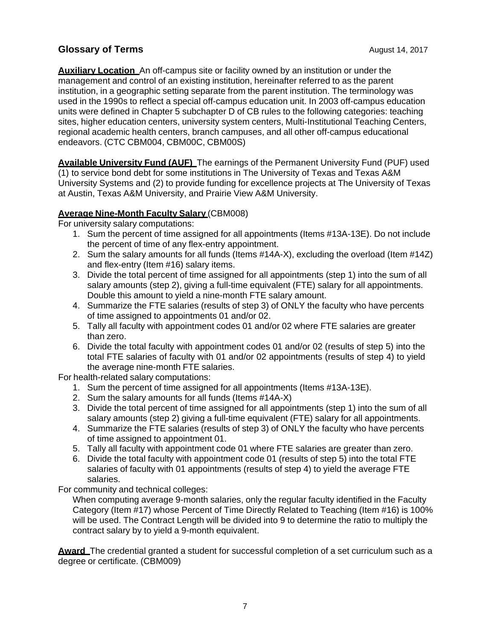**Auxiliary Location** An off-campus site or facility owned by an institution or under the management and control of an existing institution, hereinafter referred to as the parent institution, in a geographic setting separate from the parent institution. The terminology was used in the 1990s to reflect a special off-campus education unit. In 2003 off-campus education units were defined in Chapter 5 subchapter D of CB rules to the following categories: teaching sites, higher education centers, university system centers, Multi-Institutional Teaching Centers, regional academic health centers, branch campuses, and all other off-campus educational endeavors. (CTC CBM004, CBM00C, CBM00S)

**Available University Fund (AUF)** The earnings of the Permanent University Fund (PUF) used (1) to service bond debt for some institutions in The University of Texas and Texas A&M University Systems and (2) to provide funding for excellence projects at The University of Texas at Austin, Texas A&M University, and Prairie View A&M University.

#### **Average Nine-Month Faculty Salary** (CBM008)

For university salary computations:

- 1. Sum the percent of time assigned for all appointments (Items #13A-13E). Do not include the percent of time of any flex-entry appointment.
- 2. Sum the salary amounts for all funds (Items #14A-X), excluding the overload (Item #14Z) and flex-entry (Item #16) salary items.
- 3. Divide the total percent of time assigned for all appointments (step 1) into the sum of all salary amounts (step 2), giving a full-time equivalent (FTE) salary for all appointments. Double this amount to yield a nine-month FTE salary amount.
- 4. Summarize the FTE salaries (results of step 3) of ONLY the faculty who have percents of time assigned to appointments 01 and/or 02.
- 5. Tally all faculty with appointment codes 01 and/or 02 where FTE salaries are greater than zero.
- 6. Divide the total faculty with appointment codes 01 and/or 02 (results of step 5) into the total FTE salaries of faculty with 01 and/or 02 appointments (results of step 4) to yield the average nine-month FTE salaries.

For health-related salary computations:

- 1. Sum the percent of time assigned for all appointments (Items #13A-13E).
- 2. Sum the salary amounts for all funds (Items #14A-X)
- 3. Divide the total percent of time assigned for all appointments (step 1) into the sum of all salary amounts (step 2) giving a full-time equivalent (FTE) salary for all appointments.
- 4. Summarize the FTE salaries (results of step 3) of ONLY the faculty who have percents of time assigned to appointment 01.
- 5. Tally all faculty with appointment code 01 where FTE salaries are greater than zero.
- 6. Divide the total faculty with appointment code 01 (results of step 5) into the total FTE salaries of faculty with 01 appointments (results of step 4) to yield the average FTE salaries.

For community and technical colleges:

When computing average 9-month salaries, only the regular faculty identified in the Faculty Category (Item #17) whose Percent of Time Directly Related to Teaching (Item #16) is 100% will be used. The Contract Length will be divided into 9 to determine the ratio to multiply the contract salary by to yield a 9-month equivalent.

**Award** The credential granted a student for successful completion of a set curriculum such as a degree or certificate. (CBM009)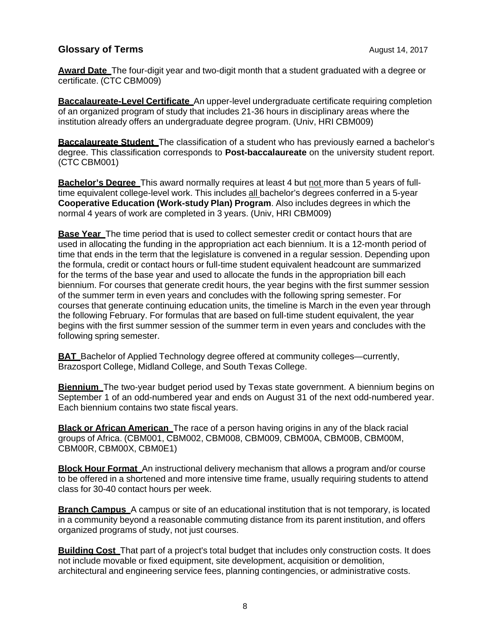**Award Date** The four-digit year and two-digit month that a student graduated with a degree or certificate. (CTC CBM009)

**Baccalaureate-Level Certificate** An upper-level undergraduate certificate requiring completion of an organized program of study that includes 21-36 hours in disciplinary areas where the institution already offers an undergraduate degree program. (Univ, HRI CBM009)

**Baccalaureate Student** The classification of a student who has previously earned a bachelor's degree. This classification corresponds to **Post-baccalaureate** on the university student report. (CTC CBM001)

**Bachelor's Degree** This award normally requires at least 4 but not more than 5 years of fulltime equivalent college-level work. This includes all bachelor's degrees conferred in a 5-year **Cooperative Education (Work-study Plan) Program**. Also includes degrees in which the normal 4 years of work are completed in 3 years. (Univ, HRI CBM009)

**Base Year** The time period that is used to collect semester credit or contact hours that are used in allocating the funding in the appropriation act each biennium. It is a 12-month period of time that ends in the term that the legislature is convened in a regular session. Depending upon the formula, credit or contact hours or full-time student equivalent headcount are summarized for the terms of the base year and used to allocate the funds in the appropriation bill each biennium. For courses that generate credit hours, the year begins with the first summer session of the summer term in even years and concludes with the following spring semester. For courses that generate continuing education units, the timeline is March in the even year through the following February. For formulas that are based on full-time student equivalent, the year begins with the first summer session of the summer term in even years and concludes with the following spring semester.

**BAT** Bachelor of Applied Technology degree offered at community colleges—currently, Brazosport College, Midland College, and South Texas College.

**Biennium** The two-year budget period used by Texas state government. A biennium begins on September 1 of an odd-numbered year and ends on August 31 of the next odd-numbered year. Each biennium contains two state fiscal years.

**Black or African American** The race of a person having origins in any of the black racial groups of Africa. (CBM001, CBM002, CBM008, CBM009, CBM00A, CBM00B, CBM00M, CBM00R, CBM00X, CBM0E1)

**Block Hour Format** An instructional delivery mechanism that allows a program and/or course to be offered in a shortened and more intensive time frame, usually requiring students to attend class for 30-40 contact hours per week.

**Branch Campus** A campus or site of an educational institution that is not temporary, is located in a community beyond a reasonable commuting distance from its parent institution, and offers organized programs of study, not just courses.

**Building Cost** That part of a project's total budget that includes only construction costs. It does not include movable or fixed equipment, site development, acquisition or demolition, architectural and engineering service fees, planning contingencies, or administrative costs.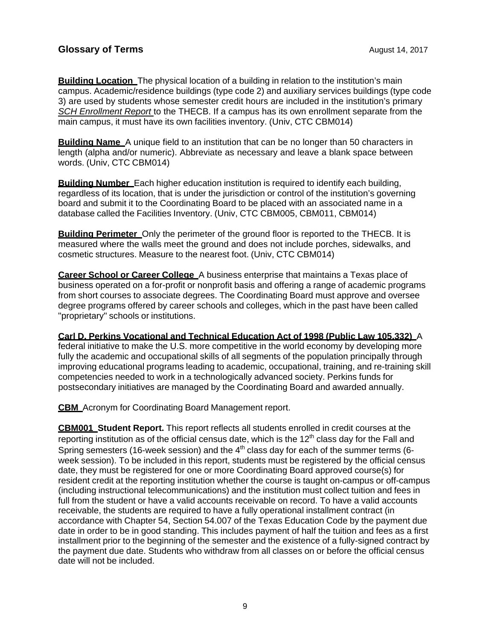**Building Location** The physical location of a building in relation to the institution's main campus. Academic/residence buildings (type code 2) and auxiliary services buildings (type code 3) are used by students whose semester credit hours are included in the institution's primary *SCH Enrollment Report* to the THECB. If a campus has its own enrollment separate from the main campus, it must have its own facilities inventory. (Univ, CTC CBM014)

**Building Name** A unique field to an institution that can be no longer than 50 characters in length (alpha and/or numeric). Abbreviate as necessary and leave a blank space between words. (Univ, CTC CBM014)

**Building Number** Each higher education institution is required to identify each building, regardless of its location, that is under the jurisdiction or control of the institution's governing board and submit it to the Coordinating Board to be placed with an associated name in a database called the Facilities Inventory. (Univ, CTC CBM005, CBM011, CBM014)

**Building Perimeter** Only the perimeter of the ground floor is reported to the THECB. It is measured where the walls meet the ground and does not include porches, sidewalks, and cosmetic structures. Measure to the nearest foot. (Univ, CTC CBM014)

**Career School or Career College** A business enterprise that maintains a Texas place of business operated on a for-profit or nonprofit basis and offering a range of academic programs from short courses to associate degrees. The Coordinating Board must approve and oversee degree programs offered by career schools and colleges, which in the past have been called "proprietary" schools or institutions.

#### **Carl D. Perkins Vocational and Technical Education Act of 1998 (Public Law 105.332)** A

federal initiative to make the U.S. more competitive in the world economy by developing more fully the academic and occupational skills of all segments of the population principally through improving educational programs leading to academic, occupational, training, and re-training skill competencies needed to work in a technologically advanced society. Perkins funds for postsecondary initiatives are managed by the Coordinating Board and awarded annually.

**CBM** Acronym for Coordinating Board Management report.

**CBM001 Student Report.** This report reflects all students enrolled in credit courses at the reporting institution as of the official census date, which is the  $12<sup>th</sup>$  class day for the Fall and Spring semesters (16-week session) and the  $4<sup>th</sup>$  class day for each of the summer terms (6week session). To be included in this report, students must be registered by the official census date, they must be registered for one or more Coordinating Board approved course(s) for resident credit at the reporting institution whether the course is taught on-campus or off-campus (including instructional telecommunications) and the institution must collect tuition and fees in full from the student or have a valid accounts receivable on record. To have a valid accounts receivable, the students are required to have a fully operational installment contract (in accordance with Chapter 54, Section 54.007 of the Texas Education Code by the payment due date in order to be in good standing. This includes payment of half the tuition and fees as a first installment prior to the beginning of the semester and the existence of a fully-signed contract by the payment due date. Students who withdraw from all classes on or before the official census date will not be included.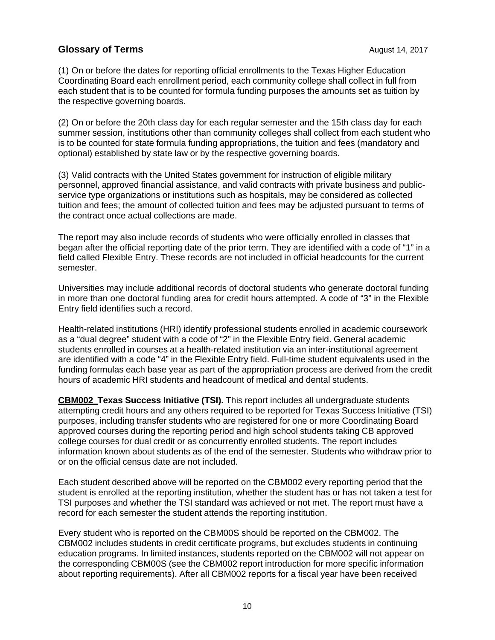(1) On or before the dates for reporting official enrollments to the Texas Higher Education Coordinating Board each enrollment period, each community college shall collect in full from each student that is to be counted for formula funding purposes the amounts set as tuition by the respective governing boards.

(2) On or before the 20th class day for each regular semester and the 15th class day for each summer session, institutions other than community colleges shall collect from each student who is to be counted for state formula funding appropriations, the tuition and fees (mandatory and optional) established by state law or by the respective governing boards.

(3) Valid contracts with the United States government for instruction of eligible military personnel, approved financial assistance, and valid contracts with private business and publicservice type organizations or institutions such as hospitals, may be considered as collected tuition and fees; the amount of collected tuition and fees may be adjusted pursuant to terms of the contract once actual collections are made.

The report may also include records of students who were officially enrolled in classes that began after the official reporting date of the prior term. They are identified with a code of "1" in a field called Flexible Entry. These records are not included in official headcounts for the current semester.

Universities may include additional records of doctoral students who generate doctoral funding in more than one doctoral funding area for credit hours attempted. A code of "3" in the Flexible Entry field identifies such a record.

Health-related institutions (HRI) identify professional students enrolled in academic coursework as a "dual degree" student with a code of "2" in the Flexible Entry field. General academic students enrolled in courses at a health-related institution via an inter-institutional agreement are identified with a code "4" in the Flexible Entry field. Full-time student equivalents used in the funding formulas each base year as part of the appropriation process are derived from the credit hours of academic HRI students and headcount of medical and dental students.

**CBM002 Texas Success Initiative (TSI).** This report includes all undergraduate students attempting credit hours and any others required to be reported for Texas Success Initiative (TSI) purposes, including transfer students who are registered for one or more Coordinating Board approved courses during the reporting period and high school students taking CB approved college courses for dual credit or as concurrently enrolled students. The report includes information known about students as of the end of the semester. Students who withdraw prior to or on the official census date are not included.

Each student described above will be reported on the CBM002 every reporting period that the student is enrolled at the reporting institution, whether the student has or has not taken a test for TSI purposes and whether the TSI standard was achieved or not met. The report must have a record for each semester the student attends the reporting institution.

Every student who is reported on the CBM00S should be reported on the CBM002. The CBM002 includes students in credit certificate programs, but excludes students in continuing education programs. In limited instances, students reported on the CBM002 will not appear on the corresponding CBM00S (see the CBM002 report introduction for more specific information about reporting requirements). After all CBM002 reports for a fiscal year have been received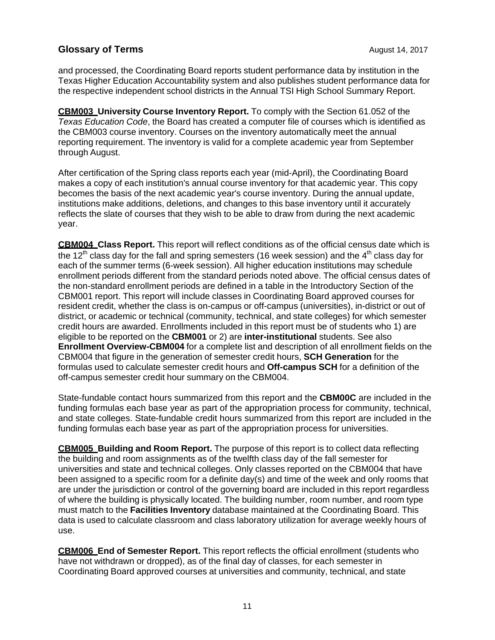and processed, the Coordinating Board reports student performance data by institution in the Texas Higher Education Accountability system and also publishes student performance data for the respective independent school districts in the Annual TSI High School Summary Report.

**CBM003 University Course Inventory Report.** To comply with the Section 61.052 of the *Texas Education Code*, the Board has created a computer file of courses which is identified as the CBM003 course inventory. Courses on the inventory automatically meet the annual reporting requirement. The inventory is valid for a complete academic year from September through August.

After certification of the Spring class reports each year (mid-April), the Coordinating Board makes a copy of each institution's annual course inventory for that academic year. This copy becomes the basis of the next academic year's course inventory. During the annual update, institutions make additions, deletions, and changes to this base inventory until it accurately reflects the slate of courses that they wish to be able to draw from during the next academic year.

**CBM004 Class Report.** This report will reflect conditions as of the official census date which is the 12<sup>th</sup> class day for the fall and spring semesters (16 week session) and the 4<sup>th</sup> class day for each of the summer terms (6-week session). All higher education institutions may schedule enrollment periods different from the standard periods noted above. The official census dates of the non-standard enrollment periods are defined in a table in the Introductory Section of the CBM001 report. This report will include classes in Coordinating Board approved courses for resident credit, whether the class is on-campus or off-campus (universities), in-district or out of district, or academic or technical (community, technical, and state colleges) for which semester credit hours are awarded. Enrollments included in this report must be of students who 1) are eligible to be reported on the **CBM001** or 2) are **inter-institutional** students. See also **Enrollment Overview-CBM004** for a complete list and description of all enrollment fields on the CBM004 that figure in the generation of semester credit hours, **SCH Generation** for the formulas used to calculate semester credit hours and **Off-campus SCH** for a definition of the off-campus semester credit hour summary on the CBM004.

State-fundable contact hours summarized from this report and the **CBM00C** are included in the funding formulas each base year as part of the appropriation process for community, technical, and state colleges. State-fundable credit hours summarized from this report are included in the funding formulas each base year as part of the appropriation process for universities.

**CBM005 Building and Room Report.** The purpose of this report is to collect data reflecting the building and room assignments as of the twelfth class day of the fall semester for universities and state and technical colleges. Only classes reported on the CBM004 that have been assigned to a specific room for a definite day(s) and time of the week and only rooms that are under the jurisdiction or control of the governing board are included in this report regardless of where the building is physically located. The building number, room number, and room type must match to the **Facilities Inventory** database maintained at the Coordinating Board. This data is used to calculate classroom and class laboratory utilization for average weekly hours of use.

**CBM006 End of Semester Report.** This report reflects the official enrollment (students who have not withdrawn or dropped), as of the final day of classes, for each semester in Coordinating Board approved courses at universities and community, technical, and state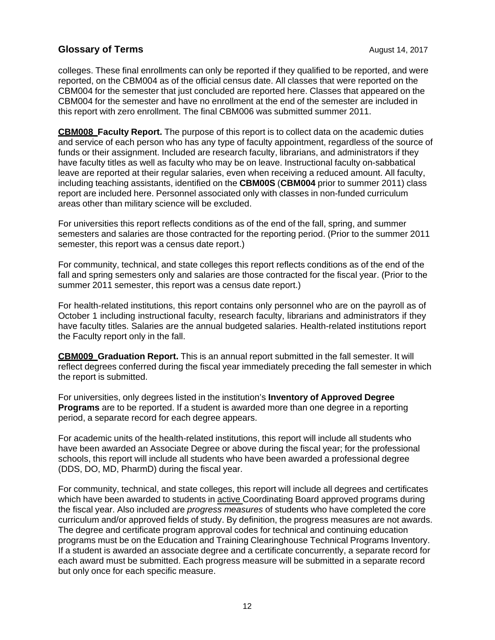colleges. These final enrollments can only be reported if they qualified to be reported, and were reported, on the CBM004 as of the official census date. All classes that were reported on the CBM004 for the semester that just concluded are reported here. Classes that appeared on the CBM004 for the semester and have no enrollment at the end of the semester are included in this report with zero enrollment. The final CBM006 was submitted summer 2011.

**CBM008 Faculty Report.** The purpose of this report is to collect data on the academic duties and service of each person who has any type of faculty appointment, regardless of the source of funds or their assignment. Included are research faculty, librarians, and administrators if they have faculty titles as well as faculty who may be on leave. Instructional faculty on-sabbatical leave are reported at their regular salaries, even when receiving a reduced amount. All faculty, including teaching assistants, identified on the **CBM00S** (**CBM004** prior to summer 2011) class report are included here. Personnel associated only with classes in non-funded curriculum areas other than military science will be excluded.

For universities this report reflects conditions as of the end of the fall, spring, and summer semesters and salaries are those contracted for the reporting period. (Prior to the summer 2011 semester, this report was a census date report.)

For community, technical, and state colleges this report reflects conditions as of the end of the fall and spring semesters only and salaries are those contracted for the fiscal year. (Prior to the summer 2011 semester, this report was a census date report.)

For health-related institutions, this report contains only personnel who are on the payroll as of October 1 including instructional faculty, research faculty, librarians and administrators if they have faculty titles. Salaries are the annual budgeted salaries. Health-related institutions report the Faculty report only in the fall.

**CBM009 Graduation Report.** This is an annual report submitted in the fall semester. It will reflect degrees conferred during the fiscal year immediately preceding the fall semester in which the report is submitted.

For universities, only degrees listed in the institution's **Inventory of Approved Degree Programs** are to be reported. If a student is awarded more than one degree in a reporting period, a separate record for each degree appears.

For academic units of the health-related institutions, this report will include all students who have been awarded an Associate Degree or above during the fiscal year; for the professional schools, this report will include all students who have been awarded a professional degree (DDS, DO, MD, PharmD) during the fiscal year.

For community, technical, and state colleges, this report will include all degrees and certificates which have been awarded to students in active Coordinating Board approved programs during the fiscal year. Also included are *progress measures* of students who have completed the core curriculum and/or approved fields of study. By definition, the progress measures are not awards. The degree and certificate program approval codes for technical and continuing education programs must be on the Education and Training Clearinghouse Technical Programs Inventory. If a student is awarded an associate degree and a certificate concurrently, a separate record for each award must be submitted. Each progress measure will be submitted in a separate record but only once for each specific measure.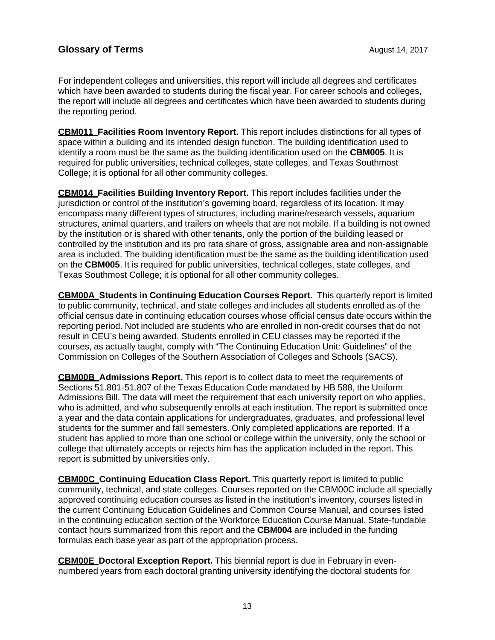For independent colleges and universities, this report will include all degrees and certificates which have been awarded to students during the fiscal year. For career schools and colleges, the report will include all degrees and certificates which have been awarded to students during the reporting period.

**CBM011 Facilities Room Inventory Report.** This report includes distinctions for all types of space within a building and its intended design function. The building identification used to identify a room must be the same as the building identification used on the **CBM005**. It is required for public universities, technical colleges, state colleges, and Texas Southmost College; it is optional for all other community colleges.

**CBM014 Facilities Building Inventory Report.** This report includes facilities under the jurisdiction or control of the institution's governing board, regardless of its location. It may encompass many different types of structures, including marine/research vessels, aquarium structures, animal quarters, and trailers on wheels that are not mobile. If a building is not owned by the institution or is shared with other tenants, only the portion of the building leased or controlled by the institution and its pro rata share of gross, assignable area and non-assignable area is included. The building identification must be the same as the building identification used on the **CBM005**. It is required for public universities, technical colleges, state colleges, and Texas Southmost College; it is optional for all other community colleges.

**CBM00A Students in Continuing Education Courses Report.** This quarterly report is limited to public community, technical, and state colleges and includes all students enrolled as of the official census date in continuing education courses whose official census date occurs within the reporting period. Not included are students who are enrolled in non-credit courses that do not result in CEU's being awarded. Students enrolled in CEU classes may be reported if the courses, as actually taught, comply with "The Continuing Education Unit: Guidelines" of the Commission on Colleges of the Southern Association of Colleges and Schools (SACS).

**CBM00B Admissions Report.** This report is to collect data to meet the requirements of Sections 51.801-51.807 of the Texas Education Code mandated by HB 588, the Uniform Admissions Bill. The data will meet the requirement that each university report on who applies, who is admitted, and who subsequently enrolls at each institution. The report is submitted once a year and the data contain applications for undergraduates, graduates, and professional level students for the summer and fall semesters. Only completed applications are reported. If a student has applied to more than one school or college within the university, only the school or college that ultimately accepts or rejects him has the application included in the report. This report is submitted by universities only.

**CBM00C Continuing Education Class Report.** This quarterly report is limited to public community, technical, and state colleges. Courses reported on the CBM00C include all specially approved continuing education courses as listed in the institution's inventory, courses listed in the current Continuing Education Guidelines and Common Course Manual, and courses listed in the continuing education section of the Workforce Education Course Manual. State-fundable contact hours summarized from this report and the **CBM004** are included in the funding formulas each base year as part of the appropriation process.

**CBM00E Doctoral Exception Report.** This biennial report is due in February in evennumbered years from each doctoral granting university identifying the doctoral students for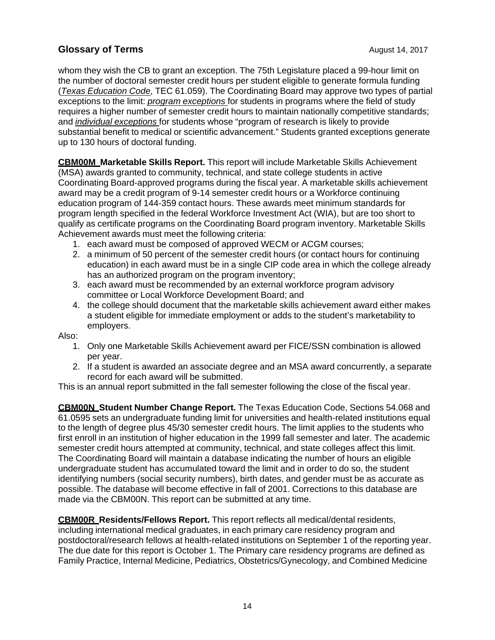whom they wish the CB to grant an exception. The 75th Legislature placed a 99-hour limit on the number of doctoral semester credit hours per student eligible to generate formula funding (*Texas Education Code*, TEC 61.059). The Coordinating Board may approve two types of partial exceptions to the limit: *program exceptions* for students in programs where the field of study requires a higher number of semester credit hours to maintain nationally competitive standards; and *individual exceptions* for students whose "program of research is likely to provide substantial benefit to medical or scientific advancement." Students granted exceptions generate up to 130 hours of doctoral funding.

**CBM00M Marketable Skills Report.** This report will include Marketable Skills Achievement (MSA) awards granted to community, technical, and state college students in active Coordinating Board-approved programs during the fiscal year. A marketable skills achievement award may be a credit program of 9-14 semester credit hours or a Workforce continuing education program of 144-359 contact hours. These awards meet minimum standards for program length specified in the federal Workforce Investment Act (WIA), but are too short to qualify as certificate programs on the Coordinating Board program inventory. Marketable Skills Achievement awards must meet the following criteria:

- 1. each award must be composed of approved WECM or ACGM courses;
- 2. a minimum of 50 percent of the semester credit hours (or contact hours for continuing education) in each award must be in a single CIP code area in which the college already has an authorized program on the program inventory;
- 3. each award must be recommended by an external workforce program advisory committee or Local Workforce Development Board; and
- 4. the college should document that the marketable skills achievement award either makes a student eligible for immediate employment or adds to the student's marketability to employers.

Also:

- 1. Only one Marketable Skills Achievement award per FICE/SSN combination is allowed per year.
- 2. If a student is awarded an associate degree and an MSA award concurrently, a separate record for each award will be submitted.

This is an annual report submitted in the fall semester following the close of the fiscal year.

**CBM00N Student Number Change Report.** The Texas Education Code, Sections 54.068 and 61.0595 sets an undergraduate funding limit for universities and health-related institutions equal to the length of degree plus 45/30 semester credit hours. The limit applies to the students who first enroll in an institution of higher education in the 1999 fall semester and later. The academic semester credit hours attempted at community, technical, and state colleges affect this limit. The Coordinating Board will maintain a database indicating the number of hours an eligible undergraduate student has accumulated toward the limit and in order to do so, the student identifying numbers (social security numbers), birth dates, and gender must be as accurate as possible. The database will become effective in fall of 2001. Corrections to this database are made via the CBM00N. This report can be submitted at any time.

**CBM00R Residents/Fellows Report.** This report reflects all medical/dental residents, including international medical graduates, in each primary care residency program and postdoctoral/research fellows at health-related institutions on September 1 of the reporting year. The due date for this report is October 1. The Primary care residency programs are defined as Family Practice, Internal Medicine, Pediatrics, Obstetrics/Gynecology, and Combined Medicine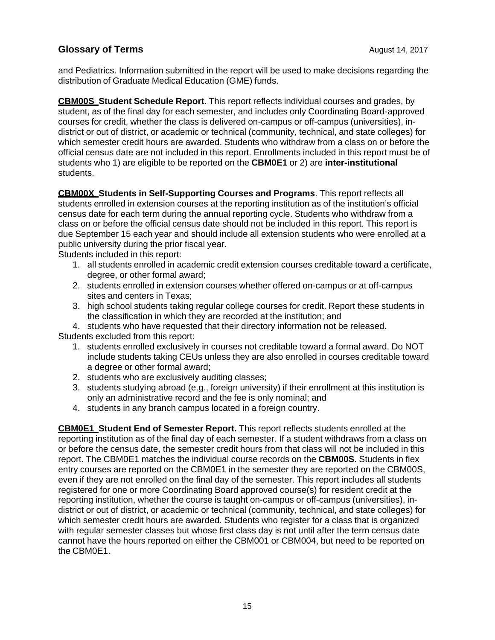and Pediatrics. Information submitted in the report will be used to make decisions regarding the distribution of Graduate Medical Education (GME) funds.

**CBM00S Student Schedule Report.** This report reflects individual courses and grades, by student, as of the final day for each semester, and includes only Coordinating Board-approved courses for credit, whether the class is delivered on-campus or off-campus (universities), indistrict or out of district, or academic or technical (community, technical, and state colleges) for which semester credit hours are awarded. Students who withdraw from a class on or before the official census date are not included in this report. Enrollments included in this report must be of students who 1) are eligible to be reported on the **CBM0E1** or 2) are **inter-institutional** students.

**CBM00X Students in Self-Supporting Courses and Programs**. This report reflects all students enrolled in extension courses at the reporting institution as of the institution's official census date for each term during the annual reporting cycle. Students who withdraw from a class on or before the official census date should not be included in this report. This report is due September 15 each year and should include all extension students who were enrolled at a public university during the prior fiscal year.

Students included in this report:

- 1. all students enrolled in academic credit extension courses creditable toward a certificate, degree, or other formal award;
- 2. students enrolled in extension courses whether offered on-campus or at off-campus sites and centers in Texas;
- 3. high school students taking regular college courses for credit. Report these students in the classification in which they are recorded at the institution; and

4. students who have requested that their directory information not be released. Students excluded from this report:

- 1. students enrolled exclusively in courses not creditable toward a formal award. Do NOT include students taking CEUs unless they are also enrolled in courses creditable toward a degree or other formal award;
- 2. students who are exclusively auditing classes;
- 3. students studying abroad (e.g., foreign university) if their enrollment at this institution is only an administrative record and the fee is only nominal; and
- 4. students in any branch campus located in a foreign country.

**CBM0E1 Student End of Semester Report.** This report reflects students enrolled at the reporting institution as of the final day of each semester. If a student withdraws from a class on or before the census date, the semester credit hours from that class will not be included in this report. The CBM0E1 matches the individual course records on the **CBM00S**. Students in flex entry courses are reported on the CBM0E1 in the semester they are reported on the CBM00S, even if they are not enrolled on the final day of the semester. This report includes all students registered for one or more Coordinating Board approved course(s) for resident credit at the reporting institution, whether the course is taught on-campus or off-campus (universities), indistrict or out of district, or academic or technical (community, technical, and state colleges) for which semester credit hours are awarded. Students who register for a class that is organized with regular semester classes but whose first class day is not until after the term census date cannot have the hours reported on either the CBM001 or CBM004, but need to be reported on the CBM0E1.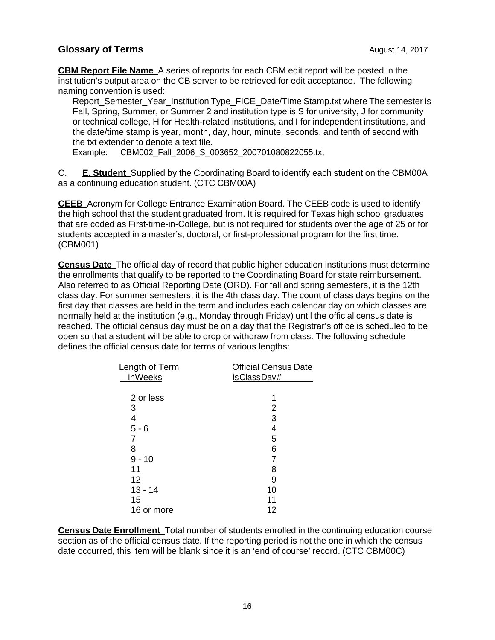**CBM Report File Name** A series of reports for each CBM edit report will be posted in the institution's output area on the CB server to be retrieved for edit acceptance. The following naming convention is used:

Report\_Semester\_Year\_Institution Type\_FICE\_Date/Time Stamp.txt where The semester is Fall, Spring, Summer, or Summer 2 and institution type is S for university, J for community or technical college, H for Health-related institutions, and I for independent institutions, and the date/time stamp is year, month, day, hour, minute, seconds, and tenth of second with the txt extender to denote a text file.

Example: CBM002\_Fall\_2006\_S\_003652\_200701080822055.txt

C. **E. Student** Supplied by the Coordinating Board to identify each student on the CBM00A as a continuing education student. (CTC CBM00A)

**CEEB** Acronym for College Entrance Examination Board. The CEEB code is used to identify the high school that the student graduated from. It is required for Texas high school graduates that are coded as First-time-in-College, but is not required for students over the age of 25 or for students accepted in a master's, doctoral, or first-professional program for the first time. (CBM001)

**Census Date** The official day of record that public higher education institutions must determine the enrollments that qualify to be reported to the Coordinating Board for state reimbursement. Also referred to as Official Reporting Date (ORD). For fall and spring semesters, it is the 12th class day. For summer semesters, it is the 4th class day. The count of class days begins on the first day that classes are held in the term and includes each calendar day on which classes are normally held at the institution (e.g., Monday through Friday) until the official census date is reached. The official census day must be on a day that the Registrar's office is scheduled to be open so that a student will be able to drop or withdraw from class. The following schedule defines the official census date for terms of various lengths:

| Length of Term<br><i>inWeeks</i> | <b>Official Census Date</b><br>is Class Day# |
|----------------------------------|----------------------------------------------|
|                                  |                                              |
| 2 or less                        |                                              |
| 3                                | 2                                            |
| 4                                | 3                                            |
| $5 - 6$                          | 4                                            |
|                                  | 5                                            |
| 8                                | 6                                            |
| $9 - 10$                         |                                              |
| 11                               | 8                                            |
| 12                               | 9                                            |
| $13 - 14$                        | 10                                           |
| 15                               | 11                                           |
| 16 or more                       | 12                                           |

**Census Date Enrollment** Total number of students enrolled in the continuing education course section as of the official census date. If the reporting period is not the one in which the census date occurred, this item will be blank since it is an 'end of course' record. (CTC CBM00C)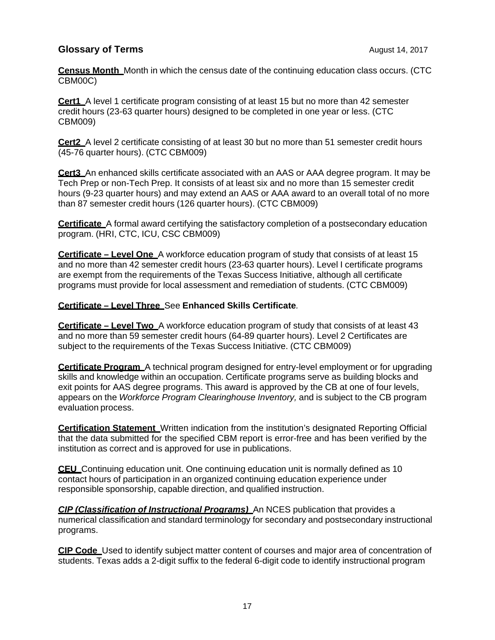**Census Month** Month in which the census date of the continuing education class occurs. (CTC CBM00C)

**Cert1** A level 1 certificate program consisting of at least 15 but no more than 42 semester credit hours (23-63 quarter hours) designed to be completed in one year or less. (CTC CBM009)

**Cert2** A level 2 certificate consisting of at least 30 but no more than 51 semester credit hours (45-76 quarter hours). (CTC CBM009)

**Cert3** An enhanced skills certificate associated with an AAS or AAA degree program. It may be Tech Prep or non-Tech Prep. It consists of at least six and no more than 15 semester credit hours (9-23 quarter hours) and may extend an AAS or AAA award to an overall total of no more than 87 semester credit hours (126 quarter hours). (CTC CBM009)

**Certificate** A formal award certifying the satisfactory completion of a postsecondary education program. (HRI, CTC, ICU, CSC CBM009)

**Certificate – Level One** A workforce education program of study that consists of at least 15 and no more than 42 semester credit hours (23-63 quarter hours). Level I certificate programs are exempt from the requirements of the Texas Success Initiative, although all certificate programs must provide for local assessment and remediation of students. (CTC CBM009)

#### **Certificate – Level Three** See **Enhanced Skills Certificate***.*

**Certificate – Level Two** A workforce education program of study that consists of at least 43 and no more than 59 semester credit hours (64-89 quarter hours). Level 2 Certificates are subject to the requirements of the Texas Success Initiative. (CTC CBM009)

**Certificate Program** A technical program designed for entry-level employment or for upgrading skills and knowledge within an occupation. Certificate programs serve as building blocks and exit points for AAS degree programs. This award is approved by the CB at one of four levels, appears on the *Workforce Program Clearinghouse Inventory,* and is subject to the CB program evaluation process.

**Certification Statement** Written indication from the institution's designated Reporting Official that the data submitted for the specified CBM report is error-free and has been verified by the institution as correct and is approved for use in publications.

**CEU** Continuing education unit. One continuing education unit is normally defined as 10 contact hours of participation in an organized continuing education experience under responsible sponsorship, capable direction, and qualified instruction.

*CIP (Classification of Instructional Programs)* An NCES publication that provides a numerical classification and standard terminology for secondary and postsecondary instructional programs.

**CIP Code** Used to identify subject matter content of courses and major area of concentration of students. Texas adds a 2-digit suffix to the federal 6-digit code to identify instructional program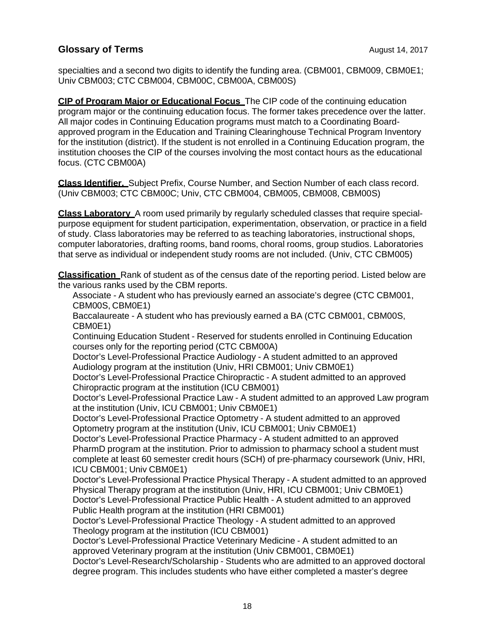specialties and a second two digits to identify the funding area. (CBM001, CBM009, CBM0E1; Univ CBM003; CTC CBM004, CBM00C, CBM00A, CBM00S)

**CIP of Program Major or Educational Focus** The CIP code of the continuing education program major or the continuing education focus. The former takes precedence over the latter. All major codes in Continuing Education programs must match to a Coordinating Boardapproved program in the Education and Training Clearinghouse Technical Program Inventory for the institution (district). If the student is not enrolled in a Continuing Education program, the institution chooses the CIP of the courses involving the most contact hours as the educational focus. (CTC CBM00A)

**Class Identifier.** Subject Prefix, Course Number, and Section Number of each class record. (Univ CBM003; CTC CBM00C; Univ, CTC CBM004, CBM005, CBM008, CBM00S)

**Class Laboratory** A room used primarily by regularly scheduled classes that require specialpurpose equipment for student participation, experimentation, observation, or practice in a field of study. Class laboratories may be referred to as teaching laboratories, instructional shops, computer laboratories, drafting rooms, band rooms, choral rooms, group studios. Laboratories that serve as individual or independent study rooms are not included. (Univ, CTC CBM005)

**Classification** Rank of student as of the census date of the reporting period. Listed below are the various ranks used by the CBM reports.

Associate - A student who has previously earned an associate's degree (CTC CBM001, CBM00S, CBM0E1)

Baccalaureate - A student who has previously earned a BA (CTC CBM001, CBM00S, CBM0E1)

Continuing Education Student - Reserved for students enrolled in Continuing Education courses only for the reporting period (CTC CBM00A)

Doctor's Level-Professional Practice Audiology - A student admitted to an approved Audiology program at the institution (Univ, HRI CBM001; Univ CBM0E1)

Doctor's Level-Professional Practice Chiropractic - A student admitted to an approved Chiropractic program at the institution (ICU CBM001)

Doctor's Level-Professional Practice Law - A student admitted to an approved Law program at the institution (Univ, ICU CBM001; Univ CBM0E1)

Doctor's Level-Professional Practice Optometry - A student admitted to an approved Optometry program at the institution (Univ, ICU CBM001; Univ CBM0E1)

Doctor's Level-Professional Practice Pharmacy - A student admitted to an approved PharmD program at the institution. Prior to admission to pharmacy school a student must complete at least 60 semester credit hours (SCH) of pre-pharmacy coursework (Univ, HRI, ICU CBM001; Univ CBM0E1)

Doctor's Level-Professional Practice Physical Therapy - A student admitted to an approved Physical Therapy program at the institution (Univ, HRI, ICU CBM001; Univ CBM0E1) Doctor's Level-Professional Practice Public Health - A student admitted to an approved Public Health program at the institution (HRI CBM001)

Doctor's Level-Professional Practice Theology - A student admitted to an approved Theology program at the institution (ICU CBM001)

Doctor's Level-Professional Practice Veterinary Medicine - A student admitted to an approved Veterinary program at the institution (Univ CBM001, CBM0E1)

Doctor's Level-Research/Scholarship - Students who are admitted to an approved doctoral degree program. This includes students who have either completed a master's degree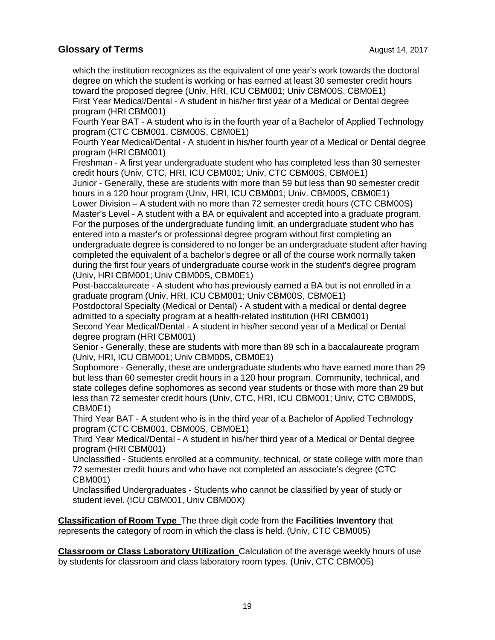which the institution recognizes as the equivalent of one year's work towards the doctoral degree on which the student is working or has earned at least 30 semester credit hours toward the proposed degree (Univ, HRI, ICU CBM001; Univ CBM00S, CBM0E1) First Year Medical/Dental - A student in his/her first year of a Medical or Dental degree

program (HRI CBM001)

Fourth Year BAT - A student who is in the fourth year of a Bachelor of Applied Technology program (CTC CBM001, CBM00S, CBM0E1)

Fourth Year Medical/Dental - A student in his/her fourth year of a Medical or Dental degree program (HRI CBM001)

Freshman - A first year undergraduate student who has completed less than 30 semester credit hours (Univ, CTC, HRI, ICU CBM001; Univ, CTC CBM00S, CBM0E1)

Junior - Generally, these are students with more than 59 but less than 90 semester credit hours in a 120 hour program (Univ, HRI, ICU CBM001; Univ. CBM00S, CBM0E1)

Lower Division – A student with no more than 72 semester credit hours (CTC CBM00S) Master's Level - A student with a BA or equivalent and accepted into a graduate program. For the purposes of the undergraduate funding limit, an undergraduate student who has entered into a master's or professional degree program without first completing an undergraduate degree is considered to no longer be an undergraduate student after having completed the equivalent of a bachelor's degree or all of the course work normally taken during the first four years of undergraduate course work in the student's degree program (Univ, HRI CBM001; Univ CBM00S, CBM0E1)

Post-baccalaureate - A student who has previously earned a BA but is not enrolled in a graduate program (Univ, HRI, ICU CBM001; Univ CBM00S, CBM0E1)

Postdoctoral Specialty (Medical or Dental) - A student with a medical or dental degree admitted to a specialty program at a health-related institution (HRI CBM001)

Second Year Medical/Dental - A student in his/her second year of a Medical or Dental degree program (HRI CBM001)

Senior - Generally, these are students with more than 89 sch in a baccalaureate program (Univ, HRI, ICU CBM001; Univ CBM00S, CBM0E1)

Sophomore - Generally, these are undergraduate students who have earned more than 29 but less than 60 semester credit hours in a 120 hour program. Community, technical, and state colleges define sophomores as second year students or those with more than 29 but less than 72 semester credit hours (Univ, CTC, HRI, ICU CBM001; Univ, CTC CBM00S, CBM0E1)

Third Year BAT - A student who is in the third year of a Bachelor of Applied Technology program (CTC CBM001, CBM00S, CBM0E1)

Third Year Medical/Dental - A student in his/her third year of a Medical or Dental degree program (HRI CBM001)

Unclassified - Students enrolled at a community, technical, or state college with more than 72 semester credit hours and who have not completed an associate's degree (CTC CBM001)

Unclassified Undergraduates - Students who cannot be classified by year of study or student level. (ICU CBM001, Univ CBM00X)

**Classification of Room Type** The three digit code from the **Facilities Inventory** that represents the category of room in which the class is held. (Univ, CTC CBM005)

**Classroom or Class Laboratory Utilization** Calculation of the average weekly hours of use by students for classroom and class laboratory room types. (Univ, CTC CBM005)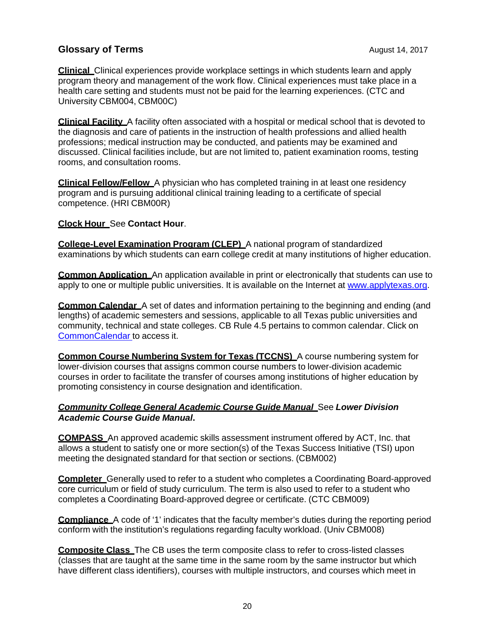**Clinical** Clinical experiences provide workplace settings in which students learn and apply program theory and management of the work flow. Clinical experiences must take place in a health care setting and students must not be paid for the learning experiences. (CTC and University CBM004, CBM00C)

**Clinical Facility** A facility often associated with a hospital or medical school that is devoted to the diagnosis and care of patients in the instruction of health professions and allied health professions; medical instruction may be conducted, and patients may be examined and discussed. Clinical facilities include, but are not limited to, patient examination rooms, testing rooms, and consultation rooms.

**Clinical Fellow/Fellow** A physician who has completed training in at least one residency program and is pursuing additional clinical training leading to a certificate of special competence. (HRI CBM00R)

#### **Clock Hour** See **Contact Hour**.

**College-Level Examination Program (CLEP)** A national program of standardized examinations by which students can earn college credit at many institutions of higher education.

**Common Application** An application available in print or electronically that students can use to apply to one or multiple public universities. It is available on the Internet at www.applytexas.org.

**Common Calendar** A set of dates and information pertaining to the beginning and ending (and lengths) of academic semesters and sessions, applicable to all Texas public universities and community, technical and state colleges. CB Rule 4.5 pertains to common calendar. Click on CommonCalendar to access it.

**Common Course Numbering System for Texas (TCCNS)** A course numbering system for lower-division courses that assigns common course numbers to lower-division academic courses in order to facilitate the transfer of courses among institutions of higher education by promoting consistency in course designation and identification.

#### *Community College General Academic Course Guide Manual* See *Lower Division Academic Course Guide Manual***.**

**COMPASS** An approved academic skills assessment instrument offered by ACT, Inc. that allows a student to satisfy one or more section(s) of the Texas Success Initiative (TSI) upon meeting the designated standard for that section or sections. (CBM002)

**Completer** Generally used to refer to a student who completes a Coordinating Board-approved core curriculum or field of study curriculum. The term is also used to refer to a student who completes a Coordinating Board-approved degree or certificate. (CTC CBM009)

**Compliance** A code of '1' indicates that the faculty member's duties during the reporting period conform with the institution's regulations regarding faculty workload. (Univ CBM008)

**Composite Class** The CB uses the term composite class to refer to cross-listed classes (classes that are taught at the same time in the same room by the same instructor but which have different class identifiers), courses with multiple instructors, and courses which meet in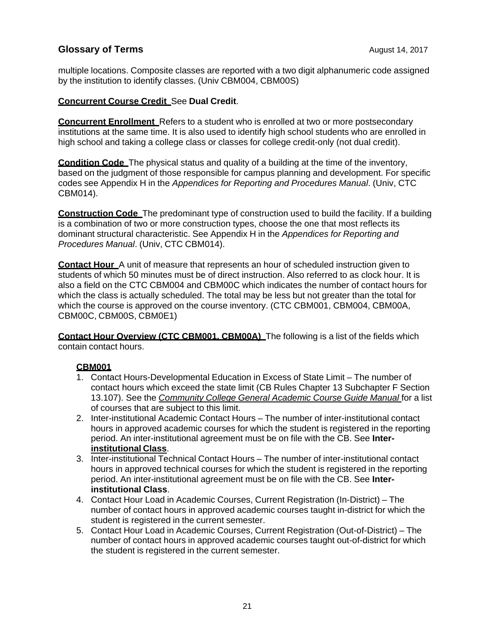multiple locations. Composite classes are reported with a two digit alphanumeric code assigned by the institution to identify classes. (Univ CBM004, CBM00S)

#### **Concurrent Course Credit** See **Dual Credit**.

**Concurrent Enrollment** Refers to a student who is enrolled at two or more postsecondary institutions at the same time. It is also used to identify high school students who are enrolled in high school and taking a college class or classes for college credit-only (not dual credit).

**Condition Code** The physical status and quality of a building at the time of the inventory, based on the judgment of those responsible for campus planning and development. For specific codes see Appendix H in the *Appendices for Reporting and Procedures Manual*. (Univ, CTC CBM014).

**Construction Code** The predominant type of construction used to build the facility. If a building is a combination of two or more construction types, choose the one that most reflects its dominant structural characteristic. See Appendix H in the *Appendices for Reporting and Procedures Manual*. (Univ, CTC CBM014).

**Contact Hour** A unit of measure that represents an hour of scheduled instruction given to students of which 50 minutes must be of direct instruction. Also referred to as clock hour. It is also a field on the CTC CBM004 and CBM00C which indicates the number of contact hours for which the class is actually scheduled. The total may be less but not greater than the total for which the course is approved on the course inventory. (CTC CBM001, CBM004, CBM00A, CBM00C, CBM00S, CBM0E1)

**Contact Hour Overview (CTC CBM001, CBM00A)** The following is a list of the fields which contain contact hours.

#### **CBM001**

- 1. Contact Hours-Developmental Education in Excess of State Limit The number of contact hours which exceed the state limit (CB Rules Chapter 13 Subchapter F Section 13.107). See the *Community College General Academic Course Guide Manual* for a list of courses that are subject to this limit.
- 2. Inter-institutional Academic Contact Hours The number of inter-institutional contact hours in approved academic courses for which the student is registered in the reporting period. An inter-institutional agreement must be on file with the CB. See **Interinstitutional Class**.
- 3. Inter-institutional Technical Contact Hours The number of inter-institutional contact hours in approved technical courses for which the student is registered in the reporting period. An inter-institutional agreement must be on file with the CB. See **Interinstitutional Class**.
- 4. Contact Hour Load in Academic Courses, Current Registration (In-District) The number of contact hours in approved academic courses taught in-district for which the student is registered in the current semester.
- 5. Contact Hour Load in Academic Courses, Current Registration (Out-of-District) The number of contact hours in approved academic courses taught out-of-district for which the student is registered in the current semester.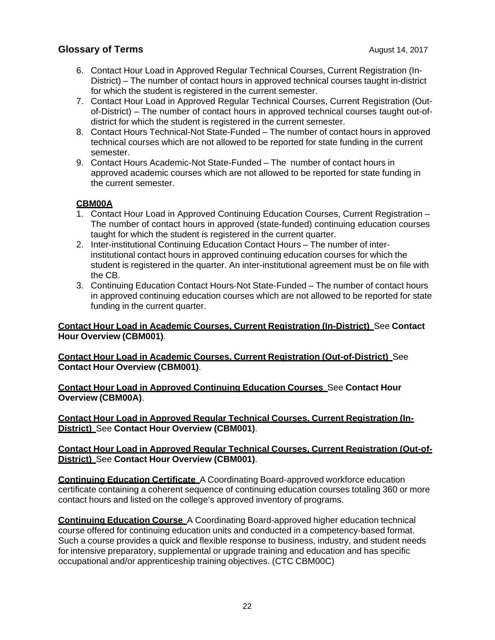- 6. Contact Hour Load in Approved Regular Technical Courses, Current Registration (In-District) – The number of contact hours in approved technical courses taught in-district for which the student is registered in the current semester.
- 7. Contact Hour Load in Approved Regular Technical Courses, Current Registration (Outof-District) – The number of contact hours in approved technical courses taught out-ofdistrict for which the student is registered in the current semester.
- 8. Contact Hours Technical-Not State-Funded The number of contact hours in approved technical courses which are not allowed to be reported for state funding in the current semester.
- 9. Contact Hours Academic-Not State-Funded The number of contact hours in approved academic courses which are not allowed to be reported for state funding in the current semester.

#### **CBM00A**

- 1. Contact Hour Load in Approved Continuing Education Courses, Current Registration The number of contact hours in approved (state-funded) continuing education courses taught for which the student is registered in the current quarter.
- 2. Inter-institutional Continuing Education Contact Hours The number of interinstitutional contact hours in approved continuing education courses for which the student is registered in the quarter. An inter-institutional agreement must be on file with the CB.
- 3. Continuing Education Contact Hours-Not State-Funded The number of contact hours in approved continuing education courses which are not allowed to be reported for state funding in the current quarter.

#### **Contact Hour Load in Academic Courses, Current Registration (In-District)** See **Contact Hour Overview (CBM001)**.

**Contact Hour Load in Academic Courses, Current Registration (Out-of-District)** See **Contact Hour Overview (CBM001)**.

**Contact Hour Load in Approved Continuing Education Courses** See **Contact Hour Overview (CBM00A)**.

**Contact Hour Load in Approved Regular Technical Courses, Current Registration (In-District)** See **Contact Hour Overview (CBM001)**.

#### **Contact Hour Load in Approved Regular Technical Courses, Current Registration (Out-of-District)** See **Contact Hour Overview (CBM001)**.

**Continuing Education Certificate** A Coordinating Board-approved workforce education certificate containing a coherent sequence of continuing education courses totaling 360 or more contact hours and listed on the college's approved inventory of programs.

**Continuing Education Course** A Coordinating Board-approved higher education technical course offered for continuing education units and conducted in a competency-based format. Such a course provides a quick and flexible response to business, industry, and student needs for intensive preparatory, supplemental or upgrade training and education and has specific occupational and/or apprenticeship training objectives. (CTC CBM00C)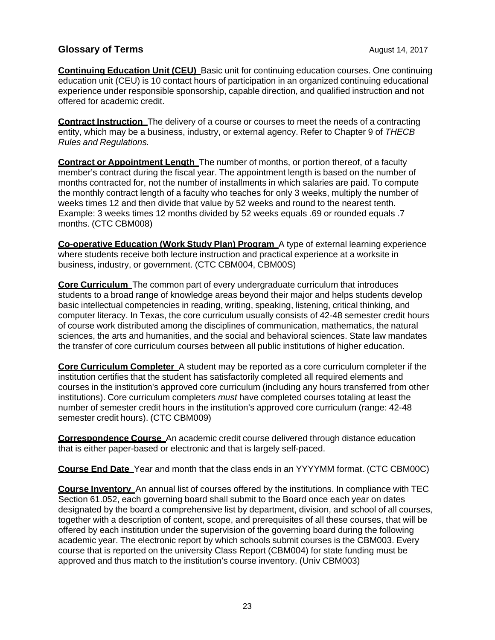**Continuing Education Unit (CEU)** Basic unit for continuing education courses. One continuing education unit (CEU) is 10 contact hours of participation in an organized continuing educational experience under responsible sponsorship, capable direction, and qualified instruction and not offered for academic credit.

**Contract Instruction** The delivery of a course or courses to meet the needs of a contracting entity, which may be a business, industry, or external agency. Refer to Chapter 9 of *THECB Rules and Regulations.*

**Contract or Appointment Length** The number of months, or portion thereof, of a faculty member's contract during the fiscal year. The appointment length is based on the number of months contracted for, not the number of installments in which salaries are paid. To compute the monthly contract length of a faculty who teaches for only 3 weeks, multiply the number of weeks times 12 and then divide that value by 52 weeks and round to the nearest tenth. Example: 3 weeks times 12 months divided by 52 weeks equals .69 or rounded equals .7 months. (CTC CBM008)

**Co-operative Education (Work Study Plan) Program** A type of external learning experience where students receive both lecture instruction and practical experience at a worksite in business, industry, or government. (CTC CBM004, CBM00S)

**Core Curriculum** The common part of every undergraduate curriculum that introduces students to a broad range of knowledge areas beyond their major and helps students develop basic intellectual competencies in reading, writing, speaking, listening, critical thinking, and computer literacy. In Texas, the core curriculum usually consists of 42-48 semester credit hours of course work distributed among the disciplines of communication, mathematics, the natural sciences, the arts and humanities, and the social and behavioral sciences. State law mandates the transfer of core curriculum courses between all public institutions of higher education.

**Core Curriculum Completer** A student may be reported as a core curriculum completer if the institution certifies that the student has satisfactorily completed all required elements and courses in the institution's approved core curriculum (including any hours transferred from other institutions). Core curriculum completers *must* have completed courses totaling at least the number of semester credit hours in the institution's approved core curriculum (range: 42-48 semester credit hours). (CTC CBM009)

**Correspondence Course** An academic credit course delivered through distance education that is either paper-based or electronic and that is largely self-paced.

**Course End Date** Year and month that the class ends in an YYYYMM format. (CTC CBM00C)

**Course Inventory** An annual list of courses offered by the institutions. In compliance with TEC Section 61.052, each governing board shall submit to the Board once each year on dates designated by the board a comprehensive list by department, division, and school of all courses, together with a description of content, scope, and prerequisites of all these courses, that will be offered by each institution under the supervision of the governing board during the following academic year. The electronic report by which schools submit courses is the CBM003. Every course that is reported on the university Class Report (CBM004) for state funding must be approved and thus match to the institution's course inventory. (Univ CBM003)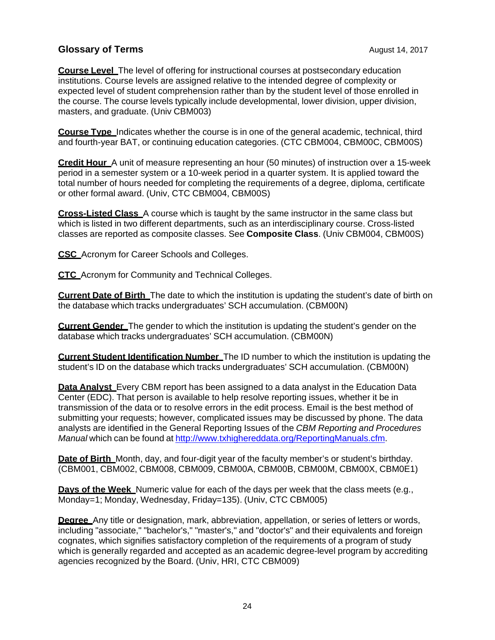**Course Level** The level of offering for instructional courses at postsecondary education institutions. Course levels are assigned relative to the intended degree of complexity or expected level of student comprehension rather than by the student level of those enrolled in the course. The course levels typically include developmental, lower division, upper division, masters, and graduate. (Univ CBM003)

**Course Type** Indicates whether the course is in one of the general academic, technical, third and fourth-year BAT, or continuing education categories. (CTC CBM004, CBM00C, CBM00S)

**Credit Hour** A unit of measure representing an hour (50 minutes) of instruction over a 15-week period in a semester system or a 10-week period in a quarter system. It is applied toward the total number of hours needed for completing the requirements of a degree, diploma, certificate or other formal award. (Univ, CTC CBM004, CBM00S)

**Cross-Listed Class** A course which is taught by the same instructor in the same class but which is listed in two different departments, such as an interdisciplinary course. Cross-listed classes are reported as composite classes. See **Composite Class**. (Univ CBM004, CBM00S)

**CSC** Acronym for Career Schools and Colleges.

**CTC** Acronym for Community and Technical Colleges.

**Current Date of Birth** The date to which the institution is updating the student's date of birth on the database which tracks undergraduates' SCH accumulation. (CBM00N)

**Current Gender** The gender to which the institution is updating the student's gender on the database which tracks undergraduates' SCH accumulation. (CBM00N)

**Current Student Identification Number** The ID number to which the institution is updating the student's ID on the database which tracks undergraduates' SCH accumulation. (CBM00N)

**Data Analyst** Every CBM report has been assigned to a data analyst in the Education Data Center (EDC). That person is available to help resolve reporting issues, whether it be in transmission of the data or to resolve errors in the edit process. Email is the best method of submitting your requests; however, complicated issues may be discussed by phone. The data analysts are identified in the General Reporting Issues of the *CBM Reporting and Procedures Manual* which can be found at http://www.txhighereddata.org/ReportingManuals.cfm.

**Date of Birth** Month, day, and four-digit year of the faculty member's or student's birthday. (CBM001, CBM002, CBM008, CBM009, CBM00A, CBM00B, CBM00M, CBM00X, CBM0E1)

**Days of the Week** Numeric value for each of the days per week that the class meets (e.g., Monday=1; Monday, Wednesday, Friday=135). (Univ, CTC CBM005)

**Degree** Any title or designation, mark, abbreviation, appellation, or series of letters or words, including "associate," "bachelor's," "master's," and "doctor's" and their equivalents and foreign cognates, which signifies satisfactory completion of the requirements of a program of study which is generally regarded and accepted as an academic degree-level program by accrediting agencies recognized by the Board. (Univ, HRI, CTC CBM009)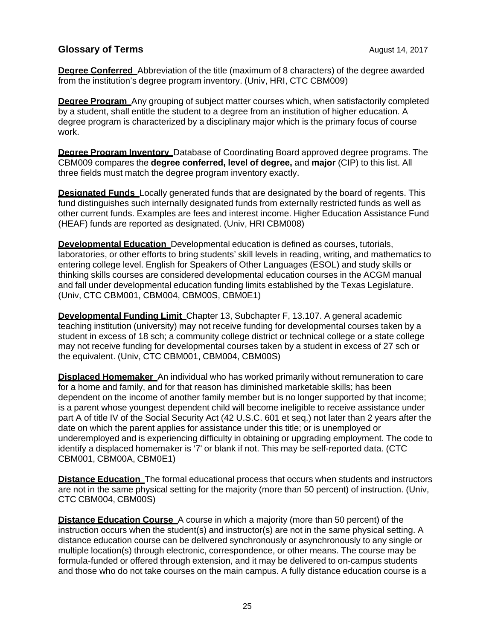**Degree Conferred** Abbreviation of the title (maximum of 8 characters) of the degree awarded from the institution's degree program inventory. (Univ, HRI, CTC CBM009)

**Degree Program** Any grouping of subject matter courses which, when satisfactorily completed by a student, shall entitle the student to a degree from an institution of higher education. A degree program is characterized by a disciplinary major which is the primary focus of course work.

**Degree Program Inventory** Database of Coordinating Board approved degree programs. The CBM009 compares the **degree conferred, level of degree,** and **major** (CIP) to this list. All three fields must match the degree program inventory exactly.

**Designated Funds** Locally generated funds that are designated by the board of regents. This fund distinguishes such internally designated funds from externally restricted funds as well as other current funds. Examples are fees and interest income. Higher Education Assistance Fund (HEAF) funds are reported as designated. (Univ, HRI CBM008)

**Developmental Education** Developmental education is defined as courses, tutorials, laboratories, or other efforts to bring students' skill levels in reading, writing, and mathematics to entering college level. English for Speakers of Other Languages (ESOL) and study skills or thinking skills courses are considered developmental education courses in the ACGM manual and fall under developmental education funding limits established by the Texas Legislature. (Univ, CTC CBM001, CBM004, CBM00S, CBM0E1)

**Developmental Funding Limit** Chapter 13, Subchapter F, 13.107. A general academic teaching institution (university) may not receive funding for developmental courses taken by a student in excess of 18 sch; a community college district or technical college or a state college may not receive funding for developmental courses taken by a student in excess of 27 sch or the equivalent. (Univ, CTC CBM001, CBM004, CBM00S)

**Displaced Homemaker** An individual who has worked primarily without remuneration to care for a home and family, and for that reason has diminished marketable skills; has been dependent on the income of another family member but is no longer supported by that income; is a parent whose youngest dependent child will become ineligible to receive assistance under part A of title IV of the Social Security Act (42 U.S.C. 601 et seq.) not later than 2 years after the date on which the parent applies for assistance under this title; or is unemployed or underemployed and is experiencing difficulty in obtaining or upgrading employment. The code to identify a displaced homemaker is '7' or blank if not. This may be self-reported data. (CTC CBM001, CBM00A, CBM0E1)

**Distance Education** The formal educational process that occurs when students and instructors are not in the same physical setting for the majority (more than 50 percent) of instruction. (Univ, CTC CBM004, CBM00S)

**Distance Education Course** A course in which a majority (more than 50 percent) of the instruction occurs when the student(s) and instructor(s) are not in the same physical setting. A distance education course can be delivered synchronously or asynchronously to any single or multiple location(s) through electronic, correspondence, or other means. The course may be formula-funded or offered through extension, and it may be delivered to on-campus students and those who do not take courses on the main campus. A fully distance education course is a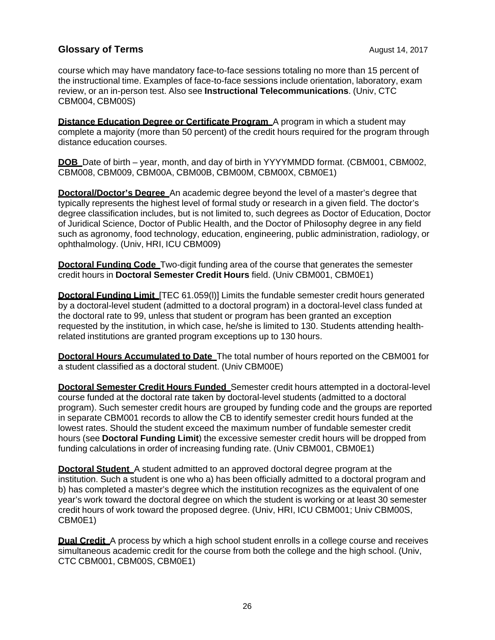course which may have mandatory face-to-face sessions totaling no more than 15 percent of the instructional time. Examples of face-to-face sessions include orientation, laboratory, exam review, or an in-person test. Also see **Instructional Telecommunications**. (Univ, CTC CBM004, CBM00S)

**Distance Education Degree or Certificate Program** A program in which a student may complete a majority (more than 50 percent) of the credit hours required for the program through distance education courses.

**DOB** Date of birth – year, month, and day of birth in YYYYMMDD format. (CBM001, CBM002, CBM008, CBM009, CBM00A, CBM00B, CBM00M, CBM00X, CBM0E1)

**Doctoral/Doctor's Degree** An academic degree beyond the level of a master's degree that typically represents the highest level of formal study or research in a given field. The doctor's degree classification includes, but is not limited to, such degrees as Doctor of Education, Doctor of Juridical Science, Doctor of Public Health, and the Doctor of Philosophy degree in any field such as agronomy, food technology, education, engineering, public administration, radiology, or ophthalmology. (Univ, HRI, ICU CBM009)

**Doctoral Funding Code** Two-digit funding area of the course that generates the semester credit hours in **Doctoral Semester Credit Hours** field. (Univ CBM001, CBM0E1)

**Doctoral Funding Limit** [TEC 61.059(I)] Limits the fundable semester credit hours generated by a doctoral-level student (admitted to a doctoral program) in a doctoral-level class funded at the doctoral rate to 99, unless that student or program has been granted an exception requested by the institution, in which case, he/she is limited to 130. Students attending healthrelated institutions are granted program exceptions up to 130 hours.

**Doctoral Hours Accumulated to Date** The total number of hours reported on the CBM001 for a student classified as a doctoral student. (Univ CBM00E)

**Doctoral Semester Credit Hours Funded** Semester credit hours attempted in a doctoral-level course funded at the doctoral rate taken by doctoral-level students (admitted to a doctoral program). Such semester credit hours are grouped by funding code and the groups are reported in separate CBM001 records to allow the CB to identify semester credit hours funded at the lowest rates. Should the student exceed the maximum number of fundable semester credit hours (see **Doctoral Funding Limit**) the excessive semester credit hours will be dropped from funding calculations in order of increasing funding rate. (Univ CBM001, CBM0E1)

**Doctoral Student** A student admitted to an approved doctoral degree program at the institution. Such a student is one who a) has been officially admitted to a doctoral program and b) has completed a master's degree which the institution recognizes as the equivalent of one year's work toward the doctoral degree on which the student is working or at least 30 semester credit hours of work toward the proposed degree. (Univ, HRI, ICU CBM001; Univ CBM00S, CBM0E1)

**Dual Credit** A process by which a high school student enrolls in a college course and receives simultaneous academic credit for the course from both the college and the high school. (Univ, CTC CBM001, CBM00S, CBM0E1)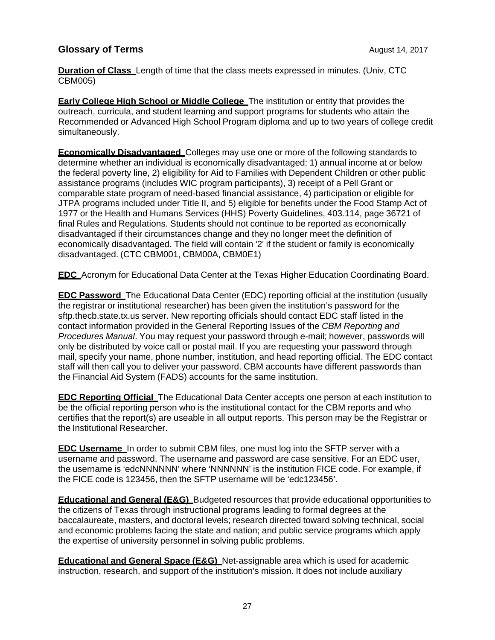**Duration of Class** Length of time that the class meets expressed in minutes. (Univ, CTC CBM005)

**Early College High School or Middle College** The institution or entity that provides the outreach, curricula, and student learning and support programs for students who attain the Recommended or Advanced High School Program diploma and up to two years of college credit simultaneously.

**Economically Disadvantaged** Colleges may use one or more of the following standards to determine whether an individual is economically disadvantaged: 1) annual income at or below the federal poverty line, 2) eligibility for Aid to Families with Dependent Children or other public assistance programs (includes WIC program participants), 3) receipt of a Pell Grant or comparable state program of need-based financial assistance, 4) participation or eligible for JTPA programs included under Title II, and 5) eligible for benefits under the Food Stamp Act of 1977 or the Health and Humans Services (HHS) Poverty Guidelines, 403.114, page 36721 of final Rules and Regulations. Students should not continue to be reported as economically disadvantaged if their circumstances change and they no longer meet the definition of economically disadvantaged. The field will contain '2' if the student or family is economically disadvantaged. (CTC CBM001, CBM00A, CBM0E1)

**EDC** Acronym for Educational Data Center at the Texas Higher Education Coordinating Board.

**EDC Password** The Educational Data Center (EDC) reporting official at the institution (usually the registrar or institutional researcher) has been given the institution's password for the sftp.thecb.state.tx.us server. New reporting officials should contact EDC staff listed in the contact information provided in the General Reporting Issues of the *CBM Reporting and Procedures Manual*. You may request your password through e-mail; however, passwords will only be distributed by voice call or postal mail. If you are requesting your password through mail, specify your name, phone number, institution, and head reporting official. The EDC contact staff will then call you to deliver your password. CBM accounts have different passwords than the Financial Aid System (FADS) accounts for the same institution.

**EDC Reporting Official** The Educational Data Center accepts one person at each institution to be the official reporting person who is the institutional contact for the CBM reports and who certifies that the report(s) are useable in all output reports. This person may be the Registrar or the Institutional Researcher.

**EDC Username** In order to submit CBM files, one must log into the SFTP server with a username and password. The username and password are case sensitive. For an EDC user, the username is 'edcNNNNNN' where 'NNNNNN' is the institution FICE code. For example, if the FICE code is 123456, then the SFTP username will be 'edc123456'.

**Educational and General (E&G)** Budgeted resources that provide educational opportunities to the citizens of Texas through instructional programs leading to formal degrees at the baccalaureate, masters, and doctoral levels; research directed toward solving technical, social and economic problems facing the state and nation; and public service programs which apply the expertise of university personnel in solving public problems.

**Educational and General Space (E&G)** Net-assignable area which is used for academic instruction, research, and support of the institution's mission. It does not include auxiliary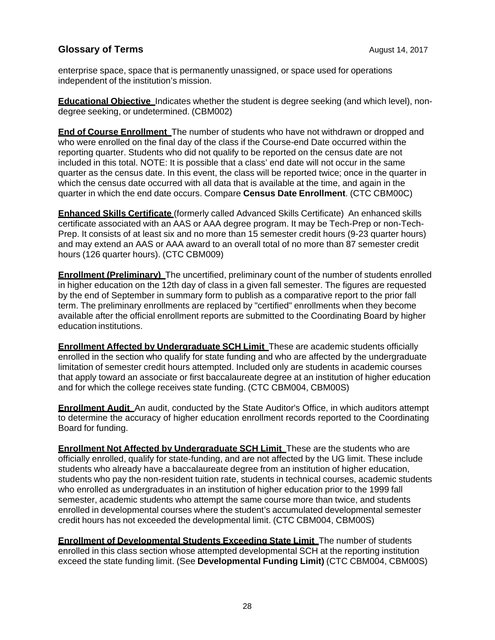enterprise space, space that is permanently unassigned, or space used for operations independent of the institution's mission.

**Educational Objective** Indicates whether the student is degree seeking (and which level), nondegree seeking, or undetermined. (CBM002)

**End of Course Enrollment** The number of students who have not withdrawn or dropped and who were enrolled on the final day of the class if the Course-end Date occurred within the reporting quarter. Students who did not qualify to be reported on the census date are not included in this total. NOTE: It is possible that a class' end date will not occur in the same quarter as the census date. In this event, the class will be reported twice; once in the quarter in which the census date occurred with all data that is available at the time, and again in the quarter in which the end date occurs. Compare **Census Date Enrollment**. (CTC CBM00C)

**Enhanced Skills Certificate** (formerly called Advanced Skills Certificate) An enhanced skills certificate associated with an AAS or AAA degree program. It may be Tech-Prep or non-Tech-Prep. It consists of at least six and no more than 15 semester credit hours (9-23 quarter hours) and may extend an AAS or AAA award to an overall total of no more than 87 semester credit hours (126 quarter hours). (CTC CBM009)

**Enrollment (Preliminary)** The uncertified, preliminary count of the number of students enrolled in higher education on the 12th day of class in a given fall semester. The figures are requested by the end of September in summary form to publish as a comparative report to the prior fall term. The preliminary enrollments are replaced by "certified" enrollments when they become available after the official enrollment reports are submitted to the Coordinating Board by higher education institutions.

**Enrollment Affected by Undergraduate SCH Limit** These are academic students officially enrolled in the section who qualify for state funding and who are affected by the undergraduate limitation of semester credit hours attempted. Included only are students in academic courses that apply toward an associate or first baccalaureate degree at an institution of higher education and for which the college receives state funding. (CTC CBM004, CBM00S)

**Enrollment Audit** An audit, conducted by the State Auditor's Office, in which auditors attempt to determine the accuracy of higher education enrollment records reported to the Coordinating Board for funding.

**Enrollment Not Affected by Undergraduate SCH Limit** These are the students who are officially enrolled, qualify for state-funding, and are not affected by the UG limit. These include students who already have a baccalaureate degree from an institution of higher education, students who pay the non-resident tuition rate, students in technical courses, academic students who enrolled as undergraduates in an institution of higher education prior to the 1999 fall semester, academic students who attempt the same course more than twice, and students enrolled in developmental courses where the student's accumulated developmental semester credit hours has not exceeded the developmental limit. (CTC CBM004, CBM00S)

**Enrollment of Developmental Students Exceeding State Limit** The number of students enrolled in this class section whose attempted developmental SCH at the reporting institution exceed the state funding limit. (See **Developmental Funding Limit)** (CTC CBM004, CBM00S)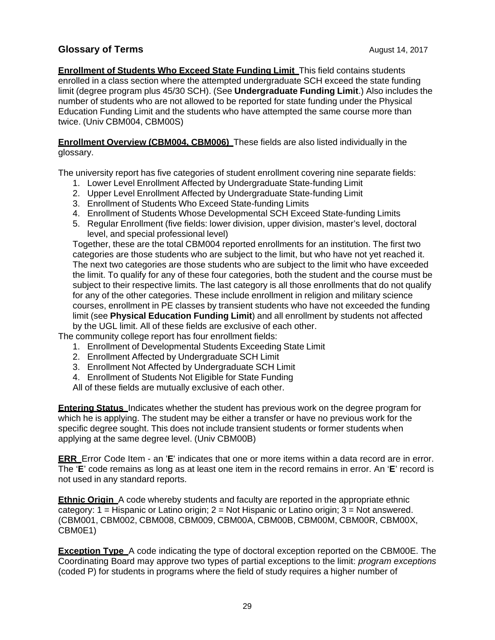**Enrollment of Students Who Exceed State Funding Limit** This field contains students enrolled in a class section where the attempted undergraduate SCH exceed the state funding limit (degree program plus 45/30 SCH). (See **Undergraduate Funding Limit**.) Also includes the number of students who are not allowed to be reported for state funding under the Physical Education Funding Limit and the students who have attempted the same course more than twice. (Univ CBM004, CBM00S)

**Enrollment Overview (CBM004, CBM006)** These fields are also listed individually in the glossary.

The university report has five categories of student enrollment covering nine separate fields:

- 1. Lower Level Enrollment Affected by Undergraduate State-funding Limit
- 2. Upper Level Enrollment Affected by Undergraduate State-funding Limit
- 3. Enrollment of Students Who Exceed State-funding Limits
- 4. Enrollment of Students Whose Developmental SCH Exceed State-funding Limits
- 5. Regular Enrollment (five fields: lower division, upper division, master's level, doctoral level, and special professional level)

Together, these are the total CBM004 reported enrollments for an institution. The first two categories are those students who are subject to the limit, but who have not yet reached it. The next two categories are those students who are subject to the limit who have exceeded the limit. To qualify for any of these four categories, both the student and the course must be subject to their respective limits. The last category is all those enrollments that do not qualify for any of the other categories. These include enrollment in religion and military science courses, enrollment in PE classes by transient students who have not exceeded the funding limit (see **Physical Education Funding Limit**) and all enrollment by students not affected by the UGL limit. All of these fields are exclusive of each other.

The community college report has four enrollment fields:

- 1. Enrollment of Developmental Students Exceeding State Limit
- 2. Enrollment Affected by Undergraduate SCH Limit
- 3. Enrollment Not Affected by Undergraduate SCH Limit
- 4. Enrollment of Students Not Eligible for State Funding

All of these fields are mutually exclusive of each other.

**Entering Status** Indicates whether the student has previous work on the degree program for which he is applying. The student may be either a transfer or have no previous work for the specific degree sought. This does not include transient students or former students when applying at the same degree level. (Univ CBM00B)

**ERR** Error Code Item - an '**E**' indicates that one or more items within a data record are in error. The '**E**' code remains as long as at least one item in the record remains in error. An '**E**' record is not used in any standard reports.

**Ethnic Origin** A code whereby students and faculty are reported in the appropriate ethnic category:  $1 =$  Hispanic or Latino origin;  $2 =$  Not Hispanic or Latino origin;  $3 =$  Not answered. (CBM001, CBM002, CBM008, CBM009, CBM00A, CBM00B, CBM00M, CBM00R, CBM00X, CBM0E1)

**Exception Type** A code indicating the type of doctoral exception reported on the CBM00E. The Coordinating Board may approve two types of partial exceptions to the limit: *program exceptions* (coded P) for students in programs where the field of study requires a higher number of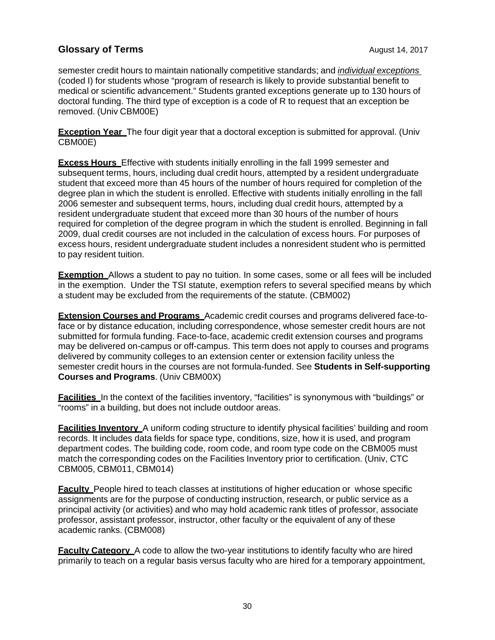semester credit hours to maintain nationally competitive standards; and *individual exceptions* (coded I) for students whose "program of research is likely to provide substantial benefit to medical or scientific advancement." Students granted exceptions generate up to 130 hours of doctoral funding. The third type of exception is a code of R to request that an exception be removed. (Univ CBM00E)

**Exception Year** The four digit year that a doctoral exception is submitted for approval. (Univ CBM00E)

**Excess Hours** Effective with students initially enrolling in the fall 1999 semester and subsequent terms, hours, including dual credit hours, attempted by a resident undergraduate student that exceed more than 45 hours of the number of hours required for completion of the degree plan in which the student is enrolled. Effective with students initially enrolling in the fall 2006 semester and subsequent terms, hours, including dual credit hours, attempted by a resident undergraduate student that exceed more than 30 hours of the number of hours required for completion of the degree program in which the student is enrolled. Beginning in fall 2009, dual credit courses are not included in the calculation of excess hours. For purposes of excess hours, resident undergraduate student includes a nonresident student who is permitted to pay resident tuition.

**Exemption** Allows a student to pay no tuition. In some cases, some or all fees will be included in the exemption. Under the TSI statute, exemption refers to several specified means by which a student may be excluded from the requirements of the statute. (CBM002)

**Extension Courses and Programs** Academic credit courses and programs delivered face-toface or by distance education, including correspondence, whose semester credit hours are not submitted for formula funding. Face-to-face, academic credit extension courses and programs may be delivered on-campus or off-campus. This term does not apply to courses and programs delivered by community colleges to an extension center or extension facility unless the semester credit hours in the courses are not formula-funded. See **Students in Self-supporting Courses and Programs**. (Univ CBM00X)

**Facilities** In the context of the facilities inventory, "facilities" is synonymous with "buildings" or "rooms" in a building, but does not include outdoor areas.

**Facilities Inventory** A uniform coding structure to identify physical facilities' building and room records. It includes data fields for space type, conditions, size, how it is used, and program department codes. The building code, room code, and room type code on the CBM005 must match the corresponding codes on the Facilities Inventory prior to certification. (Univ, CTC CBM005, CBM011, CBM014)

**Faculty** People hired to teach classes at institutions of higher education or whose specific assignments are for the purpose of conducting instruction, research, or public service as a principal activity (or activities) and who may hold academic rank titles of professor, associate professor, assistant professor, instructor, other faculty or the equivalent of any of these academic ranks. (CBM008)

**Faculty Category** A code to allow the two-year institutions to identify faculty who are hired primarily to teach on a regular basis versus faculty who are hired for a temporary appointment,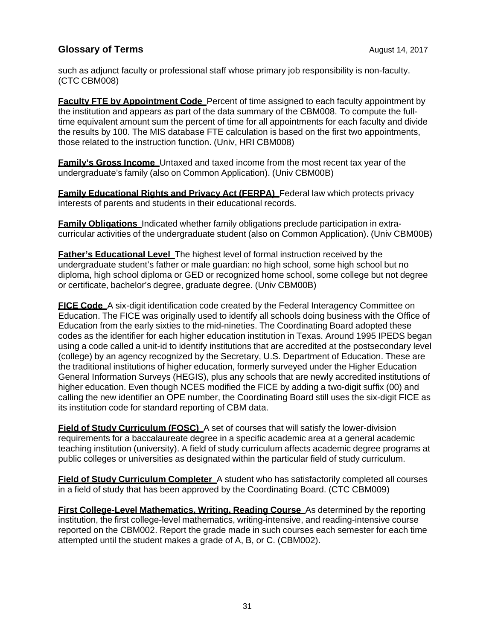such as adjunct faculty or professional staff whose primary job responsibility is non-faculty. (CTC CBM008)

**Faculty FTE by Appointment Code** Percent of time assigned to each faculty appointment by the institution and appears as part of the data summary of the CBM008. To compute the fulltime equivalent amount sum the percent of time for all appointments for each faculty and divide the results by 100. The MIS database FTE calculation is based on the first two appointments, those related to the instruction function. (Univ, HRI CBM008)

**Family's Gross Income** Untaxed and taxed income from the most recent tax year of the undergraduate's family (also on Common Application). (Univ CBM00B)

**Family Educational Rights and Privacy Act (FERPA)** Federal law which protects privacy interests of parents and students in their educational records.

**Family Obligations** Indicated whether family obligations preclude participation in extracurricular activities of the undergraduate student (also on Common Application). (Univ CBM00B)

**Father's Educational Level** The highest level of formal instruction received by the undergraduate student's father or male guardian: no high school, some high school but no diploma, high school diploma or GED or recognized home school, some college but not degree or certificate, bachelor's degree, graduate degree. (Univ CBM00B)

**FICE Code** A six-digit identification code created by the Federal Interagency Committee on Education. The FICE was originally used to identify all schools doing business with the Office of Education from the early sixties to the mid-nineties. The Coordinating Board adopted these codes as the identifier for each higher education institution in Texas. Around 1995 IPEDS began using a code called a unit-id to identify institutions that are accredited at the postsecondary level (college) by an agency recognized by the Secretary, U.S. Department of Education. These are the traditional institutions of higher education, formerly surveyed under the Higher Education General Information Surveys (HEGIS), plus any schools that are newly accredited institutions of higher education. Even though NCES modified the FICE by adding a two-digit suffix (00) and calling the new identifier an OPE number, the Coordinating Board still uses the six-digit FICE as its institution code for standard reporting of CBM data.

**Field of Study Curriculum (FOSC)** A set of courses that will satisfy the lower-division requirements for a baccalaureate degree in a specific academic area at a general academic teaching institution (university). A field of study curriculum affects academic degree programs at public colleges or universities as designated within the particular field of study curriculum.

**Field of Study Curriculum Completer** A student who has satisfactorily completed all courses in a field of study that has been approved by the Coordinating Board. (CTC CBM009)

**First College-Level Mathematics, Writing, Reading Course** As determined by the reporting institution, the first college-level mathematics, writing-intensive, and reading-intensive course reported on the CBM002. Report the grade made in such courses each semester for each time attempted until the student makes a grade of A, B, or C. (CBM002).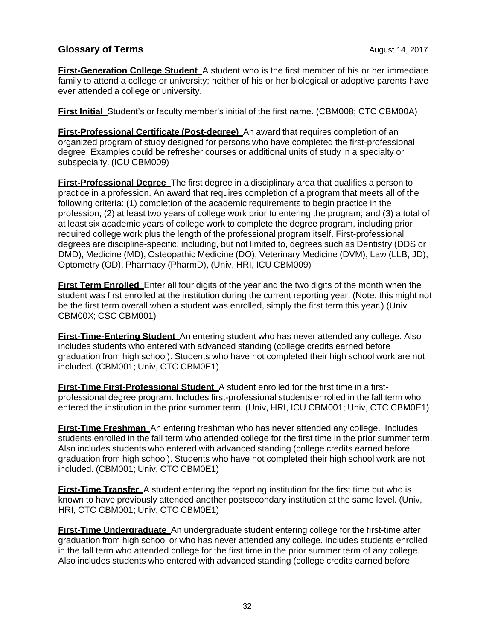**First-Generation College Student** A student who is the first member of his or her immediate family to attend a college or university; neither of his or her biological or adoptive parents have ever attended a college or university.

**First Initial** Student's or faculty member's initial of the first name. (CBM008; CTC CBM00A)

**First-Professional Certificate (Post-degree)** An award that requires completion of an organized program of study designed for persons who have completed the first-professional degree. Examples could be refresher courses or additional units of study in a specialty or subspecialty. (ICU CBM009)

**First-Professional Degree** The first degree in a disciplinary area that qualifies a person to practice in a profession. An award that requires completion of a program that meets all of the following criteria: (1) completion of the academic requirements to begin practice in the profession; (2) at least two years of college work prior to entering the program; and (3) a total of at least six academic years of college work to complete the degree program, including prior required college work plus the length of the professional program itself. First-professional degrees are discipline-specific, including, but not limited to, degrees such as Dentistry (DDS or DMD), Medicine (MD), Osteopathic Medicine (DO), Veterinary Medicine (DVM), Law (LLB, JD), Optometry (OD), Pharmacy (PharmD), (Univ, HRI, ICU CBM009)

**First Term Enrolled** Enter all four digits of the year and the two digits of the month when the student was first enrolled at the institution during the current reporting year. (Note: this might not be the first term overall when a student was enrolled, simply the first term this year.) (Univ CBM00X; CSC CBM001)

**First-Time-Entering Student** An entering student who has never attended any college. Also includes students who entered with advanced standing (college credits earned before graduation from high school). Students who have not completed their high school work are not included. (CBM001; Univ, CTC CBM0E1)

**First-Time First-Professional Student** A student enrolled for the first time in a firstprofessional degree program. Includes first-professional students enrolled in the fall term who entered the institution in the prior summer term. (Univ, HRI, ICU CBM001; Univ, CTC CBM0E1)

**First-Time Freshman** An entering freshman who has never attended any college. Includes students enrolled in the fall term who attended college for the first time in the prior summer term. Also includes students who entered with advanced standing (college credits earned before graduation from high school). Students who have not completed their high school work are not included. (CBM001; Univ, CTC CBM0E1)

**First-Time Transfer** A student entering the reporting institution for the first time but who is known to have previously attended another postsecondary institution at the same level. (Univ, HRI, CTC CBM001; Univ, CTC CBM0E1)

**First-Time Undergraduate** An undergraduate student entering college for the first-time after graduation from high school or who has never attended any college. Includes students enrolled in the fall term who attended college for the first time in the prior summer term of any college. Also includes students who entered with advanced standing (college credits earned before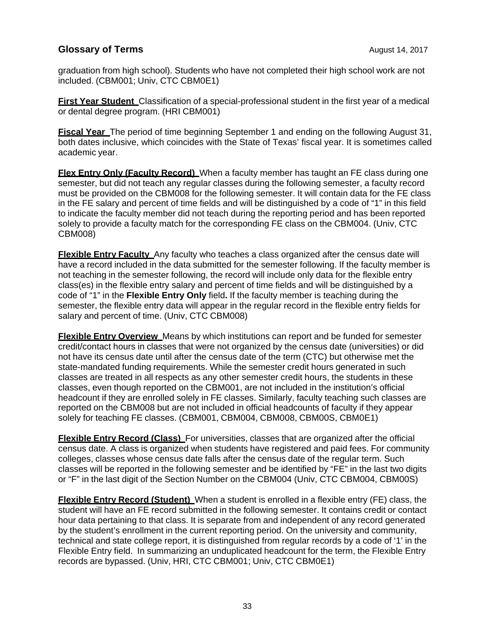graduation from high school). Students who have not completed their high school work are not included. (CBM001; Univ, CTC CBM0E1)

**First Year Student** Classification of a special-professional student in the first year of a medical or dental degree program. (HRI CBM001)

**Fiscal Year** The period of time beginning September 1 and ending on the following August 31, both dates inclusive, which coincides with the State of Texas' fiscal year. It is sometimes called academic year.

**Flex Entry Only (Faculty Record)** When a faculty member has taught an FE class during one semester, but did not teach any regular classes during the following semester, a faculty record must be provided on the CBM008 for the following semester. It will contain data for the FE class in the FE salary and percent of time fields and will be distinguished by a code of "1" in this field to indicate the faculty member did not teach during the reporting period and has been reported solely to provide a faculty match for the corresponding FE class on the CBM004. (Univ, CTC CBM008)

**Flexible Entry Faculty** Any faculty who teaches a class organized after the census date will have a record included in the data submitted for the semester following. If the faculty member is not teaching in the semester following, the record will include only data for the flexible entry class(es) in the flexible entry salary and percent of time fields and will be distinguished by a code of "1" in the **Flexible Entry Only** field**.** If the faculty member is teaching during the semester, the flexible entry data will appear in the regular record in the flexible entry fields for salary and percent of time. (Univ, CTC CBM008)

**Flexible Entry Overview** Means by which institutions can report and be funded for semester credit/contact hours in classes that were not organized by the census date (universities) or did not have its census date until after the census date of the term (CTC) but otherwise met the state-mandated funding requirements. While the semester credit hours generated in such classes are treated in all respects as any other semester credit hours, the students in these classes, even though reported on the CBM001, are not included in the institution's official headcount if they are enrolled solely in FE classes. Similarly, faculty teaching such classes are reported on the CBM008 but are not included in official headcounts of faculty if they appear solely for teaching FE classes. (CBM001, CBM004, CBM008, CBM00S, CBM0E1)

**Flexible Entry Record (Class)** For universities, classes that are organized after the official census date. A class is organized when students have registered and paid fees. For community colleges, classes whose census date falls after the census date of the regular term. Such classes will be reported in the following semester and be identified by "FE" in the last two digits or "F" in the last digit of the Section Number on the CBM004 (Univ, CTC CBM004, CBM00S)

**Flexible Entry Record (Student)** When a student is enrolled in a flexible entry (FE) class, the student will have an FE record submitted in the following semester. It contains credit or contact hour data pertaining to that class. It is separate from and independent of any record generated by the student's enrollment in the current reporting period. On the university and community, technical and state college report, it is distinguished from regular records by a code of '1' in the Flexible Entry field. In summarizing an unduplicated headcount for the term, the Flexible Entry records are bypassed. (Univ, HRI, CTC CBM001; Univ, CTC CBM0E1)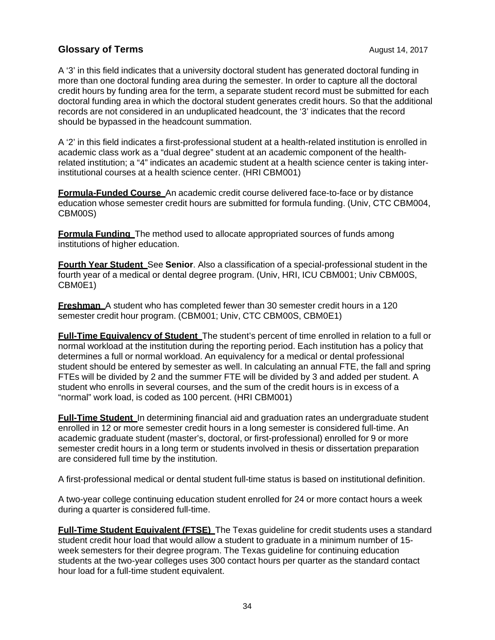A '3' in this field indicates that a university doctoral student has generated doctoral funding in more than one doctoral funding area during the semester. In order to capture all the doctoral credit hours by funding area for the term, a separate student record must be submitted for each doctoral funding area in which the doctoral student generates credit hours. So that the additional records are not considered in an unduplicated headcount, the '3' indicates that the record should be bypassed in the headcount summation.

A '2' in this field indicates a first-professional student at a health-related institution is enrolled in academic class work as a "dual degree" student at an academic component of the healthrelated institution; a "4" indicates an academic student at a health science center is taking interinstitutional courses at a health science center. (HRI CBM001)

**Formula-Funded Course** An academic credit course delivered face-to-face or by distance education whose semester credit hours are submitted for formula funding. (Univ, CTC CBM004, CBM00S)

**Formula Funding** The method used to allocate appropriated sources of funds among institutions of higher education.

**Fourth Year Student** See **Senior**. Also a classification of a special-professional student in the fourth year of a medical or dental degree program. (Univ, HRI, ICU CBM001; Univ CBM00S, CBM0E1)

**Freshman** A student who has completed fewer than 30 semester credit hours in a 120 semester credit hour program. (CBM001; Univ, CTC CBM00S, CBM0E1)

**Full-Time Equivalency of Student** The student's percent of time enrolled in relation to a full or normal workload at the institution during the reporting period. Each institution has a policy that determines a full or normal workload. An equivalency for a medical or dental professional student should be entered by semester as well. In calculating an annual FTE, the fall and spring FTEs will be divided by 2 and the summer FTE will be divided by 3 and added per student. A student who enrolls in several courses, and the sum of the credit hours is in excess of a "normal" work load, is coded as 100 percent. (HRI CBM001)

**Full-Time Student** In determining financial aid and graduation rates an undergraduate student enrolled in 12 or more semester credit hours in a long semester is considered full-time. An academic graduate student (master's, doctoral, or first-professional) enrolled for 9 or more semester credit hours in a long term or students involved in thesis or dissertation preparation are considered full time by the institution.

A first-professional medical or dental student full-time status is based on institutional definition.

A two-year college continuing education student enrolled for 24 or more contact hours a week during a quarter is considered full-time.

**Full-Time Student Equivalent (FTSE)** The Texas guideline for credit students uses a standard student credit hour load that would allow a student to graduate in a minimum number of 15 week semesters for their degree program. The Texas guideline for continuing education students at the two-year colleges uses 300 contact hours per quarter as the standard contact hour load for a full-time student equivalent.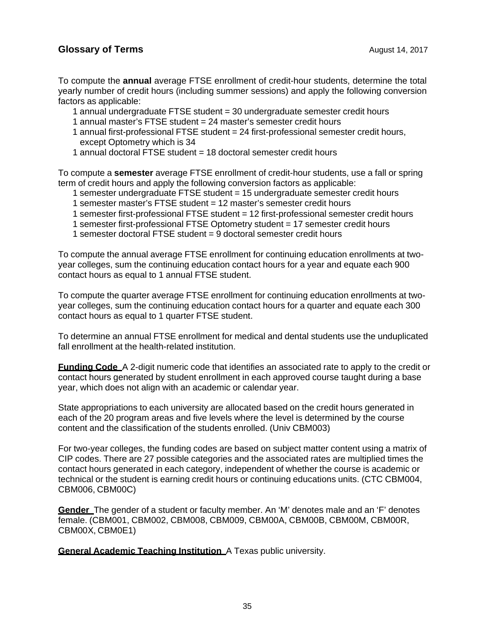To compute the **annual** average FTSE enrollment of credit-hour students, determine the total yearly number of credit hours (including summer sessions) and apply the following conversion factors as applicable:

- 1 annual undergraduate FTSE student = 30 undergraduate semester credit hours
- 1 annual master's FTSE student = 24 master's semester credit hours
- 1 annual first-professional FTSE student = 24 first-professional semester credit hours, except Optometry which is 34
- 1 annual doctoral FTSE student = 18 doctoral semester credit hours

To compute a **semester** average FTSE enrollment of credit-hour students, use a fall or spring term of credit hours and apply the following conversion factors as applicable:

- 1 semester undergraduate FTSE student = 15 undergraduate semester credit hours
- 1 semester master's FTSE student = 12 master's semester credit hours
- 1 semester first-professional FTSE student = 12 first-professional semester credit hours
- 1 semester first-professional FTSE Optometry student = 17 semester credit hours
- 1 semester doctoral FTSE student = 9 doctoral semester credit hours

To compute the annual average FTSE enrollment for continuing education enrollments at twoyear colleges, sum the continuing education contact hours for a year and equate each 900 contact hours as equal to 1 annual FTSE student.

To compute the quarter average FTSE enrollment for continuing education enrollments at twoyear colleges, sum the continuing education contact hours for a quarter and equate each 300 contact hours as equal to 1 quarter FTSE student.

To determine an annual FTSE enrollment for medical and dental students use the unduplicated fall enrollment at the health-related institution.

**Funding Code** A 2-digit numeric code that identifies an associated rate to apply to the credit or contact hours generated by student enrollment in each approved course taught during a base year, which does not align with an academic or calendar year.

State appropriations to each university are allocated based on the credit hours generated in each of the 20 program areas and five levels where the level is determined by the course content and the classification of the students enrolled. (Univ CBM003)

For two-year colleges, the funding codes are based on subject matter content using a matrix of CIP codes. There are 27 possible categories and the associated rates are multiplied times the contact hours generated in each category, independent of whether the course is academic or technical or the student is earning credit hours or continuing educations units. (CTC CBM004, CBM006, CBM00C)

**Gender** The gender of a student or faculty member. An 'M' denotes male and an 'F' denotes female. (CBM001, CBM002, CBM008, CBM009, CBM00A, CBM00B, CBM00M, CBM00R, CBM00X, CBM0E1)

**General Academic Teaching Institution** A Texas public university.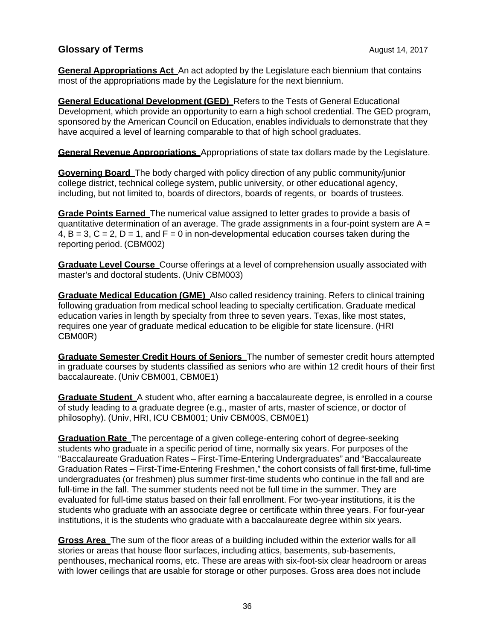**General Appropriations Act** An act adopted by the Legislature each biennium that contains most of the appropriations made by the Legislature for the next biennium.

**General Educational Development (GED)** Refers to the Tests of General Educational Development, which provide an opportunity to earn a high school credential. The GED program, sponsored by the American Council on Education, enables individuals to demonstrate that they have acquired a level of learning comparable to that of high school graduates.

**General Revenue Appropriations** Appropriations of state tax dollars made by the Legislature.

**Governing Board** The body charged with policy direction of any public community/junior college district, technical college system, public university, or other educational agency, including, but not limited to, boards of directors, boards of regents, or boards of trustees.

**Grade Points Earned** The numerical value assigned to letter grades to provide a basis of quantitative determination of an average. The grade assignments in a four-point system are  $A =$ 4,  $B = 3$ ,  $C = 2$ ,  $D = 1$ , and  $F = 0$  in non-developmental education courses taken during the reporting period. (CBM002)

**Graduate Level Course** Course offerings at a level of comprehension usually associated with master's and doctoral students. (Univ CBM003)

**Graduate Medical Education (GME)** Also called residency training. Refers to clinical training following graduation from medical school leading to specialty certification. Graduate medical education varies in length by specialty from three to seven years. Texas, like most states, requires one year of graduate medical education to be eligible for state licensure. (HRI CBM00R)

**Graduate Semester Credit Hours of Seniors** The number of semester credit hours attempted in graduate courses by students classified as seniors who are within 12 credit hours of their first baccalaureate. (Univ CBM001, CBM0E1)

**Graduate Student** A student who, after earning a baccalaureate degree, is enrolled in a course of study leading to a graduate degree (e.g., master of arts, master of science, or doctor of philosophy). (Univ, HRI, ICU CBM001; Univ CBM00S, CBM0E1)

**Graduation Rate** The percentage of a given college-entering cohort of degree-seeking students who graduate in a specific period of time, normally six years. For purposes of the "Baccalaureate Graduation Rates – First-Time-Entering Undergraduates" and "Baccalaureate Graduation Rates – First-Time-Entering Freshmen," the cohort consists of fall first-time, full-time undergraduates (or freshmen) plus summer first-time students who continue in the fall and are full-time in the fall. The summer students need not be full time in the summer. They are evaluated for full-time status based on their fall enrollment. For two-year institutions, it is the students who graduate with an associate degree or certificate within three years. For four-year institutions, it is the students who graduate with a baccalaureate degree within six years.

**Gross Area** The sum of the floor areas of a building included within the exterior walls for all stories or areas that house floor surfaces, including attics, basements, sub-basements, penthouses, mechanical rooms, etc. These are areas with six-foot-six clear headroom or areas with lower ceilings that are usable for storage or other purposes. Gross area does not include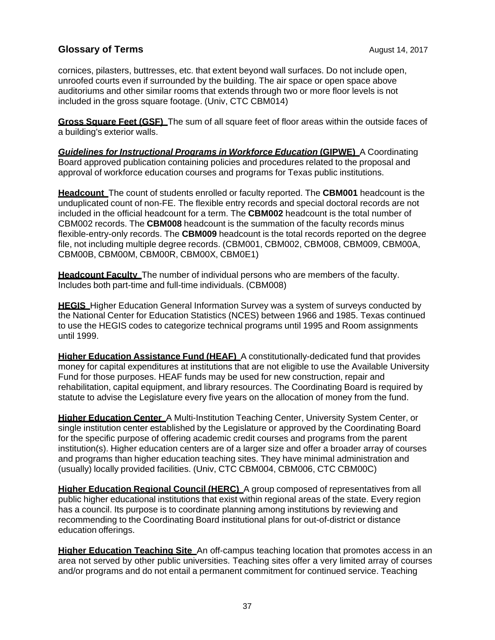cornices, pilasters, buttresses, etc. that extent beyond wall surfaces. Do not include open, unroofed courts even if surrounded by the building. The air space or open space above auditoriums and other similar rooms that extends through two or more floor levels is not included in the gross square footage. (Univ, CTC CBM014)

**Gross Square Feet (GSF)** The sum of all square feet of floor areas within the outside faces of a building's exterior walls.

*Guidelines for Instructional Programs in Workforce Education (GIPWE)* **A Coordinating** Board approved publication containing policies and procedures related to the proposal and approval of workforce education courses and programs for Texas public institutions.

**Headcount** The count of students enrolled or faculty reported. The **CBM001** headcount is the unduplicated count of non-FE. The flexible entry records and special doctoral records are not included in the official headcount for a term. The **CBM002** headcount is the total number of CBM002 records. The **CBM008** headcount is the summation of the faculty records minus flexible-entry-only records. The **CBM009** headcount is the total records reported on the degree file, not including multiple degree records. (CBM001, CBM002, CBM008, CBM009, CBM00A, CBM00B, CBM00M, CBM00R, CBM00X, CBM0E1)

**Headcount Faculty** The number of individual persons who are members of the faculty. Includes both part-time and full-time individuals. (CBM008)

**HEGIS** Higher Education General Information Survey was a system of surveys conducted by the National Center for Education Statistics (NCES) between 1966 and 1985. Texas continued to use the HEGIS codes to categorize technical programs until 1995 and Room assignments until 1999.

**Higher Education Assistance Fund (HEAF)** A constitutionally-dedicated fund that provides money for capital expenditures at institutions that are not eligible to use the Available University Fund for those purposes. HEAF funds may be used for new construction, repair and rehabilitation, capital equipment, and library resources. The Coordinating Board is required by statute to advise the Legislature every five years on the allocation of money from the fund.

**Higher Education Center** A Multi-Institution Teaching Center, University System Center, or single institution center established by the Legislature or approved by the Coordinating Board for the specific purpose of offering academic credit courses and programs from the parent institution(s). Higher education centers are of a larger size and offer a broader array of courses and programs than higher education teaching sites. They have minimal administration and (usually) locally provided facilities. (Univ, CTC CBM004, CBM006, CTC CBM00C)

**Higher Education Regional Council (HERC)** A group composed of representatives from all public higher educational institutions that exist within regional areas of the state. Every region has a council. Its purpose is to coordinate planning among institutions by reviewing and recommending to the Coordinating Board institutional plans for out-of-district or distance education offerings.

**Higher Education Teaching Site** An off-campus teaching location that promotes access in an area not served by other public universities. Teaching sites offer a very limited array of courses and/or programs and do not entail a permanent commitment for continued service. Teaching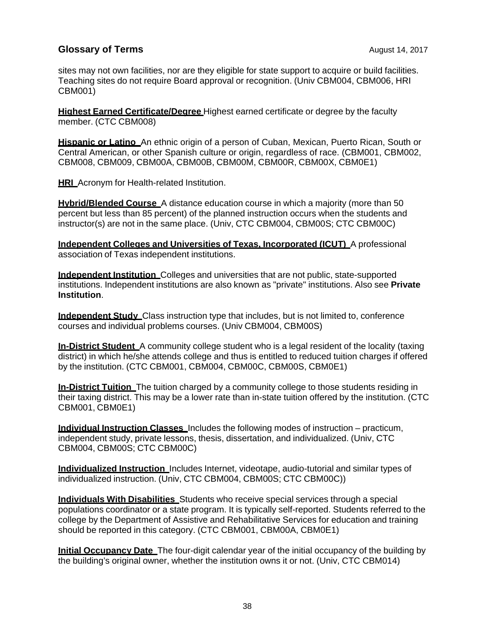sites may not own facilities, nor are they eligible for state support to acquire or build facilities. Teaching sites do not require Board approval or recognition. (Univ CBM004, CBM006, HRI CBM001)

**Highest Earned Certificate/Degree** Highest earned certificate or degree by the faculty member. (CTC CBM008)

**Hispanic or Latino** An ethnic origin of a person of Cuban, Mexican, Puerto Rican, South or Central American, or other Spanish culture or origin, regardless of race. (CBM001, CBM002, CBM008, CBM009, CBM00A, CBM00B, CBM00M, CBM00R, CBM00X, CBM0E1)

**HRI** Acronym for Health-related Institution.

**Hybrid/Blended Course** A distance education course in which a majority (more than 50 percent but less than 85 percent) of the planned instruction occurs when the students and instructor(s) are not in the same place. (Univ, CTC CBM004, CBM00S; CTC CBM00C)

**Independent Colleges and Universities of Texas, Incorporated (ICUT)** A professional association of Texas independent institutions.

**Independent Institution** Colleges and universities that are not public, state-supported institutions. Independent institutions are also known as "private" institutions. Also see **Private Institution**.

**Independent Study** Class instruction type that includes, but is not limited to, conference courses and individual problems courses. (Univ CBM004, CBM00S)

**In-District Student** A community college student who is a legal resident of the locality (taxing district) in which he/she attends college and thus is entitled to reduced tuition charges if offered by the institution. (CTC CBM001, CBM004, CBM00C, CBM00S, CBM0E1)

**In-District Tuition** The tuition charged by a community college to those students residing in their taxing district. This may be a lower rate than in-state tuition offered by the institution. (CTC CBM001, CBM0E1)

**Individual Instruction Classes** Includes the following modes of instruction – practicum, independent study, private lessons, thesis, dissertation, and individualized. (Univ, CTC CBM004, CBM00S; CTC CBM00C)

**Individualized Instruction** Includes Internet, videotape, audio-tutorial and similar types of individualized instruction. (Univ, CTC CBM004, CBM00S; CTC CBM00C))

**Individuals With Disabilities** Students who receive special services through a special populations coordinator or a state program. It is typically self-reported. Students referred to the college by the Department of Assistive and Rehabilitative Services for education and training should be reported in this category. (CTC CBM001, CBM00A, CBM0E1)

**Initial Occupancy Date** The four-digit calendar year of the initial occupancy of the building by the building's original owner, whether the institution owns it or not. (Univ, CTC CBM014)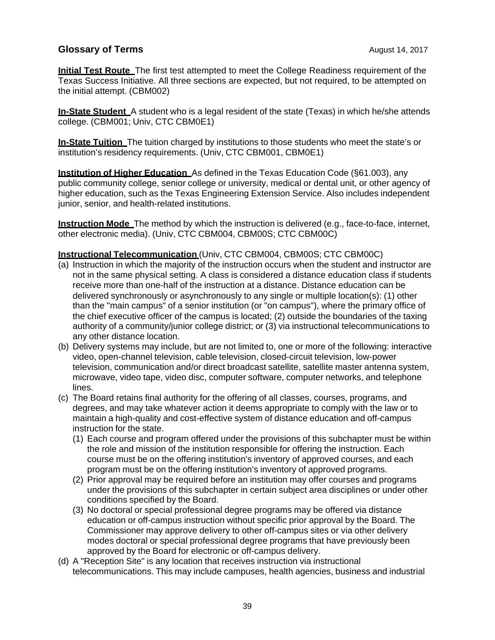**Initial Test Route** The first test attempted to meet the College Readiness requirement of the Texas Success Initiative. All three sections are expected, but not required, to be attempted on the initial attempt. (CBM002)

**In-State Student** A student who is a legal resident of the state (Texas) in which he/she attends college. (CBM001; Univ, CTC CBM0E1)

**In-State Tuition** The tuition charged by institutions to those students who meet the state's or institution's residency requirements. (Univ, CTC CBM001, CBM0E1)

**Institution of Higher Education** As defined in the Texas Education Code (§61.003), any public community college, senior college or university, medical or dental unit, or other agency of higher education, such as the Texas Engineering Extension Service. Also includes independent junior, senior, and health-related institutions.

**Instruction Mode** The method by which the instruction is delivered (e.g., face-to-face, internet, other electronic media). (Univ, CTC CBM004, CBM00S; CTC CBM00C)

#### **Instructional Telecommunication** (Univ, CTC CBM004, CBM00S; CTC CBM00C)

- (a) Instruction in which the majority of the instruction occurs when the student and instructor are not in the same physical setting. A class is considered a distance education class if students receive more than one-half of the instruction at a distance. Distance education can be delivered synchronously or asynchronously to any single or multiple location(s): (1) other than the "main campus" of a senior institution (or "on campus"), where the primary office of the chief executive officer of the campus is located; (2) outside the boundaries of the taxing authority of a community/junior college district; or (3) via instructional telecommunications to any other distance location.
- (b) Delivery systems may include, but are not limited to, one or more of the following: interactive video, open-channel television, cable television, closed-circuit television, low-power television, communication and/or direct broadcast satellite, satellite master antenna system, microwave, video tape, video disc, computer software, computer networks, and telephone lines.
- (c) The Board retains final authority for the offering of all classes, courses, programs, and degrees, and may take whatever action it deems appropriate to comply with the law or to maintain a high-quality and cost-effective system of distance education and off-campus instruction for the state.
	- (1) Each course and program offered under the provisions of this subchapter must be within the role and mission of the institution responsible for offering the instruction. Each course must be on the offering institution's inventory of approved courses, and each program must be on the offering institution's inventory of approved programs.
	- (2) Prior approval may be required before an institution may offer courses and programs under the provisions of this subchapter in certain subject area disciplines or under other conditions specified by the Board.
	- (3) No doctoral or special professional degree programs may be offered via distance education or off-campus instruction without specific prior approval by the Board. The Commissioner may approve delivery to other off-campus sites or via other delivery modes doctoral or special professional degree programs that have previously been approved by the Board for electronic or off-campus delivery.
- (d) A "Reception Site" is any location that receives instruction via instructional telecommunications. This may include campuses, health agencies, business and industrial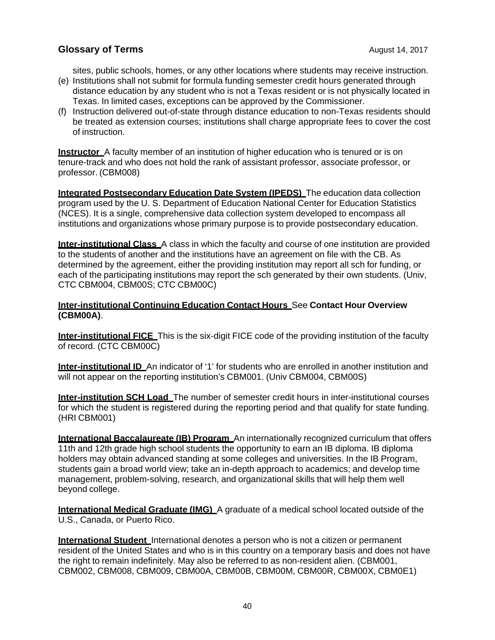sites, public schools, homes, or any other locations where students may receive instruction.

- (e) Institutions shall not submit for formula funding semester credit hours generated through distance education by any student who is not a Texas resident or is not physically located in Texas. In limited cases, exceptions can be approved by the Commissioner.
- (f) Instruction delivered out-of-state through distance education to non-Texas residents should be treated as extension courses; institutions shall charge appropriate fees to cover the cost of instruction.

**Instructor** A faculty member of an institution of higher education who is tenured or is on tenure-track and who does not hold the rank of assistant professor, associate professor, or professor. (CBM008)

**Integrated Postsecondary Education Date System (IPEDS)** The education data collection program used by the U. S. Department of Education National Center for Education Statistics (NCES). It is a single, comprehensive data collection system developed to encompass all institutions and organizations whose primary purpose is to provide postsecondary education.

**Inter-institutional Class** A class in which the faculty and course of one institution are provided to the students of another and the institutions have an agreement on file with the CB. As determined by the agreement, either the providing institution may report all sch for funding, or each of the participating institutions may report the sch generated by their own students. (Univ, CTC CBM004, CBM00S; CTC CBM00C)

#### **Inter-institutional Continuing Education Contact Hours** See **Contact Hour Overview (CBM00A)**.

**Inter-institutional FICE** This is the six-digit FICE code of the providing institution of the faculty of record. (CTC CBM00C)

**Inter-institutional ID** An indicator of '1' for students who are enrolled in another institution and will not appear on the reporting institution's CBM001. (Univ CBM004, CBM00S)

**Inter-institution SCH Load** The number of semester credit hours in inter-institutional courses for which the student is registered during the reporting period and that qualify for state funding. (HRI CBM001)

**International Baccalaureate (IB) Program** An internationally recognized curriculum that offers 11th and 12th grade high school students the opportunity to earn an IB diploma. IB diploma holders may obtain advanced standing at some colleges and universities. In the IB Program, students gain a broad world view; take an in-depth approach to academics; and develop time management, problem-solving, research, and organizational skills that will help them well beyond college.

**International Medical Graduate (IMG)** A graduate of a medical school located outside of the U.S., Canada, or Puerto Rico.

**International Student** International denotes a person who is not a citizen or permanent resident of the United States and who is in this country on a temporary basis and does not have the right to remain indefinitely. May also be referred to as non-resident alien. (CBM001, CBM002, CBM008, CBM009, CBM00A, CBM00B, CBM00M, CBM00R, CBM00X, CBM0E1)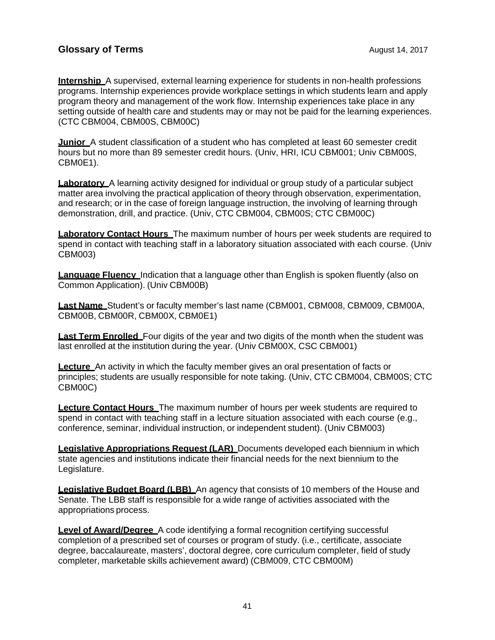**Internship** A supervised, external learning experience for students in non-health professions programs. Internship experiences provide workplace settings in which students learn and apply program theory and management of the work flow. Internship experiences take place in any setting outside of health care and students may or may not be paid for the learning experiences. (CTC CBM004, CBM00S, CBM00C)

**Junior** A student classification of a student who has completed at least 60 semester credit hours but no more than 89 semester credit hours. (Univ, HRI, ICU CBM001; Univ CBM00S, CBM0E1).

**Laboratory** A learning activity designed for individual or group study of a particular subiect matter area involving the practical application of theory through observation, experimentation, and research; or in the case of foreign language instruction, the involving of learning through demonstration, drill, and practice. (Univ, CTC CBM004, CBM00S; CTC CBM00C)

**Laboratory Contact Hours** The maximum number of hours per week students are required to spend in contact with teaching staff in a laboratory situation associated with each course. (Univ CBM003)

**Language Fluency** Indication that a language other than English is spoken fluently (also on Common Application). (Univ CBM00B)

**Last Name** Student's or faculty member's last name (CBM001, CBM008, CBM009, CBM00A, CBM00B, CBM00R, CBM00X, CBM0E1)

**Last Term Enrolled** Four digits of the year and two digits of the month when the student was last enrolled at the institution during the year. (Univ CBM00X, CSC CBM001)

**Lecture** An activity in which the faculty member gives an oral presentation of facts or principles; students are usually responsible for note taking. (Univ, CTC CBM004, CBM00S; CTC CBM00C)

**Lecture Contact Hours** The maximum number of hours per week students are required to spend in contact with teaching staff in a lecture situation associated with each course (e.g., conference, seminar, individual instruction, or independent student). (Univ CBM003)

**Legislative Appropriations Request (LAR)** Documents developed each biennium in which state agencies and institutions indicate their financial needs for the next biennium to the Legislature.

**Legislative Budget Board (LBB)** An agency that consists of 10 members of the House and Senate. The LBB staff is responsible for a wide range of activities associated with the appropriations process.

**Level of Award/Degree** A code identifying a formal recognition certifying successful completion of a prescribed set of courses or program of study. (i.e., certificate, associate degree, baccalaureate, masters', doctoral degree, core curriculum completer, field of study completer, marketable skills achievement award) (CBM009, CTC CBM00M)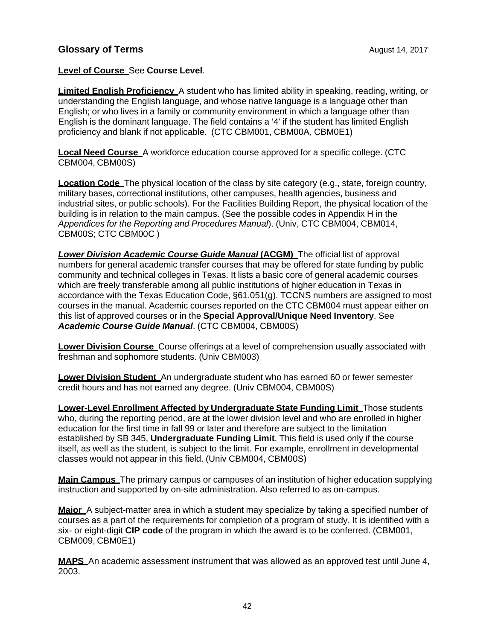#### **Level of Course** See **Course Level**.

**Limited English Proficiency** A student who has limited ability in speaking, reading, writing, or understanding the English language, and whose native language is a language other than English; or who lives in a family or community environment in which a language other than English is the dominant language. The field contains a '4' if the student has limited English proficiency and blank if not applicable. (CTC CBM001, CBM00A, CBM0E1)

**Local Need Course** A workforce education course approved for a specific college. (CTC CBM004, CBM00S)

**Location Code** The physical location of the class by site category (e.g., state, foreign country, military bases, correctional institutions, other campuses, health agencies, business and industrial sites, or public schools). For the Facilities Building Report, the physical location of the building is in relation to the main campus. (See the possible codes in Appendix H in the *Appendices for the Reporting and Procedures Manual*). (Univ, CTC CBM004, CBM014, CBM00S; CTC CBM00C )

**Lower Division Academic Course Guide Manual (ACGM)** The official list of approval numbers for general academic transfer courses that may be offered for state funding by public community and technical colleges in Texas. It lists a basic core of general academic courses which are freely transferable among all public institutions of higher education in Texas in accordance with the Texas Education Code, §61.051(g). TCCNS numbers are assigned to most courses in the manual. Academic courses reported on the CTC CBM004 must appear either on this list of approved courses or in the **Special Approval/Unique Need Inventory**. See *Academic Course Guide Manual*. (CTC CBM004, CBM00S)

**Lower Division Course** Course offerings at a level of comprehension usually associated with freshman and sophomore students. (Univ CBM003)

**Lower Division Student** An undergraduate student who has earned 60 or fewer semester credit hours and has not earned any degree. (Univ CBM004, CBM00S)

**Lower-Level Enrollment Affected by Undergraduate State Funding Limit** Those students who, during the reporting period, are at the lower division level and who are enrolled in higher education for the first time in fall 99 or later and therefore are subject to the limitation established by SB 345, **Undergraduate Funding Limit**. This field is used only if the course itself, as well as the student, is subject to the limit. For example, enrollment in developmental classes would not appear in this field. (Univ CBM004, CBM00S)

**Main Campus** The primary campus or campuses of an institution of higher education supplying instruction and supported by on-site administration. Also referred to as on-campus.

**Major** A subject-matter area in which a student may specialize by taking a specified number of courses as a part of the requirements for completion of a program of study. It is identified with a six- or eight-digit **CIP code** of the program in which the award is to be conferred. (CBM001, CBM009, CBM0E1)

**MAPS** An academic assessment instrument that was allowed as an approved test until June 4, 2003.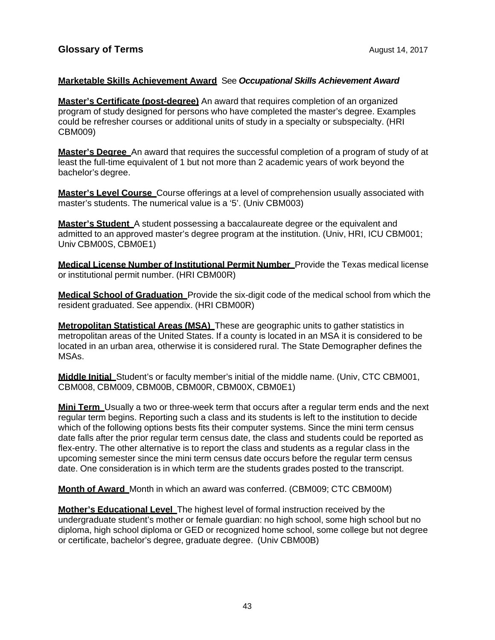#### **Marketable Skills Achievement Award** See *Occupational Skills Achievement Award*

**Master's Certificate (post-degree)** An award that requires completion of an organized program of study designed for persons who have completed the master's degree. Examples could be refresher courses or additional units of study in a specialty or subspecialty. (HRI CBM009)

**Master's Degree** An award that requires the successful completion of a program of study of at least the full-time equivalent of 1 but not more than 2 academic years of work beyond the bachelor's degree.

**Master's Level Course** Course offerings at a level of comprehension usually associated with master's students. The numerical value is a '5'. (Univ CBM003)

**Master's Student** A student possessing a baccalaureate degree or the equivalent and admitted to an approved master's degree program at the institution. (Univ, HRI, ICU CBM001; Univ CBM00S, CBM0E1)

**Medical License Number of Institutional Permit Number** Provide the Texas medical license or institutional permit number. (HRI CBM00R)

**Medical School of Graduation** Provide the six-digit code of the medical school from which the resident graduated. See appendix. (HRI CBM00R)

**Metropolitan Statistical Areas (MSA)** These are geographic units to gather statistics in metropolitan areas of the United States. If a county is located in an MSA it is considered to be located in an urban area, otherwise it is considered rural. The State Demographer defines the MSAs.

**Middle Initial** Student's or faculty member's initial of the middle name. (Univ, CTC CBM001, CBM008, CBM009, CBM00B, CBM00R, CBM00X, CBM0E1)

**Mini Term** Usually a two or three-week term that occurs after a regular term ends and the next regular term begins. Reporting such a class and its students is left to the institution to decide which of the following options bests fits their computer systems. Since the mini term census date falls after the prior regular term census date, the class and students could be reported as flex-entry. The other alternative is to report the class and students as a regular class in the upcoming semester since the mini term census date occurs before the regular term census date. One consideration is in which term are the students grades posted to the transcript.

**Month of Award** Month in which an award was conferred. (CBM009; CTC CBM00M)

**Mother's Educational Level** The highest level of formal instruction received by the undergraduate student's mother or female guardian: no high school, some high school but no diploma, high school diploma or GED or recognized home school, some college but not degree or certificate, bachelor's degree, graduate degree. (Univ CBM00B)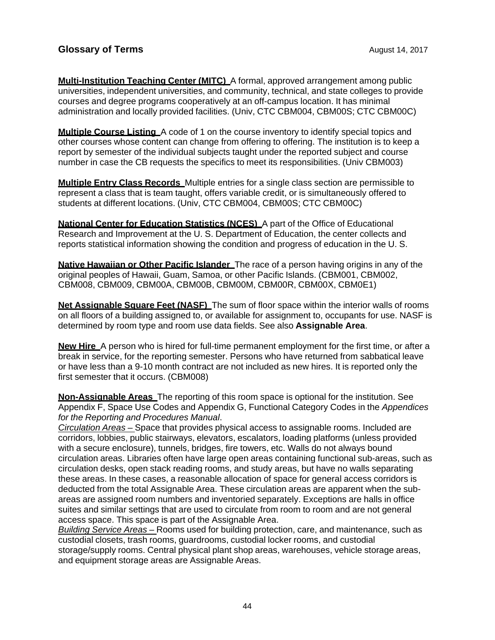**Multi-Institution Teaching Center (MITC)** A formal, approved arrangement among public universities, independent universities, and community, technical, and state colleges to provide courses and degree programs cooperatively at an off-campus location. It has minimal administration and locally provided facilities. (Univ, CTC CBM004, CBM00S; CTC CBM00C)

**Multiple Course Listing** A code of 1 on the course inventory to identify special topics and other courses whose content can change from offering to offering. The institution is to keep a report by semester of the individual subjects taught under the reported subject and course number in case the CB requests the specifics to meet its responsibilities. (Univ CBM003)

**Multiple Entry Class Records** Multiple entries for a single class section are permissible to represent a class that is team taught, offers variable credit, or is simultaneously offered to students at different locations. (Univ, CTC CBM004, CBM00S; CTC CBM00C)

**National Center for Education Statistics (NCES)** A part of the Office of Educational Research and Improvement at the U. S. Department of Education, the center collects and reports statistical information showing the condition and progress of education in the U. S.

**Native Hawaiian or Other Pacific Islander** The race of a person having origins in any of the original peoples of Hawaii, Guam, Samoa, or other Pacific Islands. (CBM001, CBM002, CBM008, CBM009, CBM00A, CBM00B, CBM00M, CBM00R, CBM00X, CBM0E1)

**Net Assignable Square Feet (NASF)** The sum of floor space within the interior walls of rooms on all floors of a building assigned to, or available for assignment to, occupants for use. NASF is determined by room type and room use data fields. See also **Assignable Area**.

**New Hire** A person who is hired for full-time permanent employment for the first time, or after a break in service, for the reporting semester. Persons who have returned from sabbatical leave or have less than a 9-10 month contract are not included as new hires. It is reported only the first semester that it occurs. (CBM008)

**Non-Assignable Areas** The reporting of this room space is optional for the institution. See Appendix F, Space Use Codes and Appendix G, Functional Category Codes in the *Appendices for the Reporting and Procedures Manual*.

*Circulation Areas –* Space that provides physical access to assignable rooms. Included are corridors, lobbies, public stairways, elevators, escalators, loading platforms (unless provided with a secure enclosure), tunnels, bridges, fire towers, etc. Walls do not always bound circulation areas. Libraries often have large open areas containing functional sub-areas, such as circulation desks, open stack reading rooms, and study areas, but have no walls separating these areas. In these cases, a reasonable allocation of space for general access corridors is deducted from the total Assignable Area. These circulation areas are apparent when the subareas are assigned room numbers and inventoried separately. Exceptions are halls in office suites and similar settings that are used to circulate from room to room and are not general access space. This space is part of the Assignable Area.

*Building Service Areas –* Rooms used for building protection, care, and maintenance, such as custodial closets, trash rooms, guardrooms, custodial locker rooms, and custodial storage/supply rooms. Central physical plant shop areas, warehouses, vehicle storage areas, and equipment storage areas are Assignable Areas.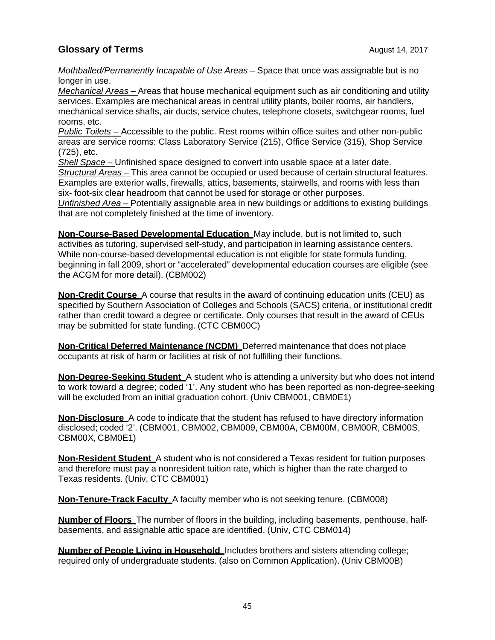*Mothballed/Permanently Incapable of Use Areas –* Space that once was assignable but is no longer in use.

*Mechanical Areas –* Areas that house mechanical equipment such as air conditioning and utility services. Examples are mechanical areas in central utility plants, boiler rooms, air handlers, mechanical service shafts, air ducts, service chutes, telephone closets, switchgear rooms, fuel rooms, etc.

*Public Toilets –* Accessible to the public. Rest rooms within office suites and other non-public areas are service rooms: Class Laboratory Service (215), Office Service (315), Shop Service (725), etc.

*Shell Space –* Unfinished space designed to convert into usable space at a later date.

*Structural Areas –* This area cannot be occupied or used because of certain structural features. Examples are exterior walls, firewalls, attics, basements, stairwells, and rooms with less than six- foot-six clear headroom that cannot be used for storage or other purposes.

*Unfinished Area –* Potentially assignable area in new buildings or additions to existing buildings that are not completely finished at the time of inventory.

**Non-Course-Based Developmental Education** May include, but is not limited to, such activities as tutoring, supervised self-study, and participation in learning assistance centers. While non-course-based developmental education is not eligible for state formula funding, beginning in fall 2009, short or "accelerated" developmental education courses are eligible (see the ACGM for more detail). (CBM002)

**Non-Credit Course** A course that results in the award of continuing education units (CEU) as specified by Southern Association of Colleges and Schools (SACS) criteria, or institutional credit rather than credit toward a degree or certificate. Only courses that result in the award of CEUs may be submitted for state funding. (CTC CBM00C)

**Non-Critical Deferred Maintenance (NCDM)** Deferred maintenance that does not place occupants at risk of harm or facilities at risk of not fulfilling their functions.

**Non-Degree-Seeking Student** A student who is attending a university but who does not intend to work toward a degree; coded '1'. Any student who has been reported as non-degree-seeking will be excluded from an initial graduation cohort. (Univ CBM001, CBM0E1)

**Non-Disclosure** A code to indicate that the student has refused to have directory information disclosed; coded '2'. (CBM001, CBM002, CBM009, CBM00A, CBM00M, CBM00R, CBM00S, CBM00X, CBM0E1)

**Non-Resident Student** A student who is not considered a Texas resident for tuition purposes and therefore must pay a nonresident tuition rate, which is higher than the rate charged to Texas residents. (Univ, CTC CBM001)

**Non-Tenure-Track Faculty** A faculty member who is not seeking tenure. (CBM008)

**Number of Floors** The number of floors in the building, including basements, penthouse, halfbasements, and assignable attic space are identified. (Univ, CTC CBM014)

**Number of People Living in Household** Includes brothers and sisters attending college; required only of undergraduate students. (also on Common Application). (Univ CBM00B)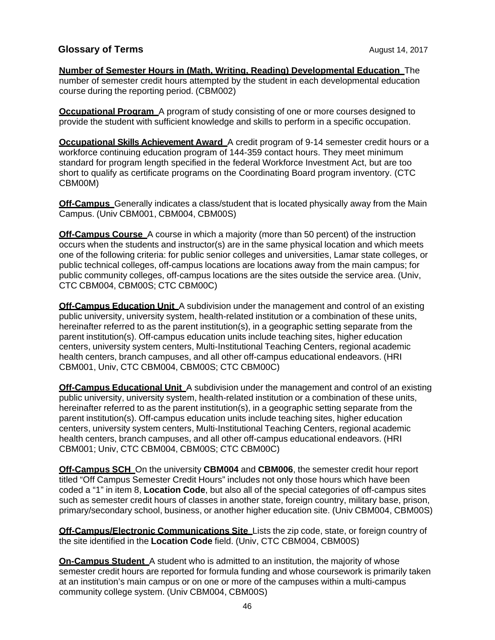**Number of Semester Hours in (Math, Writing, Reading) Developmental Education** The number of semester credit hours attempted by the student in each developmental education course during the reporting period. (CBM002)

**Occupational Program** A program of study consisting of one or more courses designed to provide the student with sufficient knowledge and skills to perform in a specific occupation.

**Occupational Skills Achievement Award** A credit program of 9-14 semester credit hours or a workforce continuing education program of 144-359 contact hours. They meet minimum standard for program length specified in the federal Workforce Investment Act, but are too short to qualify as certificate programs on the Coordinating Board program inventory. (CTC CBM00M)

**Off-Campus** Generally indicates a class/student that is located physically away from the Main Campus. (Univ CBM001, CBM004, CBM00S)

**Off-Campus Course** A course in which a majority (more than 50 percent) of the instruction occurs when the students and instructor(s) are in the same physical location and which meets one of the following criteria: for public senior colleges and universities, Lamar state colleges, or public technical colleges, off-campus locations are locations away from the main campus; for public community colleges, off-campus locations are the sites outside the service area. (Univ, CTC CBM004, CBM00S; CTC CBM00C)

**Off-Campus Education Unit** A subdivision under the management and control of an existing public university, university system, health-related institution or a combination of these units, hereinafter referred to as the parent institution(s), in a geographic setting separate from the parent institution(s). Off-campus education units include teaching sites, higher education centers, university system centers, Multi-Institutional Teaching Centers, regional academic health centers, branch campuses, and all other off-campus educational endeavors. (HRI CBM001, Univ, CTC CBM004, CBM00S; CTC CBM00C)

**Off-Campus Educational Unit** A subdivision under the management and control of an existing public university, university system, health-related institution or a combination of these units, hereinafter referred to as the parent institution(s), in a geographic setting separate from the parent institution(s). Off-campus education units include teaching sites, higher education centers, university system centers, Multi-Institutional Teaching Centers, regional academic health centers, branch campuses, and all other off-campus educational endeavors. (HRI CBM001; Univ, CTC CBM004, CBM00S; CTC CBM00C)

**Off-Campus SCH** On the university **CBM004** and **CBM006**, the semester credit hour report titled "Off Campus Semester Credit Hours" includes not only those hours which have been coded a "1" in item 8, **Location Code**, but also all of the special categories of off-campus sites such as semester credit hours of classes in another state, foreign country, military base, prison, primary/secondary school, business, or another higher education site. (Univ CBM004, CBM00S)

**Off-Campus/Electronic Communications Site** Lists the zip code, state, or foreign country of the site identified in the **Location Code** field. (Univ, CTC CBM004, CBM00S)

**On-Campus Student** A student who is admitted to an institution, the majority of whose semester credit hours are reported for formula funding and whose coursework is primarily taken at an institution's main campus or on one or more of the campuses within a multi-campus community college system. (Univ CBM004, CBM00S)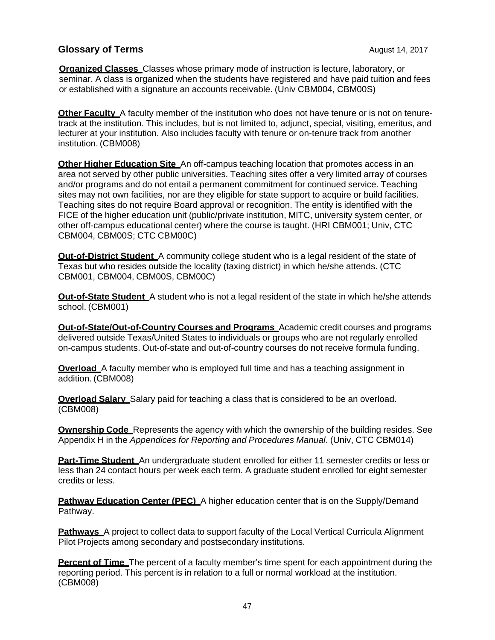**Organized Classes** Classes whose primary mode of instruction is lecture, laboratory, or seminar. A class is organized when the students have registered and have paid tuition and fees or established with a signature an accounts receivable. (Univ CBM004, CBM00S)

**Other Faculty** A faculty member of the institution who does not have tenure or is not on tenuretrack at the institution. This includes, but is not limited to, adjunct, special, visiting, emeritus, and lecturer at your institution. Also includes faculty with tenure or on-tenure track from another institution. (CBM008)

**Other Higher Education Site** An off-campus teaching location that promotes access in an area not served by other public universities. Teaching sites offer a very limited array of courses and/or programs and do not entail a permanent commitment for continued service. Teaching sites may not own facilities, nor are they eligible for state support to acquire or build facilities. Teaching sites do not require Board approval or recognition. The entity is identified with the FICE of the higher education unit (public/private institution, MITC, university system center, or other off-campus educational center) where the course is taught. (HRI CBM001; Univ, CTC CBM004, CBM00S; CTC CBM00C)

**Out-of-District Student** A community college student who is a legal resident of the state of Texas but who resides outside the locality (taxing district) in which he/she attends. (CTC CBM001, CBM004, CBM00S, CBM00C)

**Out-of-State Student** A student who is not a legal resident of the state in which he/she attends school. (CBM001)

**Out-of-State/Out-of-Country Courses and Programs** Academic credit courses and programs delivered outside Texas/United States to individuals or groups who are not regularly enrolled on-campus students. Out-of-state and out-of-country courses do not receive formula funding.

**Overload** A faculty member who is employed full time and has a teaching assignment in addition. (CBM008)

**Overload Salary** Salary paid for teaching a class that is considered to be an overload. (CBM008)

**Ownership Code** Represents the agency with which the ownership of the building resides. See Appendix H in the *Appendices for Reporting and Procedures Manual*. (Univ, CTC CBM014)

**Part-Time Student** An undergraduate student enrolled for either 11 semester credits or less or less than 24 contact hours per week each term. A graduate student enrolled for eight semester credits or less.

**Pathway Education Center (PEC)** A higher education center that is on the Supply/Demand Pathway.

**Pathways** A project to collect data to support faculty of the Local Vertical Curricula Alignment Pilot Projects among secondary and postsecondary institutions.

**Percent of Time** The percent of a faculty member's time spent for each appointment during the reporting period. This percent is in relation to a full or normal workload at the institution. (CBM008)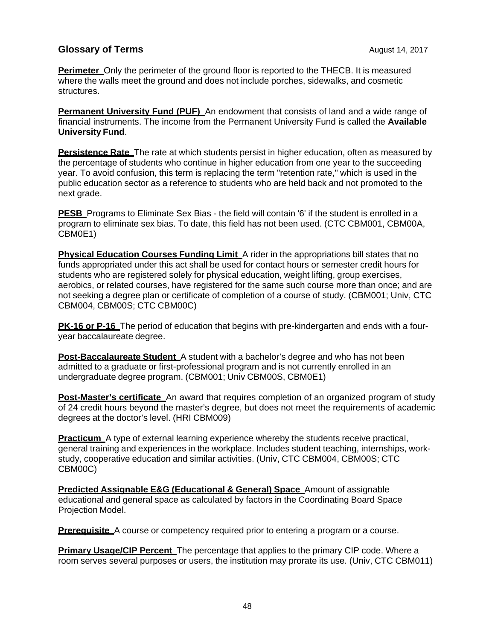**Perimeter** Only the perimeter of the ground floor is reported to the THECB. It is measured where the walls meet the ground and does not include porches, sidewalks, and cosmetic structures.

**Permanent University Fund (PUF)** An endowment that consists of land and a wide range of financial instruments. The income from the Permanent University Fund is called the **Available University Fund**.

**Persistence Rate** The rate at which students persist in higher education, often as measured by the percentage of students who continue in higher education from one year to the succeeding year. To avoid confusion, this term is replacing the term "retention rate," which is used in the public education sector as a reference to students who are held back and not promoted to the next grade.

**PESB** Programs to Eliminate Sex Bias - the field will contain '6' if the student is enrolled in a program to eliminate sex bias. To date, this field has not been used. (CTC CBM001, CBM00A, CBM0E1)

**Physical Education Courses Funding Limit** A rider in the appropriations bill states that no funds appropriated under this act shall be used for contact hours or semester credit hours for students who are registered solely for physical education, weight lifting, group exercises, aerobics, or related courses, have registered for the same such course more than once; and are not seeking a degree plan or certificate of completion of a course of study. (CBM001; Univ, CTC CBM004, CBM00S; CTC CBM00C)

**PK-16 or P-16** The period of education that begins with pre-kindergarten and ends with a fouryear baccalaureate degree.

**Post-Baccalaureate Student** A student with a bachelor's degree and who has not been admitted to a graduate or first-professional program and is not currently enrolled in an undergraduate degree program. (CBM001; Univ CBM00S, CBM0E1)

**Post-Master's certificate** An award that requires completion of an organized program of study of 24 credit hours beyond the master's degree, but does not meet the requirements of academic degrees at the doctor's level. (HRI CBM009)

**Practicum** A type of external learning experience whereby the students receive practical, general training and experiences in the workplace. Includes student teaching, internships, workstudy, cooperative education and similar activities. (Univ, CTC CBM004, CBM00S; CTC CBM00C)

**Predicted Assignable E&G (Educational & General) Space** Amount of assignable educational and general space as calculated by factors in the Coordinating Board Space Projection Model.

**Prerequisite** A course or competency required prior to entering a program or a course.

**Primary Usage/CIP Percent** The percentage that applies to the primary CIP code. Where a room serves several purposes or users, the institution may prorate its use. (Univ, CTC CBM011)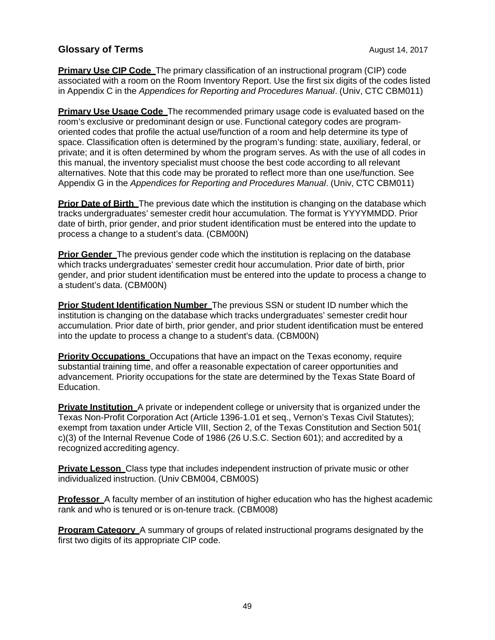**Primary Use CIP Code** The primary classification of an instructional program (CIP) code associated with a room on the Room Inventory Report. Use the first six digits of the codes listed in Appendix C in the *Appendices for Reporting and Procedures Manual*. (Univ, CTC CBM011)

**Primary Use Usage Code** The recommended primary usage code is evaluated based on the room's exclusive or predominant design or use. Functional category codes are programoriented codes that profile the actual use/function of a room and help determine its type of space. Classification often is determined by the program's funding: state, auxiliary, federal, or private; and it is often determined by whom the program serves. As with the use of all codes in this manual, the inventory specialist must choose the best code according to all relevant alternatives. Note that this code may be prorated to reflect more than one use/function. See Appendix G in the *Appendices for Reporting and Procedures Manual*. (Univ, CTC CBM011)

**Prior Date of Birth** The previous date which the institution is changing on the database which tracks undergraduates' semester credit hour accumulation. The format is YYYYMMDD. Prior date of birth, prior gender, and prior student identification must be entered into the update to process a change to a student's data. (CBM00N)

**Prior Gender** The previous gender code which the institution is replacing on the database which tracks undergraduates' semester credit hour accumulation. Prior date of birth, prior gender, and prior student identification must be entered into the update to process a change to a student's data. (CBM00N)

**Prior Student Identification Number** The previous SSN or student ID number which the institution is changing on the database which tracks undergraduates' semester credit hour accumulation. Prior date of birth, prior gender, and prior student identification must be entered into the update to process a change to a student's data. (CBM00N)

**Priority Occupations** Occupations that have an impact on the Texas economy, require substantial training time, and offer a reasonable expectation of career opportunities and advancement. Priority occupations for the state are determined by the Texas State Board of Education.

**Private Institution** A private or independent college or university that is organized under the Texas Non-Profit Corporation Act (Article 1396-1.01 et seq., Vernon's Texas Civil Statutes); exempt from taxation under Article VIII, Section 2, of the Texas Constitution and Section 501( c)(3) of the Internal Revenue Code of 1986 (26 U.S.C. Section 601); and accredited by a recognized accrediting agency.

**Private Lesson** Class type that includes independent instruction of private music or other individualized instruction. (Univ CBM004, CBM00S)

**Professor** A faculty member of an institution of higher education who has the highest academic rank and who is tenured or is on-tenure track. (CBM008)

**Program Category** A summary of groups of related instructional programs designated by the first two digits of its appropriate CIP code.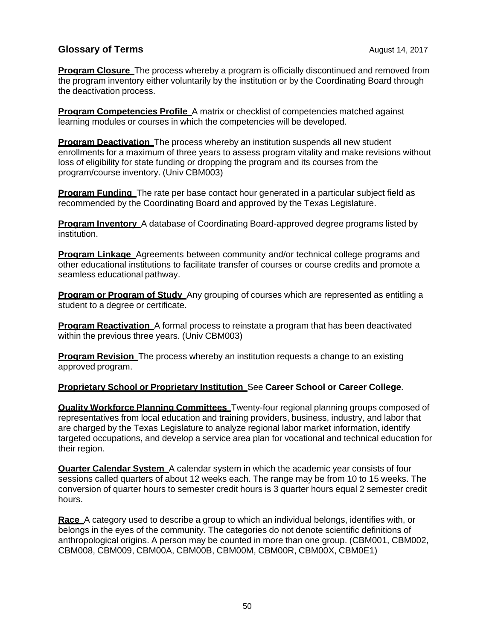**Program Closure** The process whereby a program is officially discontinued and removed from the program inventory either voluntarily by the institution or by the Coordinating Board through the deactivation process.

**Program Competencies Profile** A matrix or checklist of competencies matched against learning modules or courses in which the competencies will be developed.

**Program Deactivation** The process whereby an institution suspends all new student enrollments for a maximum of three years to assess program vitality and make revisions without loss of eligibility for state funding or dropping the program and its courses from the program/course inventory. (Univ CBM003)

**Program Funding** The rate per base contact hour generated in a particular subject field as recommended by the Coordinating Board and approved by the Texas Legislature.

**Program Inventory** A database of Coordinating Board-approved degree programs listed by institution.

**Program Linkage** Agreements between community and/or technical college programs and other educational institutions to facilitate transfer of courses or course credits and promote a seamless educational pathway.

**Program or Program of Study** Any grouping of courses which are represented as entitling a student to a degree or certificate.

**Program Reactivation** A formal process to reinstate a program that has been deactivated within the previous three years. (Univ CBM003)

**Program Revision** The process whereby an institution requests a change to an existing approved program.

#### **Proprietary School or Proprietary Institution** See **Career School or Career College**.

**Quality Workforce Planning Committees** Twenty-four regional planning groups composed of representatives from local education and training providers, business, industry, and labor that are charged by the Texas Legislature to analyze regional labor market information, identify targeted occupations, and develop a service area plan for vocational and technical education for their region.

**Quarter Calendar System** A calendar system in which the academic year consists of four sessions called quarters of about 12 weeks each. The range may be from 10 to 15 weeks. The conversion of quarter hours to semester credit hours is 3 quarter hours equal 2 semester credit hours.

**Race** A category used to describe a group to which an individual belongs, identifies with, or belongs in the eyes of the community. The categories do not denote scientific definitions of anthropological origins. A person may be counted in more than one group. (CBM001, CBM002, CBM008, CBM009, CBM00A, CBM00B, CBM00M, CBM00R, CBM00X, CBM0E1)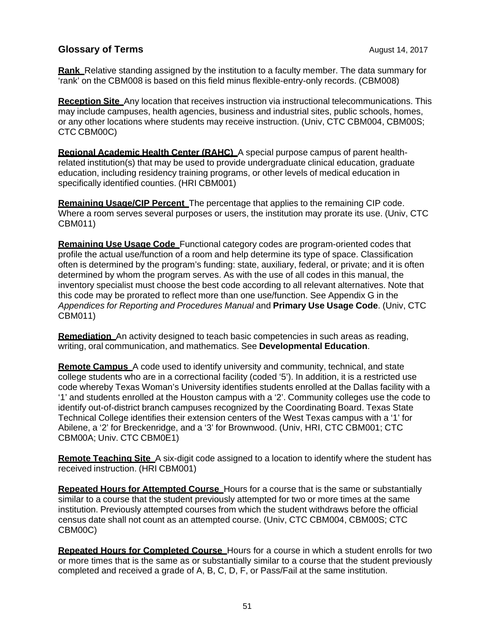**Rank** Relative standing assigned by the institution to a faculty member. The data summary for 'rank' on the CBM008 is based on this field minus flexible-entry-only records. (CBM008)

**Reception Site** Any location that receives instruction via instructional telecommunications. This may include campuses, health agencies, business and industrial sites, public schools, homes, or any other locations where students may receive instruction. (Univ, CTC CBM004, CBM00S; CTC CBM00C)

**Regional Academic Health Center (RAHC)** A special purpose campus of parent healthrelated institution(s) that may be used to provide undergraduate clinical education, graduate education, including residency training programs, or other levels of medical education in specifically identified counties. (HRI CBM001)

**Remaining Usage/CIP Percent** The percentage that applies to the remaining CIP code. Where a room serves several purposes or users, the institution may prorate its use. (Univ, CTC CBM011)

**Remaining Use Usage Code** Functional category codes are program-oriented codes that profile the actual use/function of a room and help determine its type of space. Classification often is determined by the program's funding: state, auxiliary, federal, or private; and it is often determined by whom the program serves. As with the use of all codes in this manual, the inventory specialist must choose the best code according to all relevant alternatives. Note that this code may be prorated to reflect more than one use/function. See Appendix G in the *Appendices for Reporting and Procedures Manual* and **Primary Use Usage Code**. (Univ, CTC CBM011)

**Remediation** An activity designed to teach basic competencies in such areas as reading, writing, oral communication, and mathematics. See **Developmental Education**.

**Remote Campus** A code used to identify university and community, technical, and state college students who are in a correctional facility (coded '5'). In addition, it is a restricted use code whereby Texas Woman's University identifies students enrolled at the Dallas facility with a '1' and students enrolled at the Houston campus with a '2'. Community colleges use the code to identify out-of-district branch campuses recognized by the Coordinating Board. Texas State Technical College identifies their extension centers of the West Texas campus with a '1' for Abilene, a '2' for Breckenridge, and a '3' for Brownwood. (Univ, HRI, CTC CBM001; CTC CBM00A; Univ. CTC CBM0E1)

**Remote Teaching Site** A six-digit code assigned to a location to identify where the student has received instruction. (HRI CBM001)

**Repeated Hours for Attempted Course** Hours for a course that is the same or substantially similar to a course that the student previously attempted for two or more times at the same institution. Previously attempted courses from which the student withdraws before the official census date shall not count as an attempted course. (Univ, CTC CBM004, CBM00S; CTC CBM00C)

**Repeated Hours for Completed Course** Hours for a course in which a student enrolls for two or more times that is the same as or substantially similar to a course that the student previously completed and received a grade of A, B, C, D, F, or Pass/Fail at the same institution.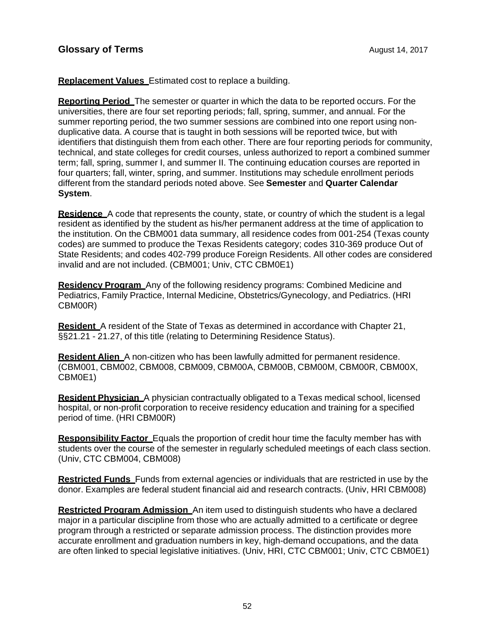**Replacement Values** Estimated cost to replace a building.

**Reporting Period** The semester or quarter in which the data to be reported occurs. For the universities, there are four set reporting periods; fall, spring, summer, and annual. For the summer reporting period, the two summer sessions are combined into one report using nonduplicative data. A course that is taught in both sessions will be reported twice, but with identifiers that distinguish them from each other. There are four reporting periods for community, technical, and state colleges for credit courses, unless authorized to report a combined summer term; fall, spring, summer I, and summer II. The continuing education courses are reported in four quarters; fall, winter, spring, and summer. Institutions may schedule enrollment periods different from the standard periods noted above. See **Semester** and **Quarter Calendar System**.

**Residence** A code that represents the county, state, or country of which the student is a legal resident as identified by the student as his/her permanent address at the time of application to the institution. On the CBM001 data summary, all residence codes from 001-254 (Texas county codes) are summed to produce the Texas Residents category; codes 310-369 produce Out of State Residents; and codes 402-799 produce Foreign Residents. All other codes are considered invalid and are not included. (CBM001; Univ, CTC CBM0E1)

**Residency Program** Any of the following residency programs: Combined Medicine and Pediatrics, Family Practice, Internal Medicine, Obstetrics/Gynecology, and Pediatrics. (HRI CBM00R)

**Resident** A resident of the State of Texas as determined in accordance with Chapter 21, §§21.21 - 21.27, of this title (relating to Determining Residence Status).

**Resident Alien** A non-citizen who has been lawfully admitted for permanent residence. (CBM001, CBM002, CBM008, CBM009, CBM00A, CBM00B, CBM00M, CBM00R, CBM00X, CBM0E1)

**Resident Physician** A physician contractually obligated to a Texas medical school, licensed hospital, or non-profit corporation to receive residency education and training for a specified period of time. (HRI CBM00R)

**Responsibility Factor** Equals the proportion of credit hour time the faculty member has with students over the course of the semester in regularly scheduled meetings of each class section. (Univ, CTC CBM004, CBM008)

**Restricted Funds** Funds from external agencies or individuals that are restricted in use by the donor. Examples are federal student financial aid and research contracts. (Univ, HRI CBM008)

**Restricted Program Admission** An item used to distinguish students who have a declared major in a particular discipline from those who are actually admitted to a certificate or degree program through a restricted or separate admission process. The distinction provides more accurate enrollment and graduation numbers in key, high-demand occupations, and the data are often linked to special legislative initiatives. (Univ, HRI, CTC CBM001; Univ, CTC CBM0E1)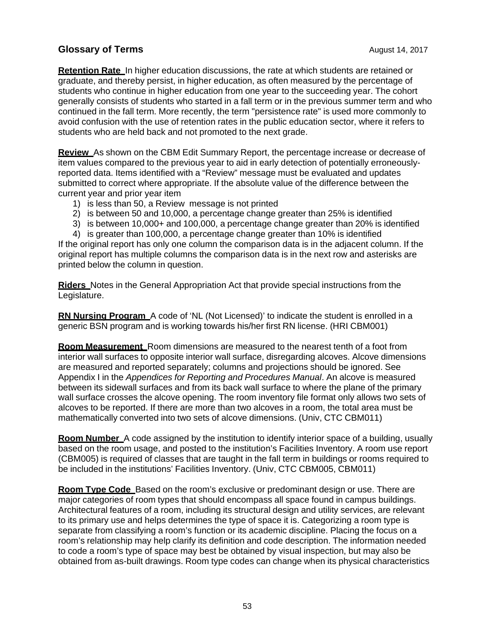**Retention Rate** In higher education discussions, the rate at which students are retained or graduate, and thereby persist, in higher education, as often measured by the percentage of students who continue in higher education from one year to the succeeding year. The cohort generally consists of students who started in a fall term or in the previous summer term and who continued in the fall term. More recently, the term "persistence rate" is used more commonly to avoid confusion with the use of retention rates in the public education sector, where it refers to students who are held back and not promoted to the next grade.

**Review** As shown on the CBM Edit Summary Report, the percentage increase or decrease of item values compared to the previous year to aid in early detection of potentially erroneouslyreported data. Items identified with a "Review" message must be evaluated and updates submitted to correct where appropriate. If the absolute value of the difference between the current year and prior year item

- 1) is less than 50, a Review message is not printed
- 2) is between 50 and 10,000, a percentage change greater than 25% is identified
- 3) is between 10,000+ and 100,000, a percentage change greater than 20% is identified

4) is greater than 100,000, a percentage change greater than 10% is identified If the original report has only one column the comparison data is in the adjacent column. If the original report has multiple columns the comparison data is in the next row and asterisks are

printed below the column in question. **Riders** Notes in the General Appropriation Act that provide special instructions from the

Legislature.

**RN Nursing Program** A code of 'NL (Not Licensed)' to indicate the student is enrolled in a generic BSN program and is working towards his/her first RN license. (HRI CBM001)

**Room Measurement** Room dimensions are measured to the nearest tenth of a foot from interior wall surfaces to opposite interior wall surface, disregarding alcoves. Alcove dimensions are measured and reported separately; columns and projections should be ignored. See Appendix I in the *Appendices for Reporting and Procedures Manual*. An alcove is measured between its sidewall surfaces and from its back wall surface to where the plane of the primary wall surface crosses the alcove opening. The room inventory file format only allows two sets of alcoves to be reported. If there are more than two alcoves in a room, the total area must be mathematically converted into two sets of alcove dimensions. (Univ, CTC CBM011)

**Room Number** A code assigned by the institution to identify interior space of a building, usually based on the room usage, and posted to the institution's Facilities Inventory. A room use report (CBM005) is required of classes that are taught in the fall term in buildings or rooms required to be included in the institutions' Facilities Inventory. (Univ, CTC CBM005, CBM011)

**Room Type Code** Based on the room's exclusive or predominant design or use. There are major categories of room types that should encompass all space found in campus buildings. Architectural features of a room, including its structural design and utility services, are relevant to its primary use and helps determines the type of space it is. Categorizing a room type is separate from classifying a room's function or its academic discipline. Placing the focus on a room's relationship may help clarify its definition and code description. The information needed to code a room's type of space may best be obtained by visual inspection, but may also be obtained from as-built drawings. Room type codes can change when its physical characteristics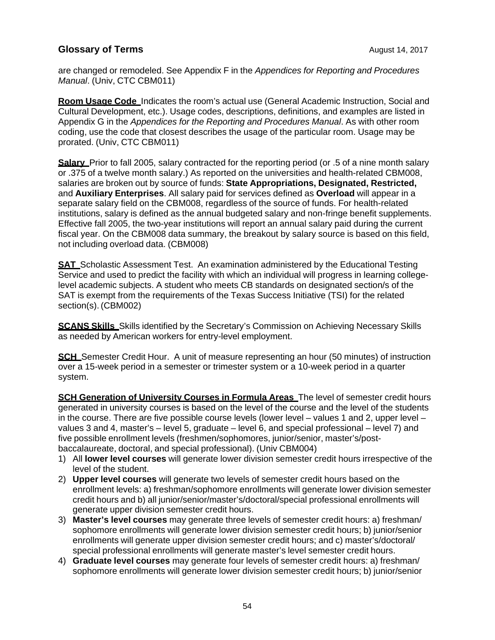are changed or remodeled. See Appendix F in the *Appendices for Reporting and Procedures Manual*. (Univ, CTC CBM011)

**Room Usage Code** Indicates the room's actual use (General Academic Instruction, Social and Cultural Development, etc.). Usage codes, descriptions, definitions, and examples are listed in Appendix G in the *Appendices for the Reporting and Procedures Manual*. As with other room coding, use the code that closest describes the usage of the particular room. Usage may be prorated. (Univ, CTC CBM011)

**Salary** Prior to fall 2005, salary contracted for the reporting period (or .5 of a nine month salary or .375 of a twelve month salary.) As reported on the universities and health-related CBM008, salaries are broken out by source of funds: **State Appropriations, Designated, Restricted,**  and **Auxiliary Enterprises**. All salary paid for services defined as **Overload** will appear in a separate salary field on the CBM008, regardless of the source of funds. For health-related institutions, salary is defined as the annual budgeted salary and non-fringe benefit supplements. Effective fall 2005, the two-year institutions will report an annual salary paid during the current fiscal year. On the CBM008 data summary, the breakout by salary source is based on this field, not including overload data. (CBM008)

**SAT** Scholastic Assessment Test. An examination administered by the Educational Testing Service and used to predict the facility with which an individual will progress in learning collegelevel academic subjects. A student who meets CB standards on designated section/s of the SAT is exempt from the requirements of the Texas Success Initiative (TSI) for the related section(s). (CBM002)

**SCANS Skills** Skills identified by the Secretary's Commission on Achieving Necessary Skills as needed by American workers for entry-level employment.

**SCH** Semester Credit Hour. A unit of measure representing an hour (50 minutes) of instruction over a 15-week period in a semester or trimester system or a 10-week period in a quarter system.

**SCH Generation of University Courses in Formula Areas** The level of semester credit hours generated in university courses is based on the level of the course and the level of the students in the course. There are five possible course levels (lower level – values 1 and 2, upper level – values 3 and 4, master's – level 5, graduate – level 6, and special professional – level 7) and five possible enrollment levels (freshmen/sophomores, junior/senior, master's/postbaccalaureate, doctoral, and special professional). (Univ CBM004)

- 1) All **lower level courses** will generate lower division semester credit hours irrespective of the level of the student.
- 2) **Upper level courses** will generate two levels of semester credit hours based on the enrollment levels: a) freshman/sophomore enrollments will generate lower division semester credit hours and b) all junior/senior/master's/doctoral/special professional enrollments will generate upper division semester credit hours.
- 3) **Master's level courses** may generate three levels of semester credit hours: a) freshman/ sophomore enrollments will generate lower division semester credit hours; b) junior/senior enrollments will generate upper division semester credit hours; and c) master's/doctoral/ special professional enrollments will generate master's level semester credit hours.
- 4) **Graduate level courses** may generate four levels of semester credit hours: a) freshman/ sophomore enrollments will generate lower division semester credit hours; b) junior/senior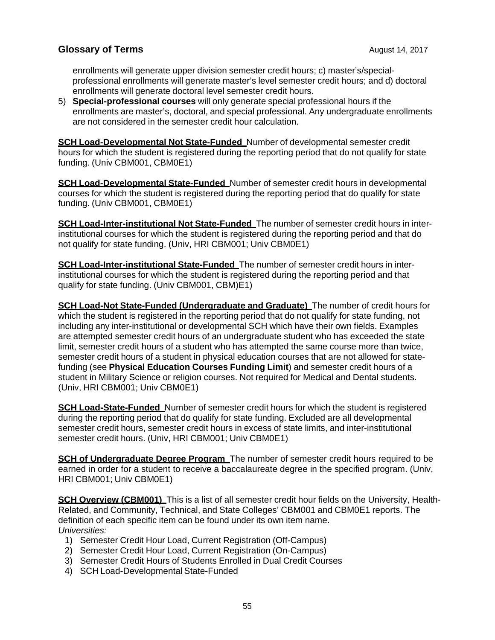enrollments will generate upper division semester credit hours; c) master's/specialprofessional enrollments will generate master's level semester credit hours; and d) doctoral enrollments will generate doctoral level semester credit hours.

5) **Special-professional courses** will only generate special professional hours if the enrollments are master's, doctoral, and special professional. Any undergraduate enrollments are not considered in the semester credit hour calculation.

**SCH Load-Developmental Not State-Funded** Number of developmental semester credit hours for which the student is registered during the reporting period that do not qualify for state funding. (Univ CBM001, CBM0E1)

**SCH Load-Developmental State-Funded** Number of semester credit hours in developmental courses for which the student is registered during the reporting period that do qualify for state funding. (Univ CBM001, CBM0E1)

**SCH Load-Inter-institutional Not State-Funded** The number of semester credit hours in interinstitutional courses for which the student is registered during the reporting period and that do not qualify for state funding. (Univ, HRI CBM001; Univ CBM0E1)

**SCH Load-Inter-institutional State-Funded** The number of semester credit hours in interinstitutional courses for which the student is registered during the reporting period and that qualify for state funding. (Univ CBM001, CBM)E1)

**SCH Load-Not State-Funded (Undergraduate and Graduate)** The number of credit hours for which the student is registered in the reporting period that do not qualify for state funding, not including any inter-institutional or developmental SCH which have their own fields. Examples are attempted semester credit hours of an undergraduate student who has exceeded the state limit, semester credit hours of a student who has attempted the same course more than twice, semester credit hours of a student in physical education courses that are not allowed for statefunding (see **Physical Education Courses Funding Limit**) and semester credit hours of a student in Military Science or religion courses. Not required for Medical and Dental students. (Univ, HRI CBM001; Univ CBM0E1)

**SCH Load-State-Funded** Number of semester credit hours for which the student is registered during the reporting period that do qualify for state funding. Excluded are all developmental semester credit hours, semester credit hours in excess of state limits, and inter-institutional semester credit hours. (Univ, HRI CBM001; Univ CBM0E1)

**SCH of Undergraduate Degree Program** The number of semester credit hours required to be earned in order for a student to receive a baccalaureate degree in the specified program. (Univ, HRI CBM001; Univ CBM0E1)

**SCH Overview (CBM001)** This is a list of all semester credit hour fields on the University. Health-Related, and Community, Technical, and State Colleges' CBM001 and CBM0E1 reports. The definition of each specific item can be found under its own item name. *Universities:*

- 1) Semester Credit Hour Load, Current Registration (Off-Campus)
- 2) Semester Credit Hour Load, Current Registration (On-Campus)
- 3) Semester Credit Hours of Students Enrolled in Dual Credit Courses
- 4) SCH Load-Developmental State-Funded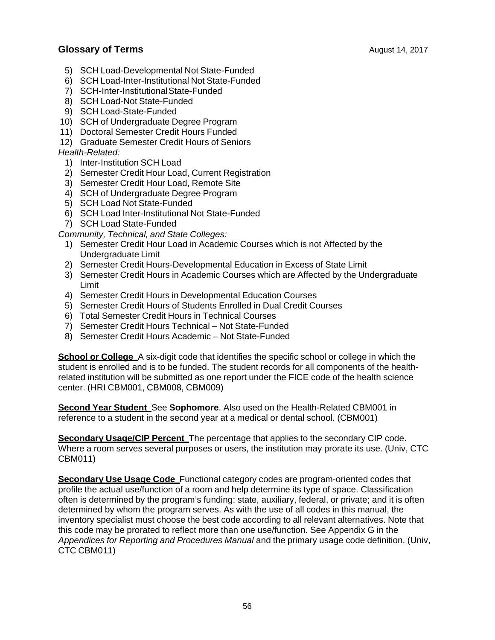- 5) SCH Load-Developmental Not State-Funded
- 6) SCH Load-Inter-Institutional Not State-Funded
- 7) SCH-Inter-Institutional State-Funded
- 8) SCH Load-Not State-Funded
- 9) SCH Load-State-Funded
- 10) SCH of Undergraduate Degree Program
- 11) Doctoral Semester Credit Hours Funded
- 12) Graduate Semester Credit Hours of Seniors

#### *Health-Related:*

- 1) Inter-Institution SCH Load
- 2) Semester Credit Hour Load, Current Registration
- 3) Semester Credit Hour Load, Remote Site
- 4) SCH of Undergraduate Degree Program
- 5) SCH Load Not State-Funded
- 6) SCH Load Inter-Institutional Not State-Funded
- 7) SCH Load State-Funded

#### *Community, Technical, and State Colleges:*

- 1) Semester Credit Hour Load in Academic Courses which is not Affected by the Undergraduate Limit
- 2) Semester Credit Hours-Developmental Education in Excess of State Limit
- 3) Semester Credit Hours in Academic Courses which are Affected by the Undergraduate Limit
- 4) Semester Credit Hours in Developmental Education Courses
- 5) Semester Credit Hours of Students Enrolled in Dual Credit Courses
- 6) Total Semester Credit Hours in Technical Courses
- 7) Semester Credit Hours Technical Not State-Funded
- 8) Semester Credit Hours Academic Not State-Funded

**School or College** A six-digit code that identifies the specific school or college in which the student is enrolled and is to be funded. The student records for all components of the healthrelated institution will be submitted as one report under the FICE code of the health science center. (HRI CBM001, CBM008, CBM009)

**Second Year Student** See **Sophomore**. Also used on the Health-Related CBM001 in reference to a student in the second year at a medical or dental school. (CBM001)

**Secondary Usage/CIP Percent** The percentage that applies to the secondary CIP code. Where a room serves several purposes or users, the institution may prorate its use. (Univ, CTC CBM011)

**Secondary Use Usage Code** Functional category codes are program-oriented codes that profile the actual use/function of a room and help determine its type of space. Classification often is determined by the program's funding: state, auxiliary, federal, or private; and it is often determined by whom the program serves. As with the use of all codes in this manual, the inventory specialist must choose the best code according to all relevant alternatives. Note that this code may be prorated to reflect more than one use/function. See Appendix G in the *Appendices for Reporting and Procedures Manual* and the primary usage code definition. (Univ, CTC CBM011)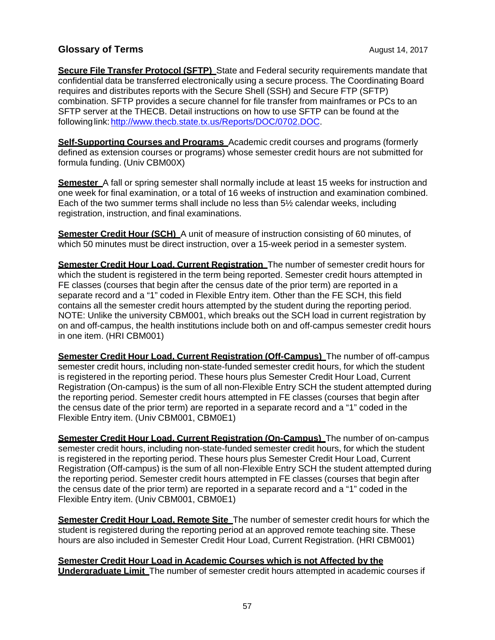**Secure File Transfer Protocol (SFTP)** State and Federal security requirements mandate that confidential data be transferred electronically using a secure process. The Coordinating Board requires and distributes reports with the Secure Shell (SSH) and Secure FTP (SFTP) combination. SFTP provides a secure channel for file transfer from mainframes or PCs to an SFTP server at the THECB. Detail instructions on how to use SFTP can be found at the following link: http://www.thecb.state.tx.us/Reports/DOC/0702.DOC.

**Self-Supporting Courses and Programs** Academic credit courses and programs (formerly defined as extension courses or programs) whose semester credit hours are not submitted for formula funding. (Univ CBM00X)

**Semester** A fall or spring semester shall normally include at least 15 weeks for instruction and one week for final examination, or a total of 16 weeks of instruction and examination combined. Each of the two summer terms shall include no less than 5½ calendar weeks, including registration, instruction, and final examinations.

**Semester Credit Hour (SCH)** A unit of measure of instruction consisting of 60 minutes, of which 50 minutes must be direct instruction, over a 15-week period in a semester system.

**Semester Credit Hour Load, Current Registration** The number of semester credit hours for which the student is registered in the term being reported. Semester credit hours attempted in FE classes (courses that begin after the census date of the prior term) are reported in a separate record and a "1" coded in Flexible Entry item. Other than the FE SCH, this field contains all the semester credit hours attempted by the student during the reporting period. NOTE: Unlike the university CBM001, which breaks out the SCH load in current registration by on and off-campus, the health institutions include both on and off-campus semester credit hours in one item. (HRI CBM001)

**Semester Credit Hour Load, Current Registration (Off-Campus)** The number of off-campus semester credit hours, including non-state-funded semester credit hours, for which the student is registered in the reporting period. These hours plus Semester Credit Hour Load, Current Registration (On-campus) is the sum of all non-Flexible Entry SCH the student attempted during the reporting period. Semester credit hours attempted in FE classes (courses that begin after the census date of the prior term) are reported in a separate record and a "1" coded in the Flexible Entry item. (Univ CBM001, CBM0E1)

**Semester Credit Hour Load, Current Registration (On-Campus)** The number of on-campus semester credit hours, including non-state-funded semester credit hours, for which the student is registered in the reporting period. These hours plus Semester Credit Hour Load, Current Registration (Off-campus) is the sum of all non-Flexible Entry SCH the student attempted during the reporting period. Semester credit hours attempted in FE classes (courses that begin after the census date of the prior term) are reported in a separate record and a "1" coded in the Flexible Entry item. (Univ CBM001, CBM0E1)

**Semester Credit Hour Load, Remote Site** The number of semester credit hours for which the student is registered during the reporting period at an approved remote teaching site. These hours are also included in Semester Credit Hour Load, Current Registration. (HRI CBM001)

**Semester Credit Hour Load in Academic Courses which is not Affected by the Undergraduate Limit** The number of semester credit hours attempted in academic courses if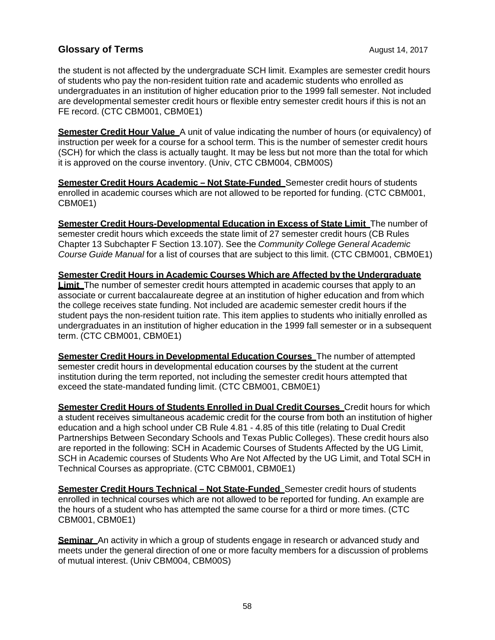the student is not affected by the undergraduate SCH limit. Examples are semester credit hours of students who pay the non-resident tuition rate and academic students who enrolled as undergraduates in an institution of higher education prior to the 1999 fall semester. Not included are developmental semester credit hours or flexible entry semester credit hours if this is not an FE record. (CTC CBM001, CBM0E1)

**Semester Credit Hour Value** A unit of value indicating the number of hours (or equivalency) of instruction per week for a course for a school term. This is the number of semester credit hours (SCH) for which the class is actually taught. It may be less but not more than the total for which it is approved on the course inventory. (Univ, CTC CBM004, CBM00S)

**Semester Credit Hours Academic – Not State-Funded** Semester credit hours of students enrolled in academic courses which are not allowed to be reported for funding. (CTC CBM001, CBM0E1)

**Semester Credit Hours-Developmental Education in Excess of State Limit** The number of semester credit hours which exceeds the state limit of 27 semester credit hours (CB Rules Chapter 13 Subchapter F Section 13.107). See the *Community College General Academic Course Guide Manual* for a list of courses that are subject to this limit. (CTC CBM001, CBM0E1)

**Semester Credit Hours in Academic Courses Which are Affected by the Undergraduate Limit** The number of semester credit hours attempted in academic courses that apply to an associate or current baccalaureate degree at an institution of higher education and from which the college receives state funding. Not included are academic semester credit hours if the student pays the non-resident tuition rate. This item applies to students who initially enrolled as undergraduates in an institution of higher education in the 1999 fall semester or in a subsequent term. (CTC CBM001, CBM0E1)

**Semester Credit Hours in Developmental Education Courses** The number of attempted semester credit hours in developmental education courses by the student at the current institution during the term reported, not including the semester credit hours attempted that exceed the state-mandated funding limit. (CTC CBM001, CBM0E1)

**Semester Credit Hours of Students Enrolled in Dual Credit Courses** Credit hours for which a student receives simultaneous academic credit for the course from both an institution of higher education and a high school under CB Rule 4.81 - 4.85 of this title (relating to Dual Credit Partnerships Between Secondary Schools and Texas Public Colleges). These credit hours also are reported in the following: SCH in Academic Courses of Students Affected by the UG Limit, SCH in Academic courses of Students Who Are Not Affected by the UG Limit, and Total SCH in Technical Courses as appropriate. (CTC CBM001, CBM0E1)

**Semester Credit Hours Technical – Not State-Funded** Semester credit hours of students enrolled in technical courses which are not allowed to be reported for funding. An example are the hours of a student who has attempted the same course for a third or more times. (CTC CBM001, CBM0E1)

**Seminar** An activity in which a group of students engage in research or advanced study and meets under the general direction of one or more faculty members for a discussion of problems of mutual interest. (Univ CBM004, CBM00S)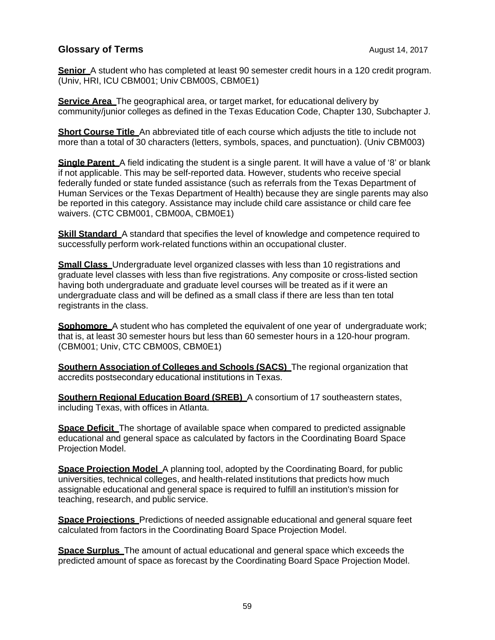**Senior** A student who has completed at least 90 semester credit hours in a 120 credit program. (Univ, HRI, ICU CBM001; Univ CBM00S, CBM0E1)

**Service Area** The geographical area, or target market, for educational delivery by community/junior colleges as defined in the Texas Education Code, Chapter 130, Subchapter J.

**Short Course Title** An abbreviated title of each course which adjusts the title to include not more than a total of 30 characters (letters, symbols, spaces, and punctuation). (Univ CBM003)

**Single Parent** A field indicating the student is a single parent. It will have a value of '8' or blank if not applicable. This may be self-reported data. However, students who receive special federally funded or state funded assistance (such as referrals from the Texas Department of Human Services or the Texas Department of Health) because they are single parents may also be reported in this category. Assistance may include child care assistance or child care fee waivers. (CTC CBM001, CBM00A, CBM0E1)

**Skill Standard** A standard that specifies the level of knowledge and competence required to successfully perform work-related functions within an occupational cluster.

**Small Class** Undergraduate level organized classes with less than 10 registrations and graduate level classes with less than five registrations. Any composite or cross-listed section having both undergraduate and graduate level courses will be treated as if it were an undergraduate class and will be defined as a small class if there are less than ten total registrants in the class.

**Sophomore** A student who has completed the equivalent of one year of undergraduate work; that is, at least 30 semester hours but less than 60 semester hours in a 120-hour program. (CBM001; Univ, CTC CBM00S, CBM0E1)

**Southern Association of Colleges and Schools (SACS)** The regional organization that accredits postsecondary educational institutions in Texas.

**Southern Regional Education Board (SREB)** A consortium of 17 southeastern states, including Texas, with offices in Atlanta.

**Space Deficit** The shortage of available space when compared to predicted assignable educational and general space as calculated by factors in the Coordinating Board Space Projection Model.

**Space Projection Model** A planning tool, adopted by the Coordinating Board, for public universities, technical colleges, and health-related institutions that predicts how much assignable educational and general space is required to fulfill an institution's mission for teaching, research, and public service.

**Space Projections** Predictions of needed assignable educational and general square feet calculated from factors in the Coordinating Board Space Projection Model.

**Space Surplus** The amount of actual educational and general space which exceeds the predicted amount of space as forecast by the Coordinating Board Space Projection Model.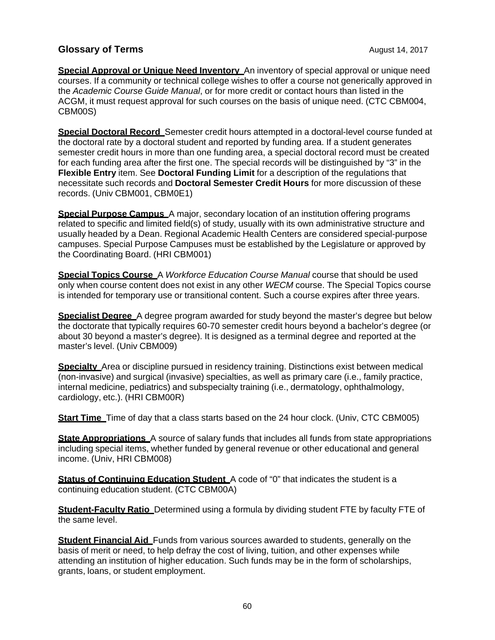**Special Approval or Unique Need Inventory** An inventory of special approval or unique need courses. If a community or technical college wishes to offer a course not generically approved in the *Academic Course Guide Manual*, or for more credit or contact hours than listed in the ACGM, it must request approval for such courses on the basis of unique need. (CTC CBM004, CBM00S)

**Special Doctoral Record** Semester credit hours attempted in a doctoral-level course funded at the doctoral rate by a doctoral student and reported by funding area. If a student generates semester credit hours in more than one funding area, a special doctoral record must be created for each funding area after the first one. The special records will be distinguished by "3" in the **Flexible Entry** item. See **Doctoral Funding Limit** for a description of the regulations that necessitate such records and **Doctoral Semester Credit Hours** for more discussion of these records. (Univ CBM001, CBM0E1)

**Special Purpose Campus** A major, secondary location of an institution offering programs related to specific and limited field(s) of study, usually with its own administrative structure and usually headed by a Dean. Regional Academic Health Centers are considered special-purpose campuses. Special Purpose Campuses must be established by the Legislature or approved by the Coordinating Board. (HRI CBM001)

**Special Topics Course** A *Workforce Education Course Manual* course that should be used only when course content does not exist in any other *WECM* course. The Special Topics course is intended for temporary use or transitional content. Such a course expires after three years.

**Specialist Degree** A degree program awarded for study beyond the master's degree but below the doctorate that typically requires 60-70 semester credit hours beyond a bachelor's degree (or about 30 beyond a master's degree). It is designed as a terminal degree and reported at the master's level. (Univ CBM009)

**Specialty** Area or discipline pursued in residency training. Distinctions exist between medical (non-invasive) and surgical (invasive) specialties, as well as primary care (i.e., family practice, internal medicine, pediatrics) and subspecialty training (i.e., dermatology, ophthalmology, cardiology, etc.). (HRI CBM00R)

**Start Time** Time of day that a class starts based on the 24 hour clock. (Univ, CTC CBM005)

**State Appropriations** A source of salary funds that includes all funds from state appropriations including special items, whether funded by general revenue or other educational and general income. (Univ, HRI CBM008)

**Status of Continuing Education Student** A code of "0" that indicates the student is a continuing education student. (CTC CBM00A)

**Student-Faculty Ratio** Determined using a formula by dividing student FTE by faculty FTE of the same level.

**Student Financial Aid** Funds from various sources awarded to students, generally on the basis of merit or need, to help defray the cost of living, tuition, and other expenses while attending an institution of higher education. Such funds may be in the form of scholarships, grants, loans, or student employment.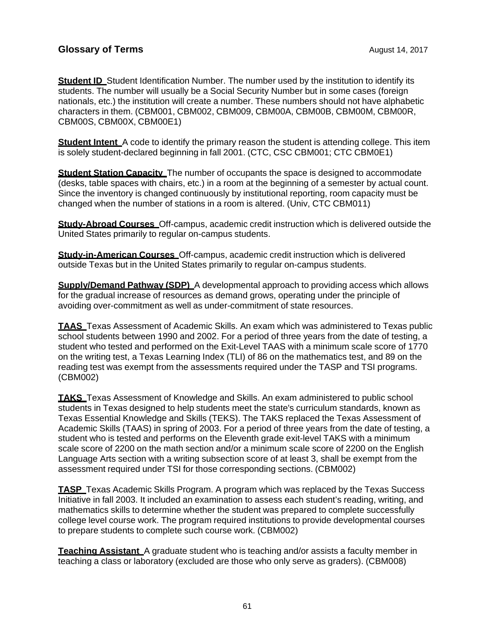**Student ID** Student Identification Number. The number used by the institution to identify its students. The number will usually be a Social Security Number but in some cases (foreign nationals, etc.) the institution will create a number. These numbers should not have alphabetic characters in them. (CBM001, CBM002, CBM009, CBM00A, CBM00B, CBM00M, CBM00R, CBM00S, CBM00X, CBM00E1)

**Student Intent** A code to identify the primary reason the student is attending college. This item is solely student-declared beginning in fall 2001. (CTC, CSC CBM001; CTC CBM0E1)

**Student Station Capacity** The number of occupants the space is designed to accommodate (desks, table spaces with chairs, etc.) in a room at the beginning of a semester by actual count. Since the inventory is changed continuously by institutional reporting, room capacity must be changed when the number of stations in a room is altered. (Univ, CTC CBM011)

**Study-Abroad Courses** Off-campus, academic credit instruction which is delivered outside the United States primarily to regular on-campus students.

**Study-in-American Courses** Off-campus, academic credit instruction which is delivered outside Texas but in the United States primarily to regular on-campus students.

**Supply/Demand Pathway (SDP)** A developmental approach to providing access which allows for the gradual increase of resources as demand grows, operating under the principle of avoiding over-commitment as well as under-commitment of state resources.

**TAAS** Texas Assessment of Academic Skills. An exam which was administered to Texas public school students between 1990 and 2002. For a period of three years from the date of testing, a student who tested and performed on the Exit-Level TAAS with a minimum scale score of 1770 on the writing test, a Texas Learning Index (TLI) of 86 on the mathematics test, and 89 on the reading test was exempt from the assessments required under the TASP and TSI programs. (CBM002)

**TAKS** Texas Assessment of Knowledge and Skills. An exam administered to public school students in Texas designed to help students meet the state's curriculum standards, known as Texas Essential Knowledge and Skills (TEKS). The TAKS replaced the Texas Assessment of Academic Skills (TAAS) in spring of 2003. For a period of three years from the date of testing, a student who is tested and performs on the Eleventh grade exit-level TAKS with a minimum scale score of 2200 on the math section and/or a minimum scale score of 2200 on the English Language Arts section with a writing subsection score of at least 3, shall be exempt from the assessment required under TSI for those corresponding sections. (CBM002)

**TASP** Texas Academic Skills Program. A program which was replaced by the Texas Success Initiative in fall 2003. It included an examination to assess each student's reading, writing, and mathematics skills to determine whether the student was prepared to complete successfully college level course work. The program required institutions to provide developmental courses to prepare students to complete such course work. (CBM002)

**Teaching Assistant** A graduate student who is teaching and/or assists a faculty member in teaching a class or laboratory (excluded are those who only serve as graders). (CBM008)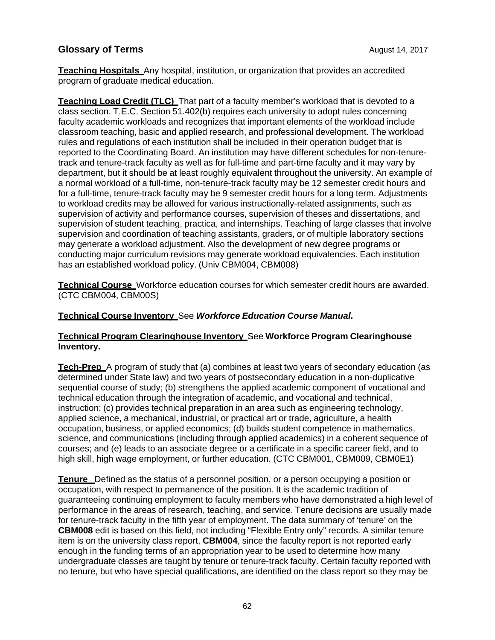**Teaching Hospitals** Any hospital, institution, or organization that provides an accredited program of graduate medical education.

**Teaching Load Credit (TLC)** That part of a faculty member's workload that is devoted to a class section. T.E.C. Section 51.402(b) requires each university to adopt rules concerning faculty academic workloads and recognizes that important elements of the workload include classroom teaching, basic and applied research, and professional development. The workload rules and regulations of each institution shall be included in their operation budget that is reported to the Coordinating Board. An institution may have different schedules for non-tenuretrack and tenure-track faculty as well as for full-time and part-time faculty and it may vary by department, but it should be at least roughly equivalent throughout the university. An example of a normal workload of a full-time, non-tenure-track faculty may be 12 semester credit hours and for a full-time, tenure-track faculty may be 9 semester credit hours for a long term. Adjustments to workload credits may be allowed for various instructionally-related assignments, such as supervision of activity and performance courses, supervision of theses and dissertations, and supervision of student teaching, practica, and internships. Teaching of large classes that involve supervision and coordination of teaching assistants, graders, or of multiple laboratory sections may generate a workload adjustment. Also the development of new degree programs or conducting major curriculum revisions may generate workload equivalencies. Each institution has an established workload policy. (Univ CBM004, CBM008)

**Technical Course** Workforce education courses for which semester credit hours are awarded. (CTC CBM004, CBM00S)

#### **Technical Course Inventory** See *Workforce Education Course Manual***.**

#### **Technical Program Clearinghouse Inventory** See **Workforce Program Clearinghouse Inventory.**

**Tech-Prep** A program of study that (a) combines at least two years of secondary education (as determined under State law) and two years of postsecondary education in a non-duplicative sequential course of study; (b) strengthens the applied academic component of vocational and technical education through the integration of academic, and vocational and technical, instruction; (c) provides technical preparation in an area such as engineering technology, applied science, a mechanical, industrial, or practical art or trade, agriculture, a health occupation, business, or applied economics; (d) builds student competence in mathematics, science, and communications (including through applied academics) in a coherent sequence of courses; and (e) leads to an associate degree or a certificate in a specific career field, and to high skill, high wage employment, or further education. (CTC CBM001, CBM009, CBM0E1)

**Tenure** Defined as the status of a personnel position, or a person occupying a position or occupation, with respect to permanence of the position. It is the academic tradition of guaranteeing continuing employment to faculty members who have demonstrated a high level of performance in the areas of research, teaching, and service. Tenure decisions are usually made for tenure-track faculty in the fifth year of employment. The data summary of 'tenure' on the **CBM008** edit is based on this field, not including "Flexible Entry only" records. A similar tenure item is on the university class report, **CBM004**, since the faculty report is not reported early enough in the funding terms of an appropriation year to be used to determine how many undergraduate classes are taught by tenure or tenure-track faculty. Certain faculty reported with no tenure, but who have special qualifications, are identified on the class report so they may be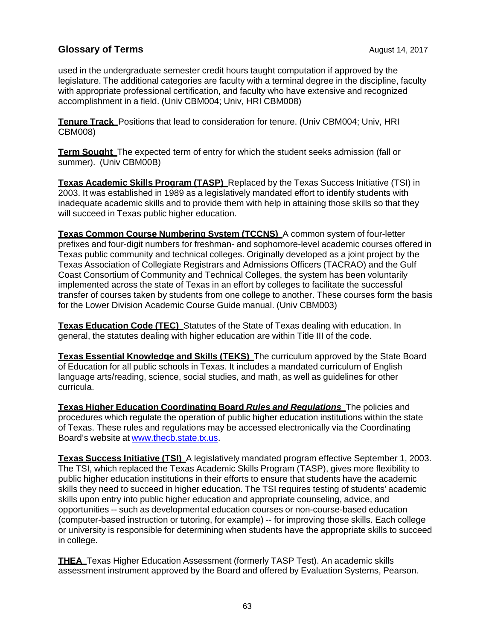used in the undergraduate semester credit hours taught computation if approved by the legislature. The additional categories are faculty with a terminal degree in the discipline, faculty with appropriate professional certification, and faculty who have extensive and recognized accomplishment in a field. (Univ CBM004; Univ, HRI CBM008)

**Tenure Track** Positions that lead to consideration for tenure. (Univ CBM004; Univ, HRI CBM008)

**Term Sought** The expected term of entry for which the student seeks admission (fall or summer). (Univ CBM00B)

**Texas Academic Skills Program (TASP)** Replaced by the Texas Success Initiative (TSI) in 2003. It was established in 1989 as a legislatively mandated effort to identify students with inadequate academic skills and to provide them with help in attaining those skills so that they will succeed in Texas public higher education.

**Texas Common Course Numbering System (TCCNS)** A common system of four-letter prefixes and four-digit numbers for freshman- and sophomore-level academic courses offered in Texas public community and technical colleges. Originally developed as a joint project by the Texas Association of Collegiate Registrars and Admissions Officers (TACRAO) and the Gulf Coast Consortium of Community and Technical Colleges, the system has been voluntarily implemented across the state of Texas in an effort by colleges to facilitate the successful transfer of courses taken by students from one college to another. These courses form the basis for the Lower Division Academic Course Guide manual. (Univ CBM003)

**Texas Education Code (TEC)** Statutes of the State of Texas dealing with education. In general, the statutes dealing with higher education are within Title III of the code.

**Texas Essential Knowledge and Skills (TEKS)** The curriculum approved by the State Board of Education for all public schools in Texas. It includes a mandated curriculum of English language arts/reading, science, social studies, and math, as well as guidelines for other curricula.

**Texas Higher Education Coordinating Board** *Rules and Regulations* The policies and procedures which regulate the operation of public higher education institutions within the state of Texas. These rules and regulations may be accessed electronically via the Coordinating Board's website at www.thecb.state.tx.us.

**Texas Success Initiative (TSI)** A legislatively mandated program effective September 1, 2003. The TSI, which replaced the Texas Academic Skills Program (TASP), gives more flexibility to public higher education institutions in their efforts to ensure that students have the academic skills they need to succeed in higher education. The TSI requires testing of students' academic skills upon entry into public higher education and appropriate counseling, advice, and opportunities -- such as developmental education courses or non-course-based education (computer-based instruction or tutoring, for example) -- for improving those skills. Each college or university is responsible for determining when students have the appropriate skills to succeed in college.

**THEA** Texas Higher Education Assessment (formerly TASP Test). An academic skills assessment instrument approved by the Board and offered by Evaluation Systems, Pearson.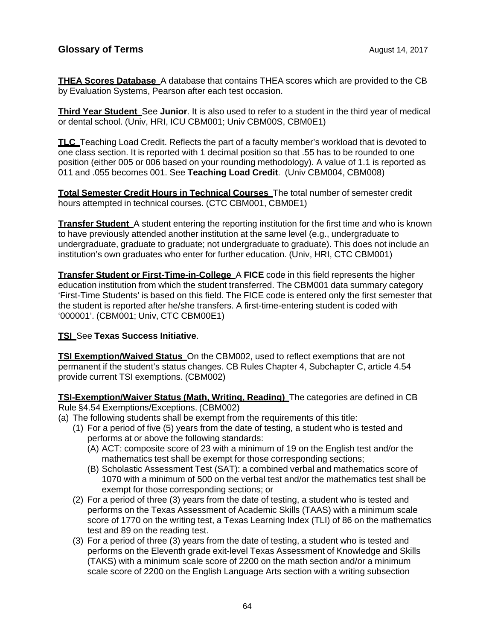**THEA Scores Database** A database that contains THEA scores which are provided to the CB by Evaluation Systems, Pearson after each test occasion.

**Third Year Student** See **Junior**. It is also used to refer to a student in the third year of medical or dental school. (Univ, HRI, ICU CBM001; Univ CBM00S, CBM0E1)

**TLC** Teaching Load Credit. Reflects the part of a faculty member's workload that is devoted to one class section. It is reported with 1 decimal position so that .55 has to be rounded to one position (either 005 or 006 based on your rounding methodology). A value of 1.1 is reported as 011 and .055 becomes 001. See **Teaching Load Credit**. (Univ CBM004, CBM008)

**Total Semester Credit Hours in Technical Courses** The total number of semester credit hours attempted in technical courses. (CTC CBM001, CBM0E1)

**Transfer Student** A student entering the reporting institution for the first time and who is known to have previously attended another institution at the same level (e.g., undergraduate to undergraduate, graduate to graduate; not undergraduate to graduate). This does not include an institution's own graduates who enter for further education. (Univ, HRI, CTC CBM001)

**Transfer Student or First-Time-in-College** A **FICE** code in this field represents the higher education institution from which the student transferred. The CBM001 data summary category 'First-Time Students' is based on this field. The FICE code is entered only the first semester that the student is reported after he/she transfers. A first-time-entering student is coded with '000001'. (CBM001; Univ, CTC CBM00E1)

#### **TSI** See **Texas Success Initiative**.

**TSI Exemption/Waived Status** On the CBM002, used to reflect exemptions that are not permanent if the student's status changes. CB Rules Chapter 4, Subchapter C, article 4.54 provide current TSI exemptions. (CBM002)

**TSI-Exemption/Waiver Status (Math, Writing, Reading)** The categories are defined in CB Rule §4.54 Exemptions/Exceptions. (CBM002)

- (a) The following students shall be exempt from the requirements of this title:
	- (1) For a period of five (5) years from the date of testing, a student who is tested and performs at or above the following standards:
		- (A) ACT: composite score of 23 with a minimum of 19 on the English test and/or the mathematics test shall be exempt for those corresponding sections;
		- (B) Scholastic Assessment Test (SAT): a combined verbal and mathematics score of 1070 with a minimum of 500 on the verbal test and/or the mathematics test shall be exempt for those corresponding sections; or
	- (2) For a period of three (3) years from the date of testing, a student who is tested and performs on the Texas Assessment of Academic Skills (TAAS) with a minimum scale score of 1770 on the writing test, a Texas Learning Index (TLI) of 86 on the mathematics test and 89 on the reading test.
	- (3) For a period of three (3) years from the date of testing, a student who is tested and performs on the Eleventh grade exit-level Texas Assessment of Knowledge and Skills (TAKS) with a minimum scale score of 2200 on the math section and/or a minimum scale score of 2200 on the English Language Arts section with a writing subsection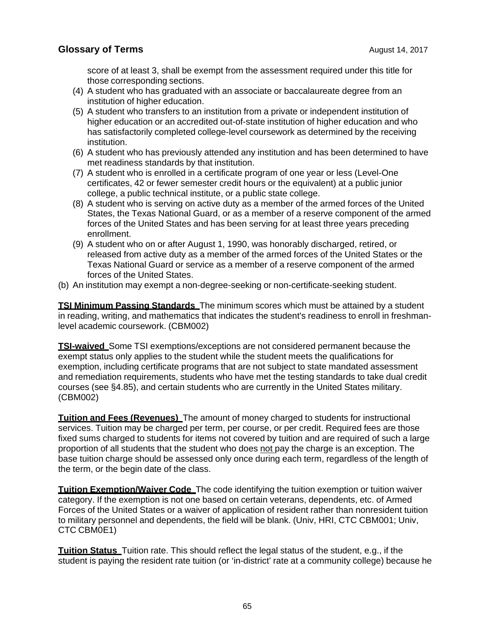score of at least 3, shall be exempt from the assessment required under this title for those corresponding sections.

- (4) A student who has graduated with an associate or baccalaureate degree from an institution of higher education.
- (5) A student who transfers to an institution from a private or independent institution of higher education or an accredited out-of-state institution of higher education and who has satisfactorily completed college-level coursework as determined by the receiving institution.
- (6) A student who has previously attended any institution and has been determined to have met readiness standards by that institution.
- (7) A student who is enrolled in a certificate program of one year or less (Level-One certificates, 42 or fewer semester credit hours or the equivalent) at a public junior college, a public technical institute, or a public state college.
- (8) A student who is serving on active duty as a member of the armed forces of the United States, the Texas National Guard, or as a member of a reserve component of the armed forces of the United States and has been serving for at least three years preceding enrollment.
- (9) A student who on or after August 1, 1990, was honorably discharged, retired, or released from active duty as a member of the armed forces of the United States or the Texas National Guard or service as a member of a reserve component of the armed forces of the United States.
- (b) An institution may exempt a non-degree-seeking or non-certificate-seeking student.

**TSI Minimum Passing Standards** The minimum scores which must be attained by a student in reading, writing, and mathematics that indicates the student's readiness to enroll in freshmanlevel academic coursework. (CBM002)

**TSI-waived** Some TSI exemptions/exceptions are not considered permanent because the exempt status only applies to the student while the student meets the qualifications for exemption, including certificate programs that are not subject to state mandated assessment and remediation requirements, students who have met the testing standards to take dual credit courses (see §4.85), and certain students who are currently in the United States military. (CBM002)

**Tuition and Fees (Revenues)** The amount of money charged to students for instructional services. Tuition may be charged per term, per course, or per credit. Required fees are those fixed sums charged to students for items not covered by tuition and are required of such a large proportion of all students that the student who does not pay the charge is an exception. The base tuition charge should be assessed only once during each term, regardless of the length of the term, or the begin date of the class.

**Tuition Exemption/Waiver Code** The code identifying the tuition exemption or tuition waiver category. If the exemption is not one based on certain veterans, dependents, etc. of Armed Forces of the United States or a waiver of application of resident rather than nonresident tuition to military personnel and dependents, the field will be blank. (Univ, HRI, CTC CBM001; Univ, CTC CBM0E1)

**Tuition Status** Tuition rate. This should reflect the legal status of the student, e.g., if the student is paying the resident rate tuition (or 'in-district' rate at a community college) because he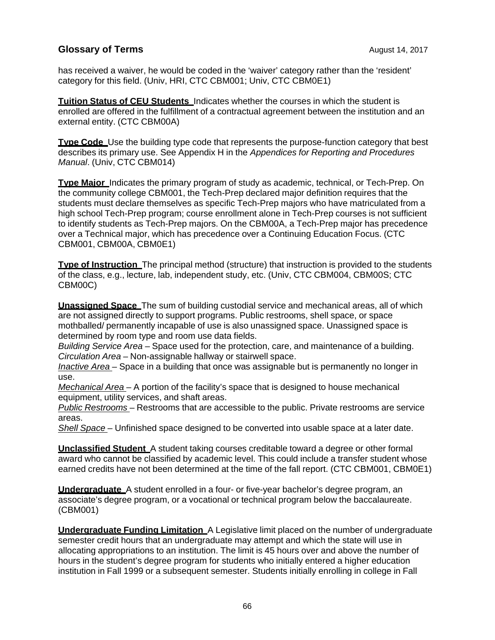has received a waiver, he would be coded in the 'waiver' category rather than the 'resident' category for this field. (Univ, HRI, CTC CBM001; Univ, CTC CBM0E1)

**Tuition Status of CEU Students** Indicates whether the courses in which the student is enrolled are offered in the fulfillment of a contractual agreement between the institution and an external entity. (CTC CBM00A)

**Type Code** Use the building type code that represents the purpose-function category that best describes its primary use. See Appendix H in the *Appendices for Reporting and Procedures Manual*. (Univ, CTC CBM014)

**Type Major** Indicates the primary program of study as academic, technical, or Tech-Prep. On the community college CBM001, the Tech-Prep declared major definition requires that the students must declare themselves as specific Tech-Prep majors who have matriculated from a high school Tech-Prep program; course enrollment alone in Tech-Prep courses is not sufficient to identify students as Tech-Prep majors. On the CBM00A, a Tech-Prep major has precedence over a Technical major, which has precedence over a Continuing Education Focus. (CTC CBM001, CBM00A, CBM0E1)

**Type of Instruction** The principal method (structure) that instruction is provided to the students of the class, e.g., lecture, lab, independent study, etc. (Univ, CTC CBM004, CBM00S; CTC CBM00C)

**Unassigned Space** The sum of building custodial service and mechanical areas, all of which are not assigned directly to support programs. Public restrooms, shell space, or space mothballed/ permanently incapable of use is also unassigned space. Unassigned space is determined by room type and room use data fields.

*Building Service Area* – Space used for the protection, care, and maintenance of a building. *Circulation Area* – Non-assignable hallway or stairwell space.

*Inactive Area* – Space in a building that once was assignable but is permanently no longer in use.

*Mechanical Area* – A portion of the facility's space that is designed to house mechanical equipment, utility services, and shaft areas.

*Public Restrooms* – Restrooms that are accessible to the public. Private restrooms are service areas.

*Shell Space* – Unfinished space designed to be converted into usable space at a later date.

**Unclassified Student** A student taking courses creditable toward a degree or other formal award who cannot be classified by academic level. This could include a transfer student whose earned credits have not been determined at the time of the fall report. (CTC CBM001, CBM0E1)

**Undergraduate** A student enrolled in a four- or five-year bachelor's degree program, an associate's degree program, or a vocational or technical program below the baccalaureate. (CBM001)

**Undergraduate Funding Limitation** A Legislative limit placed on the number of undergraduate semester credit hours that an undergraduate may attempt and which the state will use in allocating appropriations to an institution. The limit is 45 hours over and above the number of hours in the student's degree program for students who initially entered a higher education institution in Fall 1999 or a subsequent semester. Students initially enrolling in college in Fall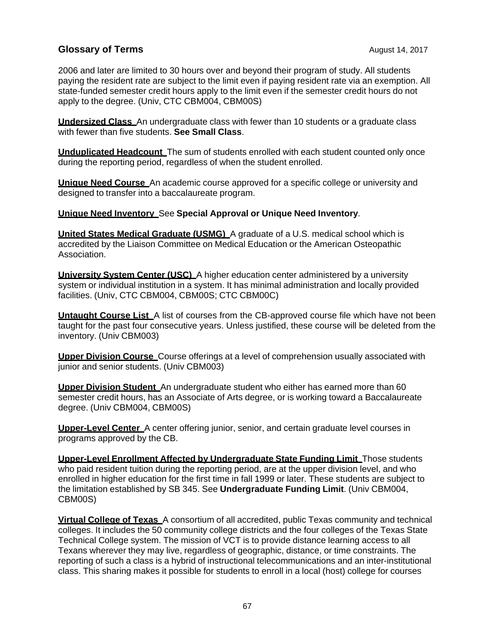2006 and later are limited to 30 hours over and beyond their program of study. All students paying the resident rate are subject to the limit even if paying resident rate via an exemption. All state-funded semester credit hours apply to the limit even if the semester credit hours do not apply to the degree. (Univ, CTC CBM004, CBM00S)

**Undersized Class** An undergraduate class with fewer than 10 students or a graduate class with fewer than five students. **See Small Class**.

**Unduplicated Headcount** The sum of students enrolled with each student counted only once during the reporting period, regardless of when the student enrolled.

**Unique Need Course** An academic course approved for a specific college or university and designed to transfer into a baccalaureate program.

**Unique Need Inventory** See **Special Approval or Unique Need Inventory**.

**United States Medical Graduate (USMG)** A graduate of a U.S. medical school which is accredited by the Liaison Committee on Medical Education or the American Osteopathic Association.

**University System Center (USC)** A higher education center administered by a university system or individual institution in a system. It has minimal administration and locally provided facilities. (Univ, CTC CBM004, CBM00S; CTC CBM00C)

**Untaught Course List** A list of courses from the CB-approved course file which have not been taught for the past four consecutive years. Unless justified, these course will be deleted from the inventory. (Univ CBM003)

**Upper Division Course** Course offerings at a level of comprehension usually associated with junior and senior students. (Univ CBM003)

**Upper Division Student** An undergraduate student who either has earned more than 60 semester credit hours, has an Associate of Arts degree, or is working toward a Baccalaureate degree. (Univ CBM004, CBM00S)

**Upper-Level Center** A center offering junior, senior, and certain graduate level courses in programs approved by the CB.

**Upper-Level Enrollment Affected by Undergraduate State Funding Limit** Those students who paid resident tuition during the reporting period, are at the upper division level, and who enrolled in higher education for the first time in fall 1999 or later. These students are subject to the limitation established by SB 345. See **Undergraduate Funding Limit**. (Univ CBM004, CBM00S)

**Virtual College of Texas** A consortium of all accredited, public Texas community and technical colleges. It includes the 50 community college districts and the four colleges of the Texas State Technical College system. The mission of VCT is to provide distance learning access to all Texans wherever they may live, regardless of geographic, distance, or time constraints. The reporting of such a class is a hybrid of instructional telecommunications and an inter-institutional class. This sharing makes it possible for students to enroll in a local (host) college for courses